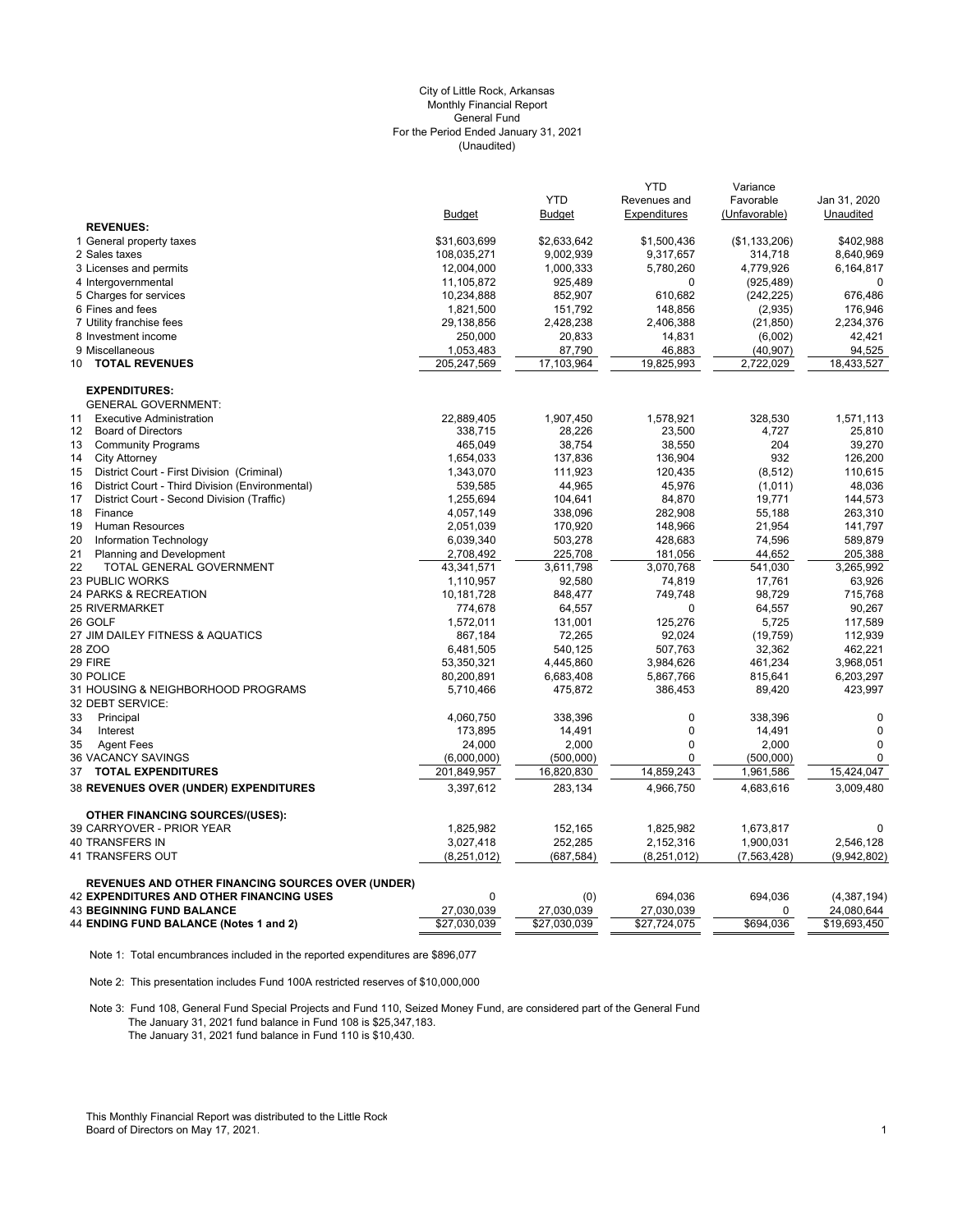# (Unaudited) City of Little Rock, Arkansas Monthly Financial Report General Fund For the Period Ended January 31, 2021

|                                                          |                        |                    | <b>YTD</b>   | Variance      |                |
|----------------------------------------------------------|------------------------|--------------------|--------------|---------------|----------------|
|                                                          |                        | <b>YTD</b>         | Revenues and | Favorable     | Jan 31, 2020   |
|                                                          | <b>Budget</b>          | <b>Budget</b>      | Expenditures | (Unfavorable) | Unaudited      |
| <b>REVENUES:</b>                                         |                        |                    |              |               |                |
| 1 General property taxes                                 | \$31,603,699           | \$2,633,642        | \$1,500,436  | (\$1,133,206) | \$402,988      |
| 2 Sales taxes                                            | 108,035,271            | 9,002,939          | 9,317,657    | 314,718       | 8,640,969      |
| 3 Licenses and permits                                   | 12,004,000             | 1,000,333          | 5,780,260    | 4,779,926     | 6,164,817      |
| 4 Intergovernmental                                      | 11,105,872             | 925,489            | 0            | (925, 489)    | 0              |
| 5 Charges for services                                   | 10,234,888             | 852,907            | 610,682      | (242, 225)    | 676,486        |
| 6 Fines and fees                                         | 1,821,500              | 151,792            | 148,856      | (2,935)       | 176,946        |
| 7 Utility franchise fees                                 | 29,138,856             | 2,428,238          | 2,406,388    | (21, 850)     | 2,234,376      |
| 8 Investment income                                      | 250,000                | 20,833             | 14,831       | (6,002)       | 42,421         |
| 9 Miscellaneous                                          | 1,053,483              | 87,790             | 46,883       | (40,907)      | 94,525         |
| <b>TOTAL REVENUES</b><br>10                              | 205,247,569            | 17,103,964         | 19,825,993   | 2,722,029     | 18,433,527     |
| <b>EXPENDITURES:</b>                                     |                        |                    |              |               |                |
| <b>GENERAL GOVERNMENT:</b>                               |                        |                    |              |               |                |
| <b>Executive Administration</b><br>11                    | 22,889,405             | 1,907,450          | 1,578,921    | 328,530       | 1,571,113      |
| $12 \overline{ }$<br><b>Board of Directors</b>           | 338,715                | 28,226             | 23,500       | 4,727         | 25,810         |
| <b>Community Programs</b><br>13                          | 465,049                | 38,754             | 38,550       | 204           | 39,270         |
| 14<br><b>City Attorney</b>                               | 1,654,033              | 137,836            | 136,904      | 932           | 126,200        |
| District Court - First Division (Criminal)<br>15         | 1,343,070              | 111,923            | 120,435      | (8, 512)      | 110,615        |
| District Court - Third Division (Environmental)<br>16    | 539,585                | 44,965             | 45,976       | (1,011)       | 48,036         |
| 17<br>District Court - Second Division (Traffic)         | 1,255,694              | 104,641            | 84,870       | 19,771        | 144,573        |
| 18<br>Finance                                            | 4,057,149              | 338,096            | 282,908      | 55,188        | 263,310        |
| 19<br>Human Resources                                    | 2,051,039              | 170,920            | 148,966      | 21,954        | 141,797        |
| 20<br>Information Technology                             | 6,039,340              | 503,278            | 428,683      | 74,596        | 589,879        |
| 21<br><b>Planning and Development</b>                    | 2,708,492              | 225,708            | 181,056      | 44,652        | 205,388        |
| 22<br>TOTAL GENERAL GOVERNMENT                           | 43,341,571             | 3,611,798          | 3,070,768    | 541,030       | 3,265,992      |
| <b>23 PUBLIC WORKS</b>                                   | 1,110,957              | 92,580             | 74,819       | 17,761        | 63,926         |
| 24 PARKS & RECREATION                                    | 10,181,728             | 848,477            | 749,748      | 98,729        | 715,768        |
| <b>25 RIVERMARKET</b>                                    | 774,678                | 64,557             | 0            | 64,557        | 90,267         |
| 26 GOLF                                                  | 1,572,011              | 131,001            | 125,276      | 5,725         | 117,589        |
| 27 JIM DAILEY FITNESS & AQUATICS                         | 867,184                | 72,265             | 92,024       | (19, 759)     | 112,939        |
| 28 ZOO                                                   | 6,481,505              | 540,125            | 507,763      | 32,362        | 462,221        |
| 29 FIRE                                                  |                        | 4,445,860          |              | 461,234       | 3,968,051      |
| 30 POLICE                                                | 53,350,321             |                    | 3,984,626    |               |                |
|                                                          | 80,200,891             | 6,683,408          | 5,867,766    | 815,641       | 6,203,297      |
| 31 HOUSING & NEIGHBORHOOD PROGRAMS<br>32 DEBT SERVICE:   | 5,710,466              | 475,872            | 386,453      | 89,420        | 423,997        |
| 33<br>Principal                                          | 4,060,750              | 338,396            | 0            | 338,396       | $\mathbf 0$    |
| 34<br>Interest                                           | 173,895                | 14,491             | $\pmb{0}$    | 14,491        | $\mathbf 0$    |
| 35<br><b>Agent Fees</b>                                  | 24,000                 | 2,000              | $\mathbf 0$  | 2,000         | $\mathbf 0$    |
| <b>36 VACANCY SAVINGS</b>                                | (6,000,000)            | (500,000)          | 0            | (500,000)     | $\mathbf 0$    |
| <b>TOTAL EXPENDITURES</b><br>37                          | 201,849,957            | 16,820,830         | 14,859,243   | 1,961,586     | 15,424,047     |
| 38 REVENUES OVER (UNDER) EXPENDITURES                    | 3,397,612              | 283,134            | 4,966,750    | 4,683,616     | 3,009,480      |
| <b>OTHER FINANCING SOURCES/(USES):</b>                   |                        |                    |              |               |                |
|                                                          |                        |                    |              |               |                |
| 39 CARRYOVER - PRIOR YEAR<br>40 TRANSFERS IN             | 1,825,982<br>3,027,418 | 152,165<br>252,285 | 1,825,982    | 1,673,817     | 0<br>2,546,128 |
|                                                          |                        |                    | 2,152,316    | 1,900,031     |                |
| 41 TRANSFERS OUT                                         | (8,251,012)            | (687, 584)         | (8,251,012)  | (7, 563, 428) | (9,942,802)    |
| <b>REVENUES AND OTHER FINANCING SOURCES OVER (UNDER)</b> |                        |                    |              |               |                |
| <b>42 EXPENDITURES AND OTHER FINANCING USES</b>          | 0                      | (0)                | 694,036      | 694,036       | (4,387,194)    |
| <b>43 BEGINNING FUND BALANCE</b>                         | 27,030,039             | 27,030,039         | 27,030,039   | 0             | 24,080,644     |
| 44 ENDING FUND BALANCE (Notes 1 and 2)                   | \$27,030,039           | \$27,030,039       | \$27,724,075 | \$694,036     | \$19,693,450   |

Note 1: Total encumbrances included in the reported expenditures are \$896,077

Note 2: This presentation includes Fund 100A restricted reserves of \$10,000,000

Note 3: Fund 108, General Fund Special Projects and Fund 110, Seized Money Fund, are considered part of the General Fund The January 31, 2021 fund balance in Fund 108 is \$25,347,183. The January 31, 2021 fund balance in Fund 110 is \$10,430.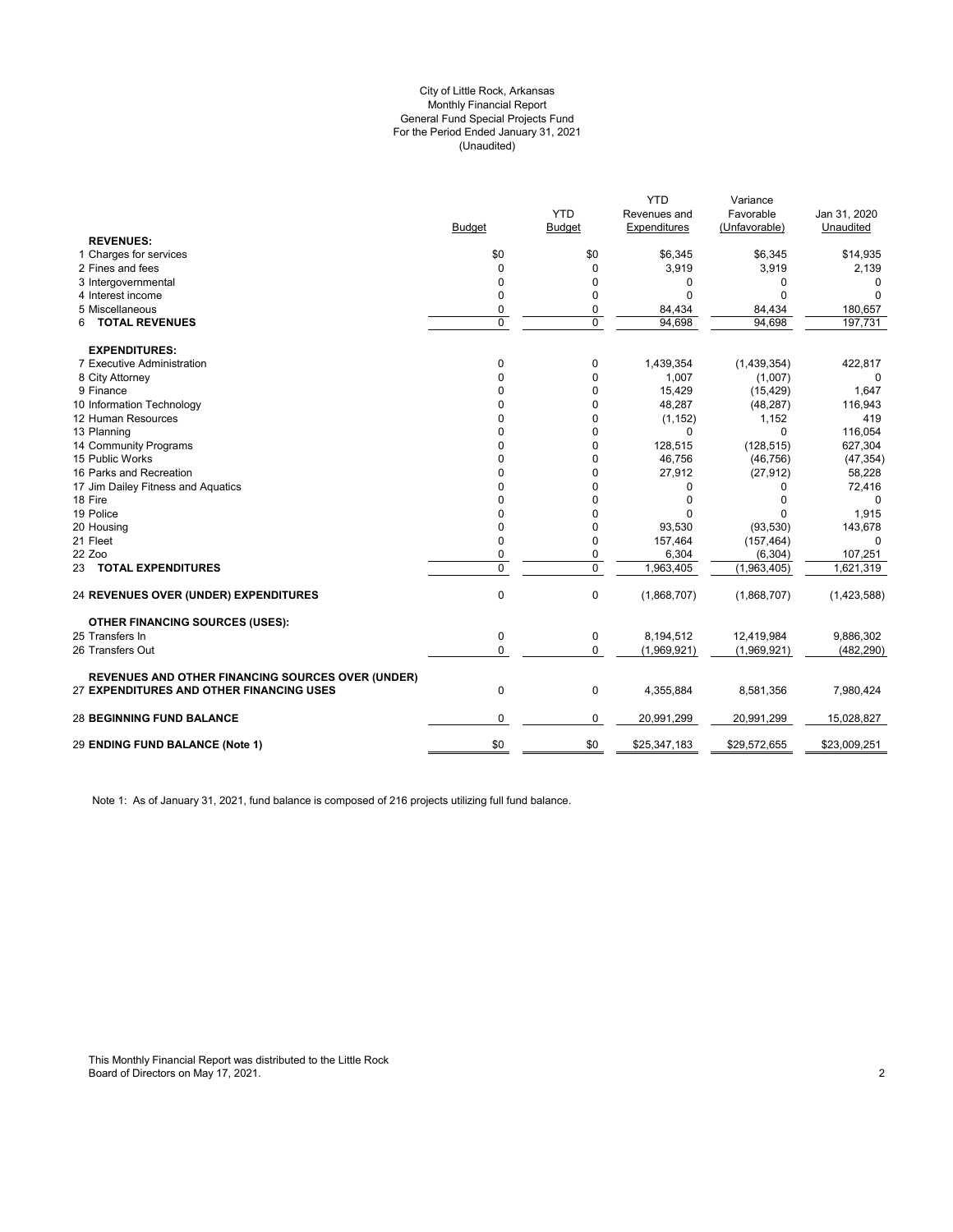#### (Unaudited) City of Little Rock, Arkansas Monthly Financial Report General Fund Special Projects Fund For the Period Ended January 31, 2021

|                                                          |               |               | <b>YTD</b>   | Variance      |              |
|----------------------------------------------------------|---------------|---------------|--------------|---------------|--------------|
|                                                          |               | <b>YTD</b>    | Revenues and | Favorable     | Jan 31, 2020 |
|                                                          | <b>Budget</b> | <b>Budget</b> | Expenditures | (Unfavorable) | Unaudited    |
| <b>REVENUES:</b>                                         |               |               |              |               |              |
| 1 Charges for services                                   | \$0           | \$0           | \$6,345      | \$6,345       | \$14,935     |
| 2 Fines and fees                                         | 0             | $\mathbf 0$   | 3,919        | 3,919         | 2,139        |
| 3 Intergovernmental                                      | 0             | 0             | $\Omega$     | 0             | $\Omega$     |
| 4 Interest income                                        | 0             | 0             | $\Omega$     | O             | O            |
| 5 Miscellaneous                                          | 0             | 0             | 84,434       | 84,434        | 180,657      |
| <b>TOTAL REVENUES</b><br>6                               | 0             | $\mathbf 0$   | 94.698       | 94.698        | 197.731      |
| <b>EXPENDITURES:</b>                                     |               |               |              |               |              |
| 7 Executive Administration                               | 0             | $\mathbf 0$   | 1,439,354    | (1,439,354)   | 422,817      |
| 8 City Attorney                                          | 0             | $\mathbf 0$   | 1,007        | (1,007)       | 0            |
| 9 Finance                                                | 0             | 0             | 15,429       | (15, 429)     | 1,647        |
| 10 Information Technology                                | 0             | $\mathbf 0$   | 48,287       | (48, 287)     | 116,943      |
| 12 Human Resources                                       | 0             | 0             | (1, 152)     | 1,152         | 419          |
| 13 Planning                                              | 0             | 0             | $\Omega$     | $\Omega$      | 116,054      |
| 14 Community Programs                                    | 0             | $\Omega$      | 128,515      | (128, 515)    | 627,304      |
| 15 Public Works                                          | 0             | 0             | 46,756       | (46, 756)     | (47, 354)    |
| 16 Parks and Recreation                                  | 0             | 0             | 27,912       | (27, 912)     | 58,228       |
| 17 Jim Dailey Fitness and Aquatics                       | ŋ             | 0             | $\Omega$     | 0             | 72,416       |
| 18 Fire                                                  | 0             | 0             | $\mathbf 0$  | O             | $\Omega$     |
| 19 Police                                                | 0             | $\Omega$      | $\Omega$     | $\Omega$      | 1,915        |
| 20 Housing                                               | 0             | $\Omega$      | 93,530       | (93, 530)     | 143,678      |
| 21 Fleet                                                 | 0             | 0             | 157,464      | (157, 464)    | $\Omega$     |
| 22 Zoo                                                   | 0             | 0             | 6,304        | (6, 304)      | 107,251      |
| 23 TOTAL EXPENDITURES                                    | 0             | $\mathbf 0$   | 1,963,405    | (1,963,405)   | 1,621,319    |
| <b>24 REVENUES OVER (UNDER) EXPENDITURES</b>             | 0             | 0             | (1,868,707)  | (1,868,707)   | (1,423,588)  |
| <b>OTHER FINANCING SOURCES (USES):</b>                   |               |               |              |               |              |
| 25 Transfers In                                          | 0             | 0             | 8,194,512    | 12,419,984    | 9,886,302    |
| 26 Transfers Out                                         | 0             | $\mathbf 0$   | (1,969,921)  | (1,969,921)   | (482, 290)   |
| <b>REVENUES AND OTHER FINANCING SOURCES OVER (UNDER)</b> |               |               |              |               |              |
| 27 EXPENDITURES AND OTHER FINANCING USES                 | $\mathbf 0$   | $\mathbf 0$   | 4,355,884    | 8,581,356     | 7,980,424    |
| <b>28 BEGINNING FUND BALANCE</b>                         | 0             | 0             | 20,991,299   | 20,991,299    | 15,028,827   |
| 29 ENDING FUND BALANCE (Note 1)                          | \$0           | \$0           | \$25,347,183 | \$29,572,655  | \$23,009,251 |
|                                                          |               |               |              |               |              |

Note 1: As of January 31, 2021, fund balance is composed of 216 projects utilizing full fund balance.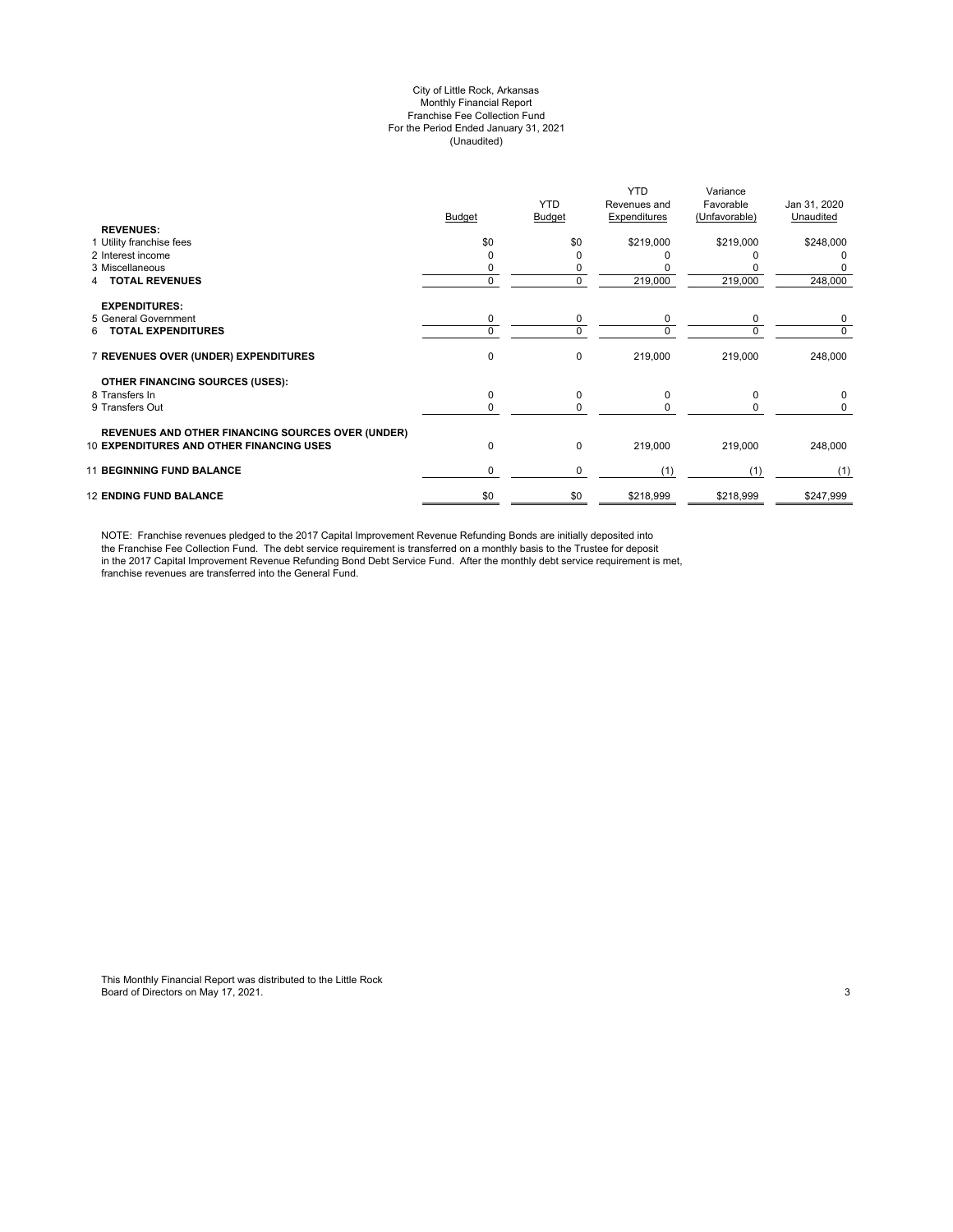#### City of Little Rock, Arkansas Monthly Financial Report Franchise Fee Collection Fund For the Period Ended January 31, 2021 (Unaudited)

|                                                          | Budget   | <b>YTD</b><br>Budget | <b>YTD</b><br>Revenues and<br>Expenditures | Variance<br>Favorable<br>(Unfavorable) | Jan 31, 2020<br>Unaudited |
|----------------------------------------------------------|----------|----------------------|--------------------------------------------|----------------------------------------|---------------------------|
| <b>REVENUES:</b><br>1 Utility franchise fees             | \$0      | \$0                  | \$219,000                                  | \$219,000                              | \$248,000                 |
| 2 Interest income                                        |          | ი                    |                                            |                                        |                           |
| 3 Miscellaneous                                          |          | 0                    |                                            |                                        |                           |
| <b>TOTAL REVENUES</b>                                    | $\Omega$ | 0                    | 219,000                                    | 219,000                                | 248,000                   |
| <b>EXPENDITURES:</b>                                     |          |                      |                                            |                                        |                           |
| 5 General Government                                     | 0        | 0                    | 0                                          | 0                                      | 0                         |
| <b>TOTAL EXPENDITURES</b><br>6.                          | $\Omega$ | 0                    | $\Omega$                                   | $\Omega$                               | 0                         |
| 7 REVENUES OVER (UNDER) EXPENDITURES                     | 0        | 0                    | 219,000                                    | 219,000                                | 248,000                   |
| OTHER FINANCING SOURCES (USES):                          |          |                      |                                            |                                        |                           |
| 8 Transfers In                                           | 0        | 0                    | $\Omega$                                   | $\Omega$                               | 0                         |
| 9 Transfers Out                                          | $\Omega$ | 0                    | $\Omega$                                   | <sup>0</sup>                           | 0                         |
| <b>REVENUES AND OTHER FINANCING SOURCES OVER (UNDER)</b> |          |                      |                                            |                                        |                           |
| <b>10 EXPENDITURES AND OTHER FINANCING USES</b>          | 0        | 0                    | 219,000                                    | 219,000                                | 248,000                   |
| <b>11 BEGINNING FUND BALANCE</b>                         | 0        | 0                    | (1)                                        | (1)                                    | (1)                       |
| <b>12 ENDING FUND BALANCE</b>                            | \$0      | \$0                  | \$218,999                                  | \$218,999                              | \$247,999                 |

NOTE: Franchise revenues pledged to the 2017 Capital Improvement Revenue Refunding Bonds are initially deposited into the Franchise Fee Collection Fund. The debt service requirement is transferred on a monthly basis to the Trustee for deposit in the 2017 Capital Improvement Revenue Refunding Bond Debt Service Fund. After the monthly debt service requirement is met, franchise revenues are transferred into the General Fund.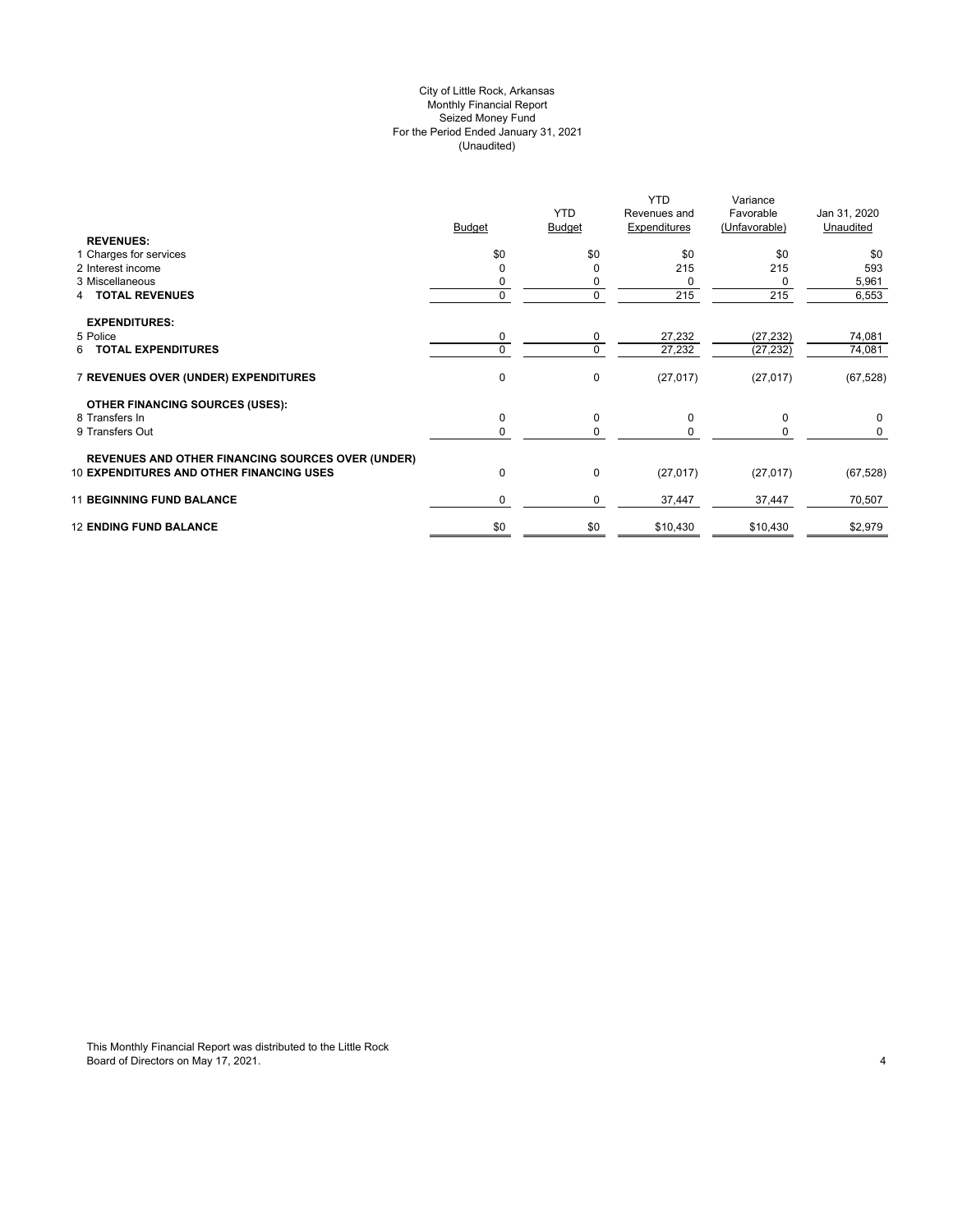# City of Little Rock, Arkansas (Unaudited) For the Period Ended January 31, 2021 Seized Money Fund Monthly Financial Report

| <b>REVENUES:</b>                                                                                            | <b>Budget</b> | <b>YTD</b><br><b>Budget</b> | YTD.<br>Revenues and<br>Expenditures | Variance<br>Favorable<br>(Unfavorable) | Jan 31, 2020<br>Unaudited |
|-------------------------------------------------------------------------------------------------------------|---------------|-----------------------------|--------------------------------------|----------------------------------------|---------------------------|
| 1 Charges for services                                                                                      | \$0           | \$0                         | \$0                                  | \$0                                    | \$0                       |
| 2 Interest income                                                                                           |               | 0                           | 215                                  | 215                                    | 593                       |
| 3 Miscellaneous                                                                                             |               |                             | 0                                    | 0                                      | 5,961                     |
| <b>4 TOTAL REVENUES</b>                                                                                     |               | 0                           | 215                                  | 215                                    | 6,553                     |
| <b>EXPENDITURES:</b>                                                                                        |               |                             |                                      |                                        |                           |
| 5 Police                                                                                                    | 0             | 0                           | 27,232                               | (27, 232)                              | 74,081                    |
| 6 TOTAL EXPENDITURES                                                                                        |               | 0                           | 27,232                               | (27, 232)                              | 74,081                    |
| 7 REVENUES OVER (UNDER) EXPENDITURES                                                                        | $\mathbf 0$   | 0                           | (27, 017)                            | (27, 017)                              | (67, 528)                 |
| <b>OTHER FINANCING SOURCES (USES):</b>                                                                      |               |                             |                                      |                                        |                           |
| 8 Transfers In                                                                                              | $\mathbf 0$   | 0                           | 0                                    | 0                                      | 0                         |
| 9 Transfers Out                                                                                             |               | 0                           | $\Omega$                             | 0                                      | 0                         |
| <b>REVENUES AND OTHER FINANCING SOURCES OVER (UNDER)</b><br><b>10 EXPENDITURES AND OTHER FINANCING USES</b> | $\mathbf 0$   | 0                           | (27, 017)                            | (27, 017)                              | (67, 528)                 |
|                                                                                                             |               |                             |                                      |                                        |                           |
| <b>11 BEGINNING FUND BALANCE</b>                                                                            | 0             | 0                           | 37,447                               | 37,447                                 | 70,507                    |
| <b>12 ENDING FUND BALANCE</b>                                                                               | \$0           | \$0                         | \$10,430                             | \$10,430                               | \$2,979                   |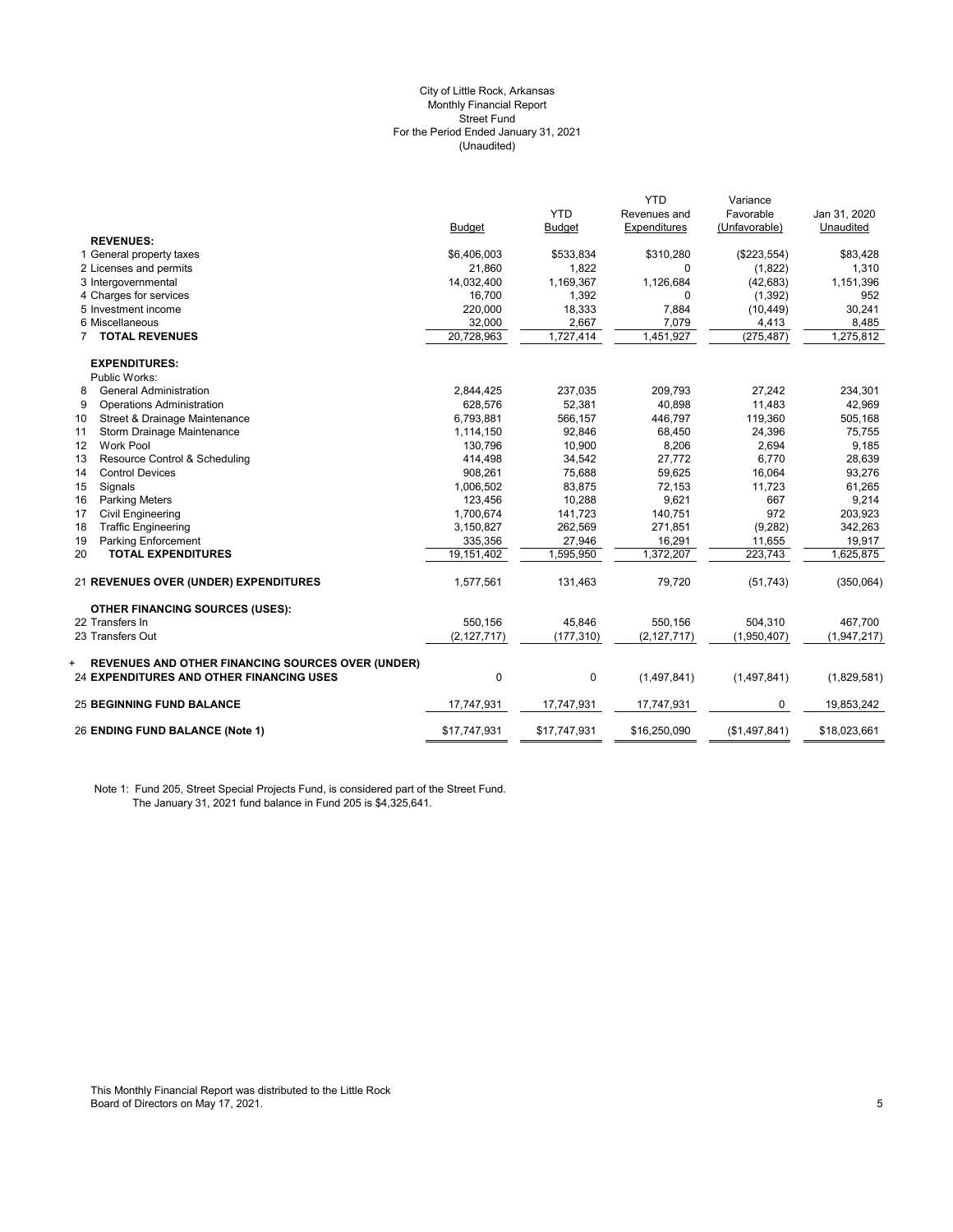#### (Unaudited) City of Little Rock, Arkansas Monthly Financial Report Street Fund For the Period Ended January 31, 2021

|                                                                                                                  |               |               | <b>YTD</b>    | Variance      |              |
|------------------------------------------------------------------------------------------------------------------|---------------|---------------|---------------|---------------|--------------|
|                                                                                                                  |               | <b>YTD</b>    | Revenues and  | Favorable     | Jan 31, 2020 |
|                                                                                                                  | <b>Budget</b> | <b>Budget</b> | Expenditures  | (Unfavorable) | Unaudited    |
| <b>REVENUES:</b>                                                                                                 |               |               |               |               |              |
| 1 General property taxes                                                                                         | \$6,406,003   | \$533,834     | \$310,280     | (\$223,554)   | \$83,428     |
| 2 Licenses and permits                                                                                           | 21,860        | 1,822         | $\Omega$      | (1,822)       | 1,310        |
| 3 Intergovernmental                                                                                              | 14,032,400    | 1,169,367     | 1,126,684     | (42, 683)     | 1,151,396    |
| 4 Charges for services                                                                                           | 16,700        | 1,392         | 0             | (1, 392)      | 952          |
| 5 Investment income                                                                                              | 220,000       | 18,333        | 7,884         | (10, 449)     | 30,241       |
| 6 Miscellaneous                                                                                                  | 32,000        | 2,667         | 7,079         | 4,413         | 8,485        |
| <b>TOTAL REVENUES</b><br>7                                                                                       | 20,728,963    | 1,727,414     | 1,451,927     | (275, 487)    | 1,275,812    |
| <b>EXPENDITURES:</b>                                                                                             |               |               |               |               |              |
| Public Works:                                                                                                    |               |               |               |               |              |
| <b>General Administration</b><br>8                                                                               | 2,844,425     | 237,035       | 209,793       | 27,242        | 234,301      |
| 9<br><b>Operations Administration</b>                                                                            | 628,576       | 52,381        | 40,898        | 11,483        | 42,969       |
| Street & Drainage Maintenance<br>10                                                                              | 6,793,881     | 566,157       | 446,797       | 119,360       | 505,168      |
| Storm Drainage Maintenance<br>11                                                                                 | 1,114,150     | 92,846        | 68,450        | 24,396        | 75,755       |
| <b>Work Pool</b><br>12 <sup>2</sup>                                                                              | 130,796       | 10,900        | 8,206         | 2,694         | 9,185        |
| 13<br>Resource Control & Scheduling                                                                              | 414,498       | 34,542        | 27,772        | 6,770         | 28,639       |
| <b>Control Devices</b><br>14                                                                                     | 908,261       | 75,688        | 59,625        | 16,064        | 93,276       |
| Signals<br>15                                                                                                    | 1,006,502     | 83,875        | 72,153        | 11,723        | 61,265       |
| 16<br><b>Parking Meters</b>                                                                                      | 123,456       | 10,288        | 9,621         | 667           | 9,214        |
| 17<br><b>Civil Engineering</b>                                                                                   | 1,700,674     | 141,723       | 140,751       | 972           | 203,923      |
| <b>Traffic Engineering</b><br>18                                                                                 | 3,150,827     | 262.569       | 271,851       | (9, 282)      | 342.263      |
| Parking Enforcement<br>19                                                                                        | 335,356       | 27,946        | 16,291        | 11,655        | 19,917       |
| <b>TOTAL EXPENDITURES</b><br>20                                                                                  | 19,151,402    | 1,595,950     | 1,372,207     | 223,743       | 1,625,875    |
| 21 REVENUES OVER (UNDER) EXPENDITURES                                                                            | 1,577,561     | 131,463       | 79,720        | (51, 743)     | (350,064)    |
| <b>OTHER FINANCING SOURCES (USES):</b>                                                                           |               |               |               |               |              |
| 22 Transfers In                                                                                                  | 550.156       | 45.846        | 550.156       | 504.310       | 467.700      |
| 23 Transfers Out                                                                                                 | (2, 127, 717) | (177, 310)    | (2, 127, 717) | (1,950,407)   | (1,947,217)  |
| <b>REVENUES AND OTHER FINANCING SOURCES OVER (UNDER)</b><br>+<br><b>24 EXPENDITURES AND OTHER FINANCING USES</b> | $\mathbf{0}$  | 0             | (1,497,841)   | (1,497,841)   | (1,829,581)  |
| <b>25 BEGINNING FUND BALANCE</b>                                                                                 | 17,747,931    | 17,747,931    | 17,747,931    | 0             | 19,853,242   |
| 26 ENDING FUND BALANCE (Note 1)                                                                                  | \$17,747,931  | \$17,747,931  | \$16,250,090  | (\$1,497,841) | \$18,023,661 |

Note 1: Fund 205, Street Special Projects Fund, is considered part of the Street Fund. The January 31, 2021 fund balance in Fund 205 is \$4,325,641.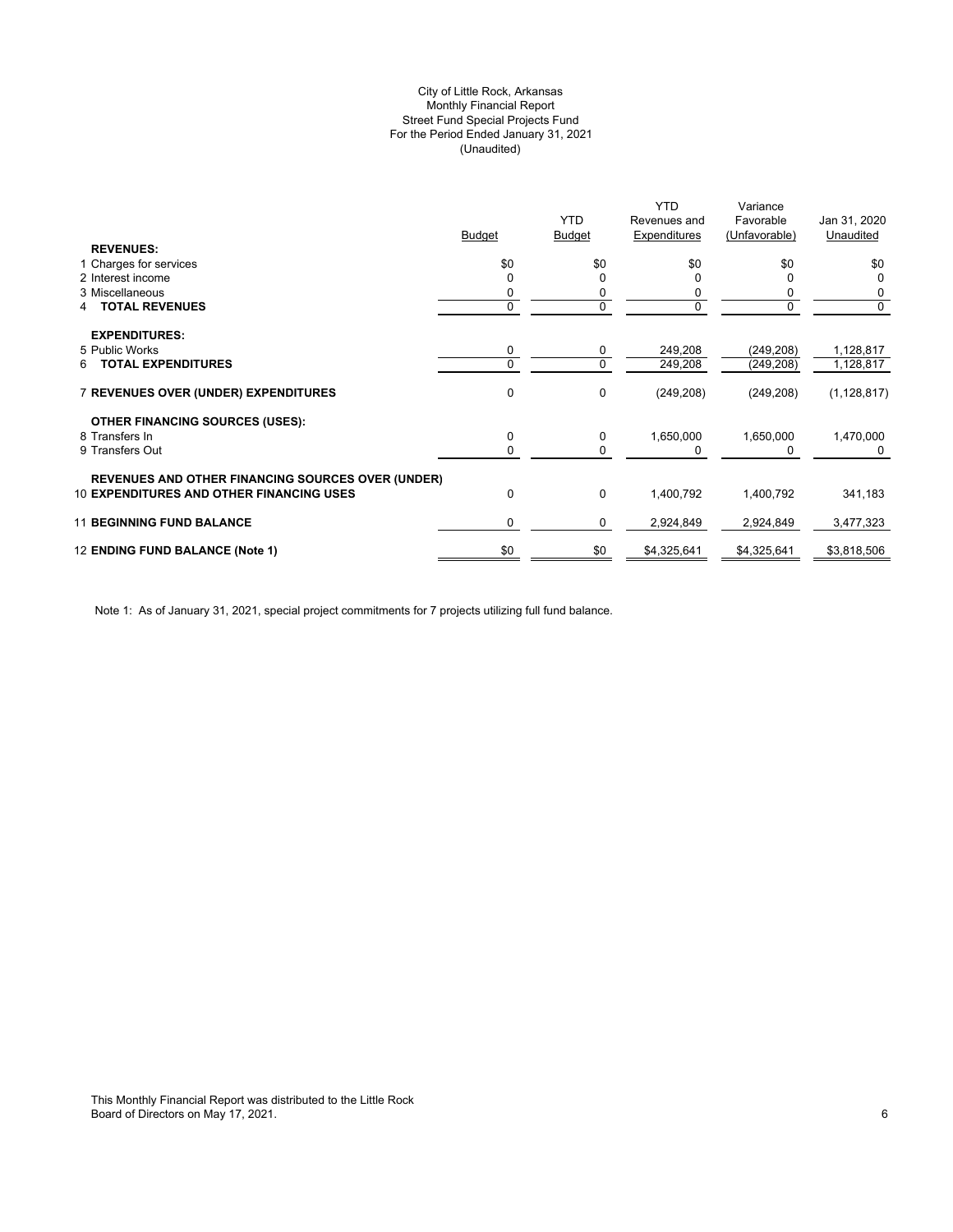# (Unaudited) City of Little Rock, Arkansas Monthly Financial Report Street Fund Special Projects Fund For the Period Ended January 31, 2021

| Expenditures<br>(Unfavorable)<br>Unaudited<br><b>Budget</b><br><b>Budget</b><br><b>REVENUES:</b><br>\$0<br>\$0<br>\$0<br>\$0<br>1 Charges for services<br>2 Interest income<br>0<br>3 Miscellaneous<br>0<br>0<br>0<br><b>TOTAL REVENUES</b><br>0<br>0<br>4<br><b>EXPENDITURES:</b><br>5 Public Works<br>0<br>(249, 208)<br>0<br>249,208<br>$\mathbf 0$<br><b>TOTAL EXPENDITURES</b><br>0<br>249,208<br>(249, 208)<br>6<br>0<br><b>7 REVENUES OVER (UNDER) EXPENDITURES</b><br>0<br>(249, 208)<br>(249, 208)<br><b>OTHER FINANCING SOURCES (USES):</b><br>8 Transfers In<br>0<br>1,650,000<br>1,650,000<br>0<br>9 Transfers Out<br>0<br>0<br><b>REVENUES AND OTHER FINANCING SOURCES OVER (UNDER)</b><br><b>10 EXPENDITURES AND OTHER FINANCING USES</b><br>0<br>$\Omega$<br>1,400,792<br>1,400,792<br><b>11 BEGINNING FUND BALANCE</b><br>0<br>0<br>2,924,849<br>2,924,849 |                                 |     |            | <b>YTD</b>   | Variance    |                |
|----------------------------------------------------------------------------------------------------------------------------------------------------------------------------------------------------------------------------------------------------------------------------------------------------------------------------------------------------------------------------------------------------------------------------------------------------------------------------------------------------------------------------------------------------------------------------------------------------------------------------------------------------------------------------------------------------------------------------------------------------------------------------------------------------------------------------------------------------------------------------|---------------------------------|-----|------------|--------------|-------------|----------------|
|                                                                                                                                                                                                                                                                                                                                                                                                                                                                                                                                                                                                                                                                                                                                                                                                                                                                            |                                 |     | <b>YTD</b> | Revenues and | Favorable   | Jan 31, 2020   |
|                                                                                                                                                                                                                                                                                                                                                                                                                                                                                                                                                                                                                                                                                                                                                                                                                                                                            |                                 |     |            |              |             |                |
|                                                                                                                                                                                                                                                                                                                                                                                                                                                                                                                                                                                                                                                                                                                                                                                                                                                                            |                                 |     |            |              |             |                |
|                                                                                                                                                                                                                                                                                                                                                                                                                                                                                                                                                                                                                                                                                                                                                                                                                                                                            |                                 |     |            |              |             | \$0            |
|                                                                                                                                                                                                                                                                                                                                                                                                                                                                                                                                                                                                                                                                                                                                                                                                                                                                            |                                 |     |            |              |             | 0              |
|                                                                                                                                                                                                                                                                                                                                                                                                                                                                                                                                                                                                                                                                                                                                                                                                                                                                            |                                 |     |            |              |             | 0              |
|                                                                                                                                                                                                                                                                                                                                                                                                                                                                                                                                                                                                                                                                                                                                                                                                                                                                            |                                 |     |            |              |             | $\overline{0}$ |
|                                                                                                                                                                                                                                                                                                                                                                                                                                                                                                                                                                                                                                                                                                                                                                                                                                                                            |                                 |     |            |              |             |                |
|                                                                                                                                                                                                                                                                                                                                                                                                                                                                                                                                                                                                                                                                                                                                                                                                                                                                            |                                 |     |            |              |             | 1,128,817      |
|                                                                                                                                                                                                                                                                                                                                                                                                                                                                                                                                                                                                                                                                                                                                                                                                                                                                            |                                 |     |            |              |             | 1,128,817      |
|                                                                                                                                                                                                                                                                                                                                                                                                                                                                                                                                                                                                                                                                                                                                                                                                                                                                            |                                 |     |            |              |             | (1, 128, 817)  |
|                                                                                                                                                                                                                                                                                                                                                                                                                                                                                                                                                                                                                                                                                                                                                                                                                                                                            |                                 |     |            |              |             |                |
|                                                                                                                                                                                                                                                                                                                                                                                                                                                                                                                                                                                                                                                                                                                                                                                                                                                                            |                                 |     |            |              |             | 1,470,000      |
|                                                                                                                                                                                                                                                                                                                                                                                                                                                                                                                                                                                                                                                                                                                                                                                                                                                                            |                                 |     |            |              |             |                |
|                                                                                                                                                                                                                                                                                                                                                                                                                                                                                                                                                                                                                                                                                                                                                                                                                                                                            |                                 |     |            |              |             |                |
|                                                                                                                                                                                                                                                                                                                                                                                                                                                                                                                                                                                                                                                                                                                                                                                                                                                                            |                                 |     |            |              |             | 341,183        |
|                                                                                                                                                                                                                                                                                                                                                                                                                                                                                                                                                                                                                                                                                                                                                                                                                                                                            |                                 |     |            |              |             | 3,477,323      |
|                                                                                                                                                                                                                                                                                                                                                                                                                                                                                                                                                                                                                                                                                                                                                                                                                                                                            | 12 ENDING FUND BALANCE (Note 1) | \$0 | \$0        | \$4,325,641  | \$4,325,641 | \$3,818,506    |

Note 1: As of January 31, 2021, special project commitments for 7 projects utilizing full fund balance.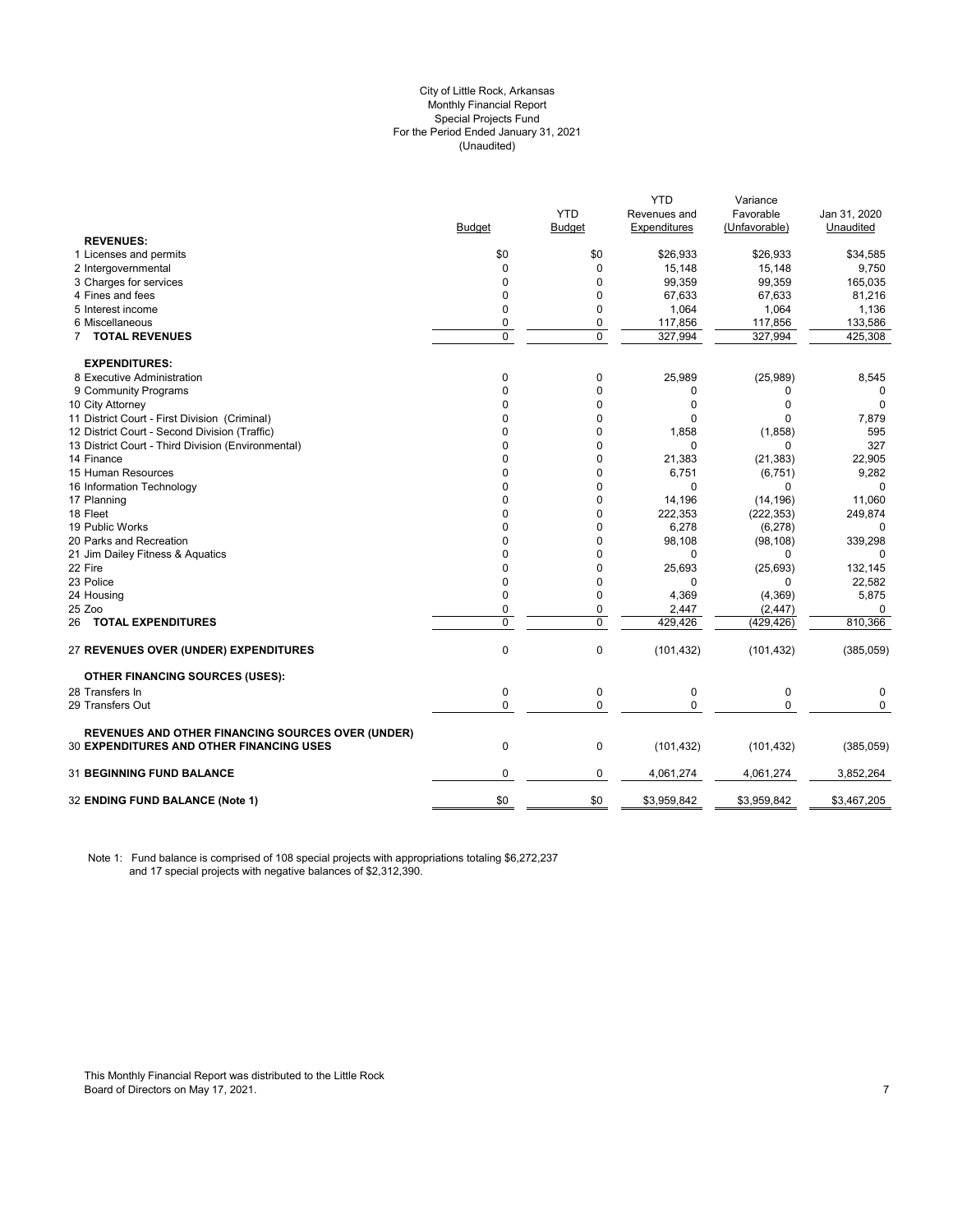#### City of Little Rock, Arkansas (Unaudited) For the Period Ended January 31, 2021 Special Projects Fund Monthly Financial Report

|                                                                                                             |              | <b>YTD</b>  | <b>YTD</b><br>Revenues and | Variance<br>Favorable | Jan 31, 2020      |
|-------------------------------------------------------------------------------------------------------------|--------------|-------------|----------------------------|-----------------------|-------------------|
| <b>REVENUES:</b>                                                                                            | Budget       | Budget      | Expenditures               | (Unfavorable)         | Unaudited         |
| 1 Licenses and permits                                                                                      | \$0          | \$0         | \$26,933                   | \$26,933              |                   |
| 2 Intergovernmental                                                                                         | 0            | $\Omega$    | 15,148                     | 15,148                | \$34,585<br>9,750 |
| 3 Charges for services                                                                                      | 0            | $\Omega$    | 99,359                     | 99,359                | 165,035           |
| 4 Fines and fees                                                                                            | 0            | $\Omega$    | 67,633                     | 67,633                | 81,216            |
| 5 Interest income                                                                                           | $\Omega$     | $\Omega$    | 1,064                      | 1,064                 | 1,136             |
| 6 Miscellaneous                                                                                             | 0            | 0           | 117,856                    | 117,856               | 133,586           |
| 7 TOTAL REVENUES                                                                                            | $\mathbf 0$  | $\mathbf 0$ | 327,994                    | 327,994               | 425,308           |
|                                                                                                             |              |             |                            |                       |                   |
| <b>EXPENDITURES:</b>                                                                                        |              |             |                            |                       |                   |
| 8 Executive Administration                                                                                  | 0            | 0           | 25,989                     | (25,989)              | 8,545             |
| 9 Community Programs                                                                                        | $\Omega$     | $\Omega$    | 0                          | 0                     | 0                 |
| 10 City Attorney                                                                                            | $\Omega$     | $\Omega$    | $\Omega$                   | $\Omega$              | $\Omega$          |
| 11 District Court - First Division (Criminal)                                                               | $\Omega$     | 0           | 0                          | $\Omega$              | 7,879             |
| 12 District Court - Second Division (Traffic)                                                               | $\Omega$     | $\Omega$    | 1,858                      | (1,858)               | 595               |
| 13 District Court - Third Division (Environmental)                                                          | $\Omega$     | $\Omega$    | $\Omega$                   | $\Omega$              | 327               |
| 14 Finance                                                                                                  | $\Omega$     | 0           | 21,383                     | (21, 383)             | 22,905            |
| 15 Human Resources                                                                                          | 0            | 0           | 6,751                      | (6, 751)              | 9,282             |
| 16 Information Technology                                                                                   | $\Omega$     | $\Omega$    | 0                          | $\Omega$              |                   |
| 17 Planning                                                                                                 | $\Omega$     | $\Omega$    | 14,196                     | (14, 196)             | 11,060            |
| 18 Fleet                                                                                                    | $\Omega$     | $\Omega$    | 222,353                    | (222, 353)            | 249,874           |
| 19 Public Works                                                                                             | $\Omega$     | $\Omega$    | 6,278                      | (6, 278)              | 0                 |
| 20 Parks and Recreation                                                                                     | 0            | 0           | 98,108                     | (98, 108)             | 339,298           |
| 21 Jim Dailey Fitness & Aquatics                                                                            | $\Omega$     | $\Omega$    | $\Omega$                   | $\Omega$              | 0                 |
| 22 Fire                                                                                                     | $\Omega$     | 0           | 25,693                     | (25, 693)             | 132,145           |
| 23 Police                                                                                                   | $\mathbf 0$  | 0           | $\Omega$                   | $\Omega$              | 22,582            |
| 24 Housing                                                                                                  | $\mathbf 0$  | 0           | 4,369                      | (4, 369)              | 5,875             |
| 25 Zoo                                                                                                      | $\mathbf{0}$ | 0           | 2,447                      | (2, 447)              | 0                 |
| 26 TOTAL EXPENDITURES                                                                                       | $\mathbf 0$  | $\mathbf 0$ | 429,426                    | (429, 426)            | 810,366           |
| 27 REVENUES OVER (UNDER) EXPENDITURES                                                                       | 0            | 0           | (101, 432)                 | (101, 432)            | (385,059)         |
| <b>OTHER FINANCING SOURCES (USES):</b>                                                                      |              |             |                            |                       |                   |
| 28 Transfers In                                                                                             | 0            | $\pmb{0}$   | 0                          | $\pmb{0}$             | 0                 |
| 29 Transfers Out                                                                                            | $\mathbf 0$  | $\mathbf 0$ | $\Omega$                   | $\mathbf 0$           | $\Omega$          |
|                                                                                                             |              |             |                            |                       |                   |
| <b>REVENUES AND OTHER FINANCING SOURCES OVER (UNDER)</b><br><b>30 EXPENDITURES AND OTHER FINANCING USES</b> | $\mathbf 0$  | $\pmb{0}$   | (101, 432)                 | (101, 432)            | (385,059)         |
| <b>31 BEGINNING FUND BALANCE</b>                                                                            | $\mathbf 0$  | 0           | 4,061,274                  | 4,061,274             | 3,852,264         |
| 32 ENDING FUND BALANCE (Note 1)                                                                             | \$0          | \$0         | \$3,959,842                | \$3,959,842           | \$3,467,205       |
|                                                                                                             |              |             |                            |                       |                   |

Note 1: Fund balance is comprised of 108 special projects with appropriations totaling \$6,272,237 and 17 special projects with negative balances of \$2,312,390.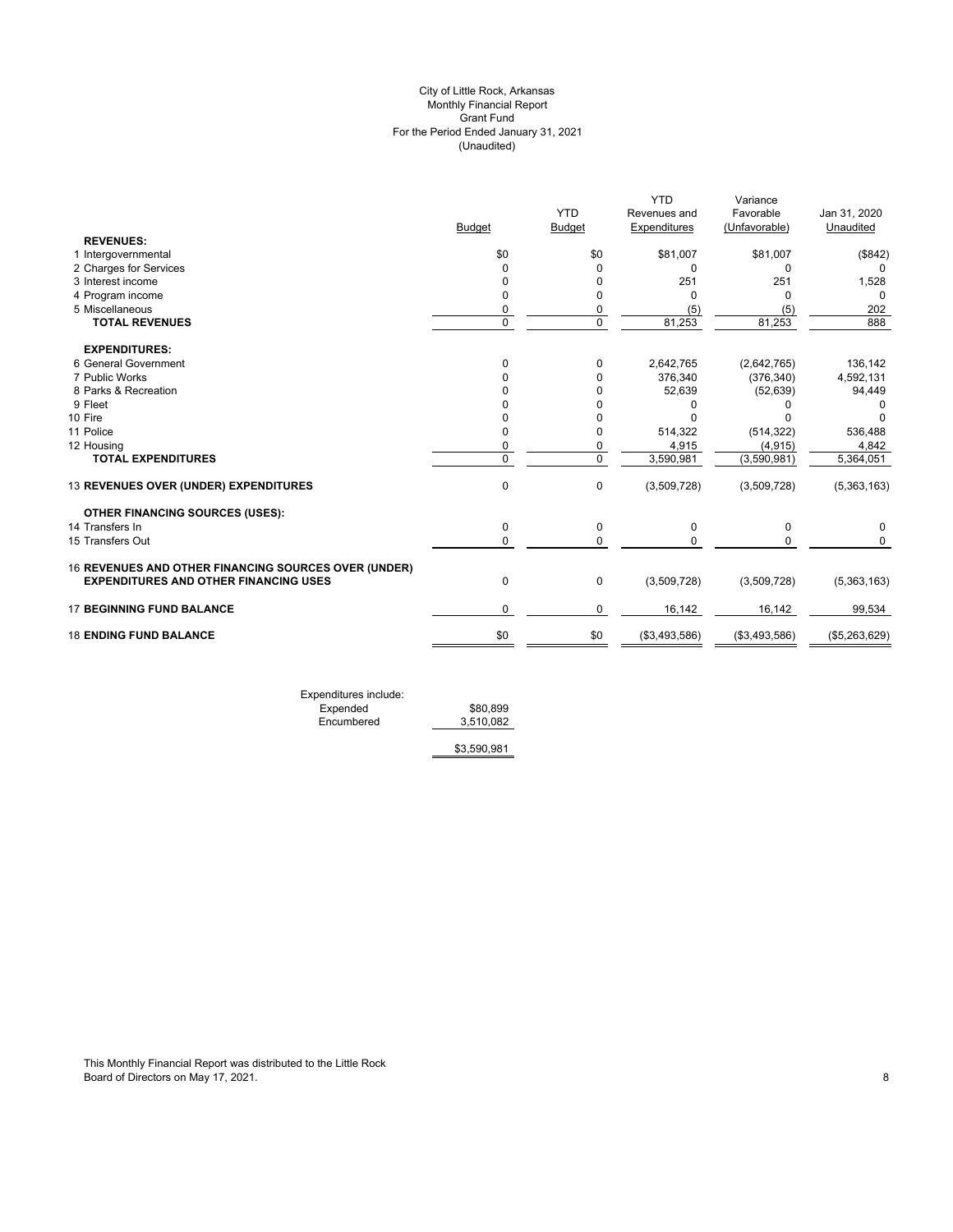# (Unaudited) City of Little Rock, Arkansas Monthly Financial Report Grant Fund For the Period Ended January 31, 2021

|                                                      |               | <b>YTD</b>    | <b>YTD</b><br>Revenues and | Variance<br>Favorable | Jan 31, 2020  |
|------------------------------------------------------|---------------|---------------|----------------------------|-----------------------|---------------|
|                                                      | <b>Budget</b> | <b>Budget</b> | Expenditures               | (Unfavorable)         | Unaudited     |
| <b>REVENUES:</b>                                     |               |               |                            |                       |               |
| 1 Intergovernmental                                  | \$0           | \$0           | \$81,007                   | \$81,007              | (\$842)       |
| 2 Charges for Services                               | 0             | $\Omega$      | 0                          | 0                     | 0             |
| 3 Interest income                                    | <sup>0</sup>  | 0             | 251                        | 251                   | 1,528         |
| 4 Program income                                     | $\Omega$      | $\Omega$      | <sup>0</sup>               | $\Omega$              | $\Omega$      |
| 5 Miscellaneous                                      | 0             | 0             | (5)                        | (5)                   | 202           |
| <b>TOTAL REVENUES</b>                                | $\Omega$      | $\mathbf 0$   | 81,253                     | 81,253                | 888           |
| <b>EXPENDITURES:</b>                                 |               |               |                            |                       |               |
| 6 General Government                                 | $\Omega$      | 0             | 2,642,765                  | (2,642,765)           | 136,142       |
| 7 Public Works                                       |               | 0             | 376,340                    | (376, 340)            | 4,592,131     |
| 8 Parks & Recreation                                 |               | 0             | 52,639                     | (52, 639)             | 94,449        |
| 9 Fleet                                              |               | 0             | n                          | n                     | 0             |
| 10 Fire                                              |               | 0             |                            |                       |               |
| 11 Police                                            | O             | 0             | 514,322                    | (514, 322)            | 536,488       |
| 12 Housing                                           | 0             | 0             | 4,915                      | (4, 915)              | 4,842         |
| <b>TOTAL EXPENDITURES</b>                            | $\Omega$      | $\mathbf 0$   | 3,590,981                  | (3,590,981)           | 5,364,051     |
| 13 REVENUES OVER (UNDER) EXPENDITURES                | $\mathbf{0}$  | 0             | (3,509,728)                | (3,509,728)           | (5,363,163)   |
| <b>OTHER FINANCING SOURCES (USES):</b>               |               |               |                            |                       |               |
| 14 Transfers In                                      | 0             | 0             | 0                          | 0                     | 0             |
| 15 Transfers Out                                     | $\mathbf{0}$  | 0             | $\Omega$                   | $\Omega$              | $\Omega$      |
| 16 REVENUES AND OTHER FINANCING SOURCES OVER (UNDER) |               |               |                            |                       |               |
| <b>EXPENDITURES AND OTHER FINANCING USES</b>         | $\mathbf{0}$  | 0             | (3,509,728)                | (3,509,728)           | (5,363,163)   |
| <b>17 BEGINNING FUND BALANCE</b>                     | $\Omega$      | 0             | 16,142                     | 16,142                | 99,534        |
| <b>18 ENDING FUND BALANCE</b>                        | \$0           | \$0           | (\$3,493,586)              | (\$3,493,586)         | (\$5,263,629) |
|                                                      |               |               |                            |                       |               |

Expenditures include: Expended \$80,899 Expended \$80,899<br>Encumbered \$80,899

\$3,590,981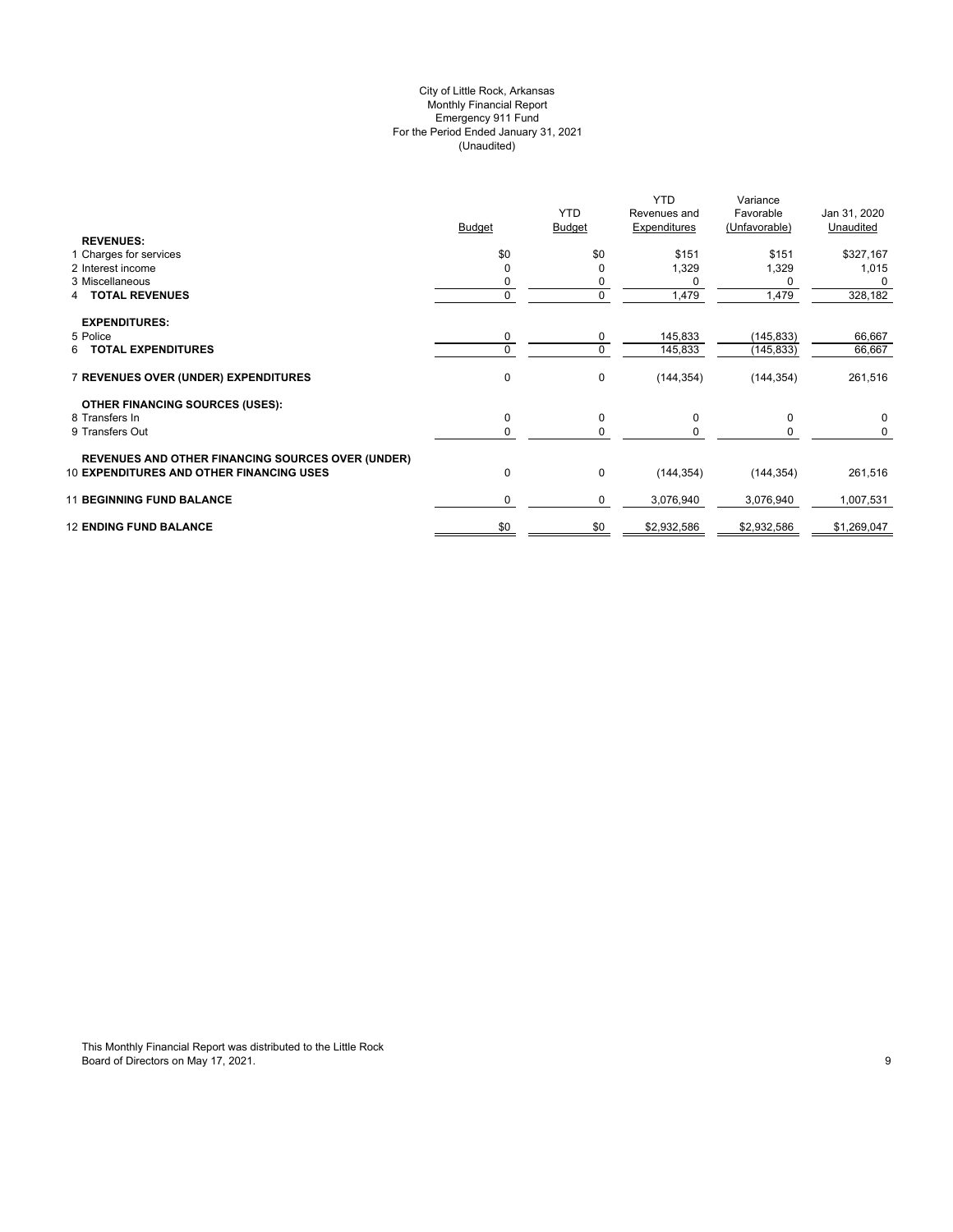# (Unaudited) City of Little Rock, Arkansas Monthly Financial Report Emergency 911 Fund For the Period Ended January 31, 2021

|                                                          |               | <b>YTD</b>    | <b>YTD</b><br>Revenues and | Variance<br>Favorable | Jan 31, 2020 |
|----------------------------------------------------------|---------------|---------------|----------------------------|-----------------------|--------------|
|                                                          | <b>Budget</b> | <b>Budget</b> | Expenditures               | (Unfavorable)         | Unaudited    |
| <b>REVENUES:</b>                                         |               |               |                            |                       |              |
| 1 Charges for services                                   | \$0           | \$0           | \$151                      | \$151                 | \$327,167    |
| 2 Interest income                                        |               | 0             | 1,329                      | 1,329                 | 1,015        |
| 3 Miscellaneous                                          |               |               |                            | 0                     | $\Omega$     |
| <b>TOTAL REVENUES</b>                                    |               | $\mathbf 0$   | 1,479                      | 1,479                 | 328,182      |
| <b>EXPENDITURES:</b>                                     |               |               |                            |                       |              |
| 5 Police                                                 | 0             | $\mathbf 0$   | 145,833                    | (145, 833)            | 66,667       |
| <b>TOTAL EXPENDITURES</b><br>6                           | 0             | $\mathbf 0$   | 145,833                    | (145, 833)            | 66,667       |
|                                                          |               |               |                            |                       |              |
| 7 REVENUES OVER (UNDER) EXPENDITURES                     | 0             | 0             | (144, 354)                 | (144, 354)            | 261,516      |
|                                                          |               |               |                            |                       |              |
| <b>OTHER FINANCING SOURCES (USES):</b>                   |               |               |                            |                       |              |
| 8 Transfers In                                           | 0             | 0             | 0                          | 0                     | 0            |
| 9 Transfers Out                                          | 0             | $\mathbf 0$   |                            | 0                     | 0            |
|                                                          |               |               |                            |                       |              |
| <b>REVENUES AND OTHER FINANCING SOURCES OVER (UNDER)</b> |               |               |                            |                       |              |
| <b>10 EXPENDITURES AND OTHER FINANCING USES</b>          | 0             | 0             | (144, 354)                 | (144, 354)            | 261,516      |
| <b>11 BEGINNING FUND BALANCE</b>                         | 0             | 0             | 3,076,940                  | 3,076,940             | 1,007,531    |
|                                                          |               |               |                            |                       |              |
| <b>12 ENDING FUND BALANCE</b>                            | \$0           | \$0           | \$2,932,586                | \$2,932,586           | \$1,269,047  |
|                                                          |               |               |                            |                       |              |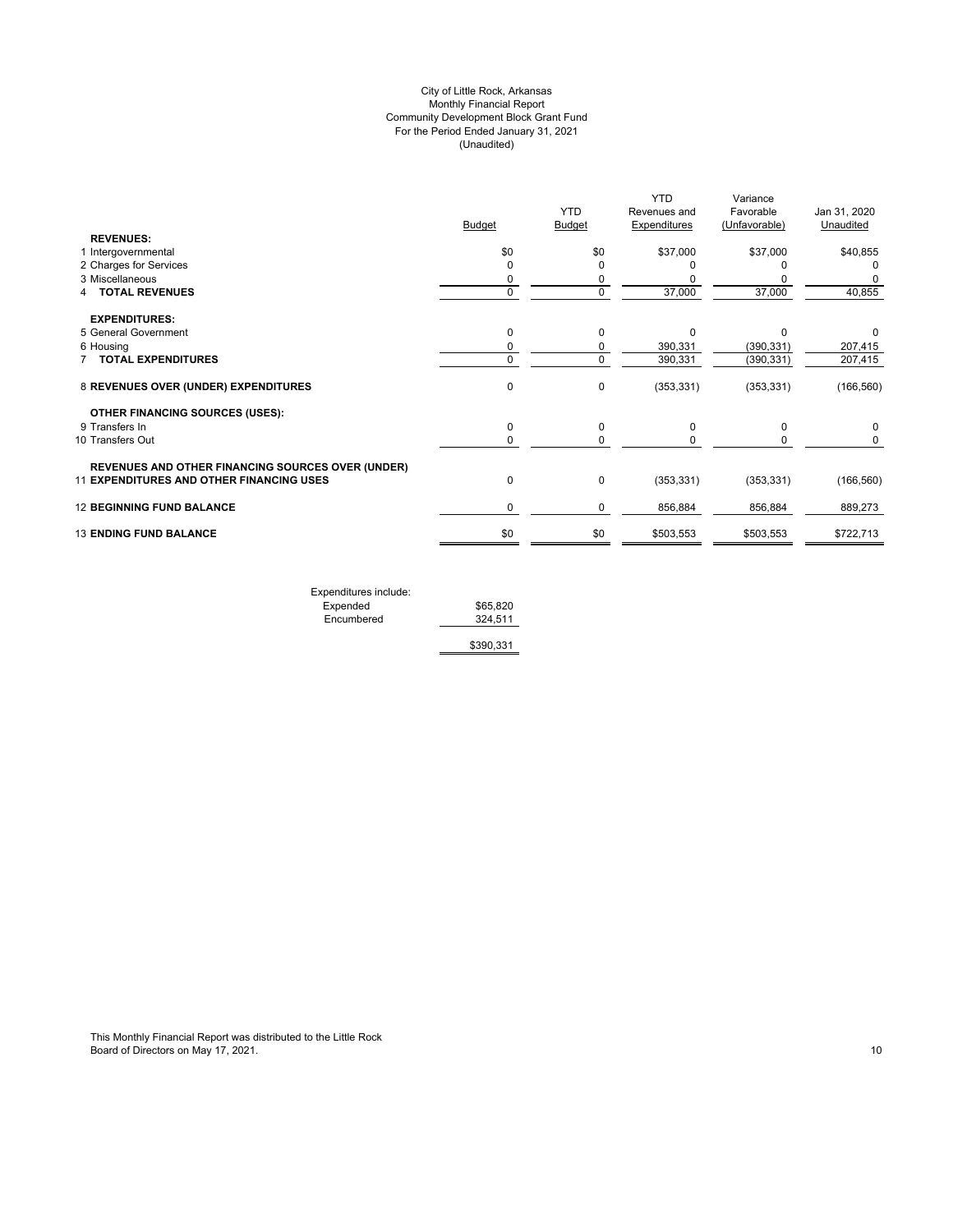# (Unaudited) City of Little Rock, Arkansas Monthly Financial Report Community Development Block Grant Fund For the Period Ended January 31, 2021

|                                                                                                      |               | <b>YTD</b>    | <b>YTD</b><br>Revenues and | Variance<br>Favorable | Jan 31, 2020 |
|------------------------------------------------------------------------------------------------------|---------------|---------------|----------------------------|-----------------------|--------------|
|                                                                                                      | <b>Budget</b> | <b>Budget</b> | Expenditures               | (Unfavorable)         | Unaudited    |
| <b>REVENUES:</b>                                                                                     |               |               |                            |                       |              |
| 1 Intergovernmental                                                                                  | \$0           | \$0           | \$37,000                   | \$37,000              | \$40,855     |
| 2 Charges for Services                                                                               | $\Omega$      |               |                            |                       | 0            |
| 3 Miscellaneous                                                                                      | 0             | 0             |                            |                       |              |
| <b>TOTAL REVENUES</b>                                                                                | $\mathbf 0$   | $\mathbf 0$   | 37,000                     | 37,000                | 40,855       |
| <b>EXPENDITURES:</b>                                                                                 |               |               |                            |                       |              |
| 5 General Government                                                                                 | 0             | $\mathbf 0$   | $\Omega$                   | C                     | 0            |
| 6 Housing                                                                                            | 0             | 0             | 390,331                    | (390, 331)            | 207,415      |
| <b>TOTAL EXPENDITURES</b>                                                                            | 0             | $\Omega$      | 390,331                    | (390, 331)            | 207,415      |
| 8 REVENUES OVER (UNDER) EXPENDITURES                                                                 | 0             | 0             | (353, 331)                 | (353, 331)            | (166, 560)   |
| <b>OTHER FINANCING SOURCES (USES):</b>                                                               |               |               |                            |                       |              |
| 9 Transfers In                                                                                       | 0             | 0             | 0                          | 0                     | 0            |
| 10 Transfers Out                                                                                     | 0             | 0             |                            | 0                     | 0            |
|                                                                                                      |               |               |                            |                       |              |
| <b>REVENUES AND OTHER FINANCING SOURCES OVER (UNDER)</b><br>11 EXPENDITURES AND OTHER FINANCING USES | 0             | 0             | (353, 331)                 | (353, 331)            | (166, 560)   |
| <b>12 BEGINNING FUND BALANCE</b>                                                                     | 0             | 0             | 856,884                    | 856,884               | 889,273      |
| <b>13 ENDING FUND BALANCE</b>                                                                        | \$0           | \$0           | \$503,553                  | \$503,553             | \$722,713    |
|                                                                                                      |               |               |                            |                       |              |

| Expenditures include: |           |
|-----------------------|-----------|
| Expended              | \$65,820  |
| Encumbered            | 324.511   |
|                       | \$390,331 |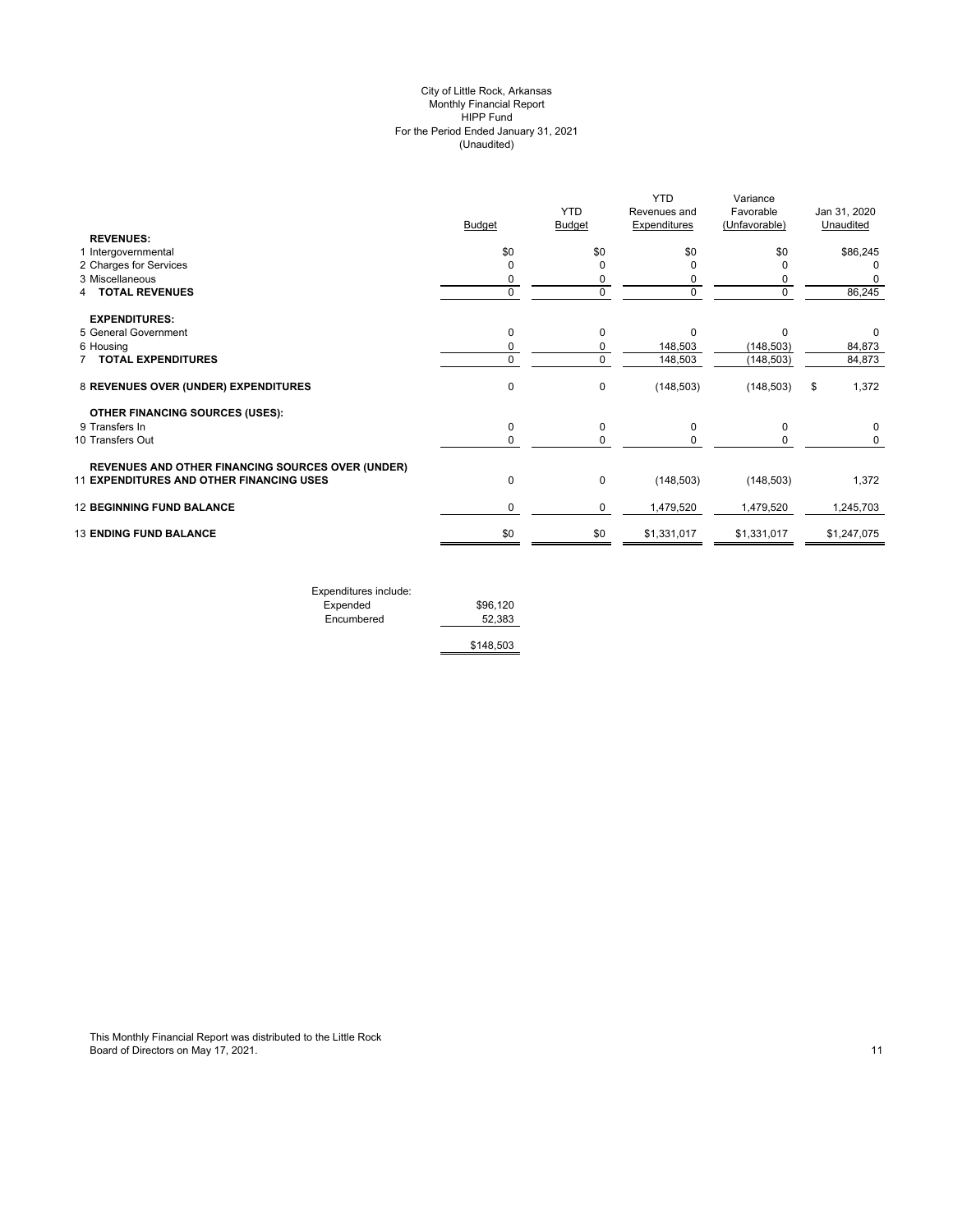#### (Unaudited) City of Little Rock, Arkansas Monthly Financial Report HIPP Fund For the Period Ended January 31, 2021

|                                                                                                      | <b>Budget</b> | <b>YTD</b><br>Budget | <b>YTD</b><br>Revenues and<br>Expenditures | Variance<br>Favorable<br>(Unfavorable) | Jan 31, 2020<br>Unaudited |
|------------------------------------------------------------------------------------------------------|---------------|----------------------|--------------------------------------------|----------------------------------------|---------------------------|
| <b>REVENUES:</b>                                                                                     |               |                      |                                            |                                        |                           |
| 1 Intergovernmental<br>2 Charges for Services                                                        | \$0<br>0      | \$0<br>$\Omega$      | \$0<br>O                                   | \$0<br>O                               | \$86,245<br>0             |
| 3 Miscellaneous                                                                                      | 0             | 0                    | 0                                          | 0                                      |                           |
| <b>TOTAL REVENUES</b>                                                                                | 0             | $\Omega$             | $\Omega$                                   | $\mathbf 0$                            | 86,245                    |
| <b>EXPENDITURES:</b>                                                                                 |               |                      |                                            |                                        |                           |
| 5 General Government                                                                                 | $\mathbf 0$   | $\Omega$             | $\Omega$                                   | $\Omega$                               | 0                         |
| 6 Housing                                                                                            | 0             | $\Omega$             | 148,503                                    | (148, 503)                             | 84,873                    |
| 7 TOTAL EXPENDITURES                                                                                 | 0             | $\Omega$             | 148,503                                    | (148, 503)                             | 84,873                    |
| 8 REVENUES OVER (UNDER) EXPENDITURES                                                                 | $\mathbf 0$   | $\mathbf 0$          | (148, 503)                                 | (148, 503)                             | 1,372<br>\$               |
| <b>OTHER FINANCING SOURCES (USES):</b>                                                               |               |                      |                                            |                                        |                           |
| 9 Transfers In                                                                                       | $\mathbf 0$   | 0                    | 0                                          | 0                                      | $\Omega$                  |
| 10 Transfers Out                                                                                     | 0             | 0                    | 0                                          | 0                                      | 0                         |
| <b>REVENUES AND OTHER FINANCING SOURCES OVER (UNDER)</b><br>11 EXPENDITURES AND OTHER FINANCING USES | $\mathbf 0$   | $\mathbf 0$          | (148, 503)                                 | (148, 503)                             | 1,372                     |
| <b>12 BEGINNING FUND BALANCE</b>                                                                     | 0             | 0                    | 1,479,520                                  | 1,479,520                              | 1,245,703                 |
|                                                                                                      |               |                      |                                            |                                        |                           |
| <b>13 ENDING FUND BALANCE</b>                                                                        | \$0           | \$0                  | \$1,331,017                                | \$1,331,017                            | \$1,247,075               |
|                                                                                                      |               |                      |                                            |                                        |                           |

| Expenditures include: |           |
|-----------------------|-----------|
| Expended              | \$96,120  |
| Encumbered            | 52.383    |
|                       | \$148,503 |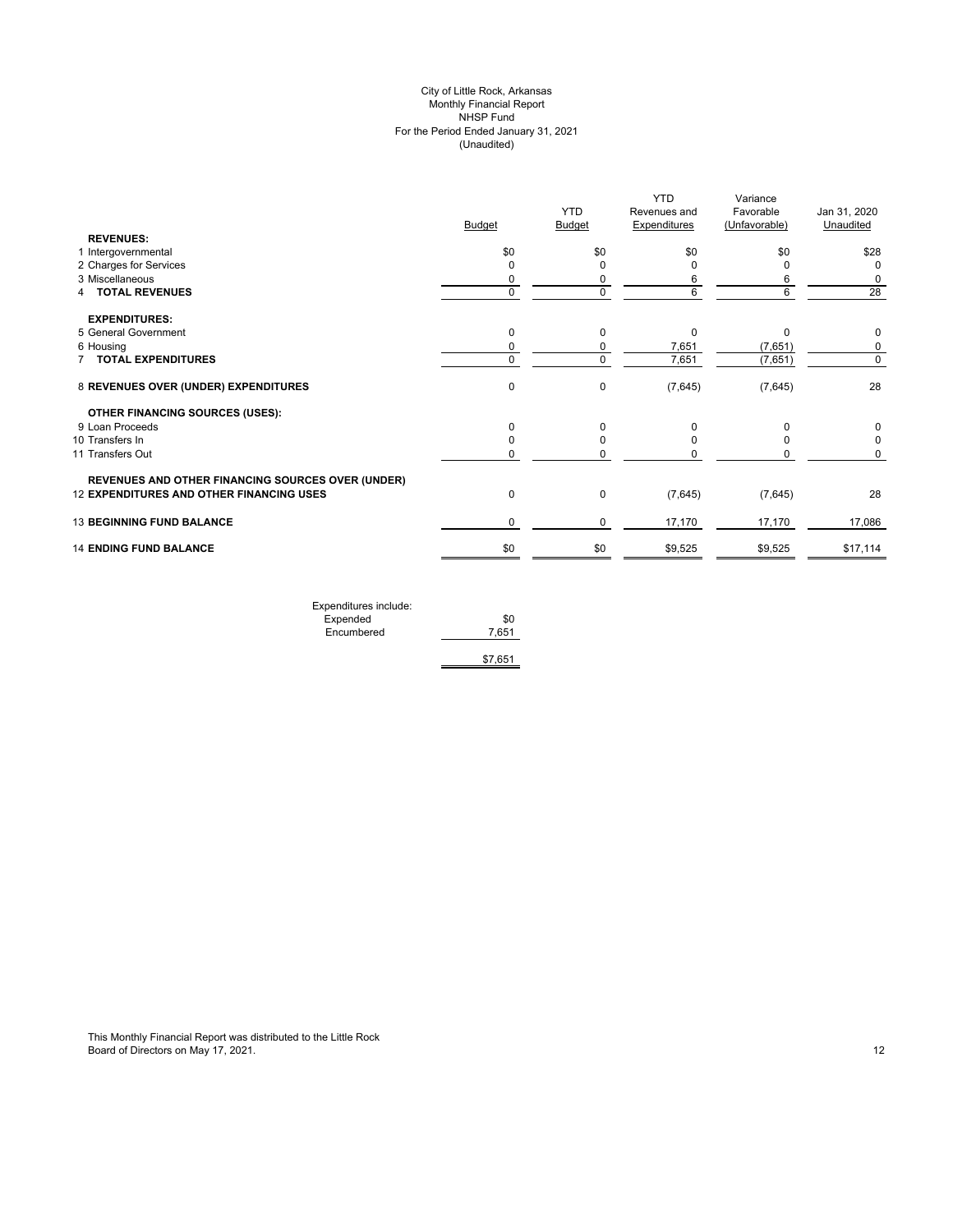# (Unaudited) City of Little Rock, Arkansas Monthly Financial Report NHSP Fund For the Period Ended January 31, 2021

|                                                          | <b>Budget</b> | <b>YTD</b><br><b>Budget</b> | <b>YTD</b><br>Revenues and<br><b>Expenditures</b> | Variance<br>Favorable<br>(Unfavorable) | Jan 31, 2020<br>Unaudited |
|----------------------------------------------------------|---------------|-----------------------------|---------------------------------------------------|----------------------------------------|---------------------------|
| <b>REVENUES:</b>                                         |               |                             |                                                   |                                        |                           |
| 1 Intergovernmental                                      | \$0           | \$0                         | \$0                                               | \$0                                    | \$28                      |
| 2 Charges for Services                                   | 0             | O                           |                                                   |                                        | 0                         |
| 3 Miscellaneous                                          | 0             | 0                           |                                                   | 6                                      | 0                         |
| 4 TOTAL REVENUES                                         | 0             | $\Omega$                    | 6                                                 | 6                                      | 28                        |
| <b>EXPENDITURES:</b>                                     |               |                             |                                                   |                                        |                           |
| 5 General Government                                     | 0             | 0                           | 0                                                 | 0                                      | 0                         |
| 6 Housing                                                | 0             | 0                           | 7,651                                             | (7,651)                                | 0                         |
| <b>7 TOTAL EXPENDITURES</b>                              | 0             | $\mathbf 0$                 | 7,651                                             | (7,651)                                | 0                         |
| 8 REVENUES OVER (UNDER) EXPENDITURES                     | 0             | 0                           | (7,645)                                           | (7,645)                                | 28                        |
| <b>OTHER FINANCING SOURCES (USES):</b>                   |               |                             |                                                   |                                        |                           |
| 9 Loan Proceeds                                          | 0             | $\Omega$                    | O                                                 | <sup>0</sup>                           | 0                         |
| 10 Transfers In                                          | 0             | 0                           |                                                   |                                        | 0                         |
| 11 Transfers Out                                         | 0             | 0                           |                                                   |                                        | 0                         |
| <b>REVENUES AND OTHER FINANCING SOURCES OVER (UNDER)</b> |               |                             |                                                   |                                        |                           |
| 12 EXPENDITURES AND OTHER FINANCING USES                 | $\pmb{0}$     | 0                           | (7,645)                                           | (7,645)                                | 28                        |
| <b>13 BEGINNING FUND BALANCE</b>                         | 0             | 0                           | 17,170                                            | 17,170                                 | 17,086                    |
| <b>14 ENDING FUND BALANCE</b>                            | \$0           | \$0                         | \$9,525                                           | \$9,525                                | \$17,114                  |

| Expenditures include: |         |
|-----------------------|---------|
| Expended              | \$0     |
| Encumbered            | 7.651   |
|                       |         |
|                       | \$7,651 |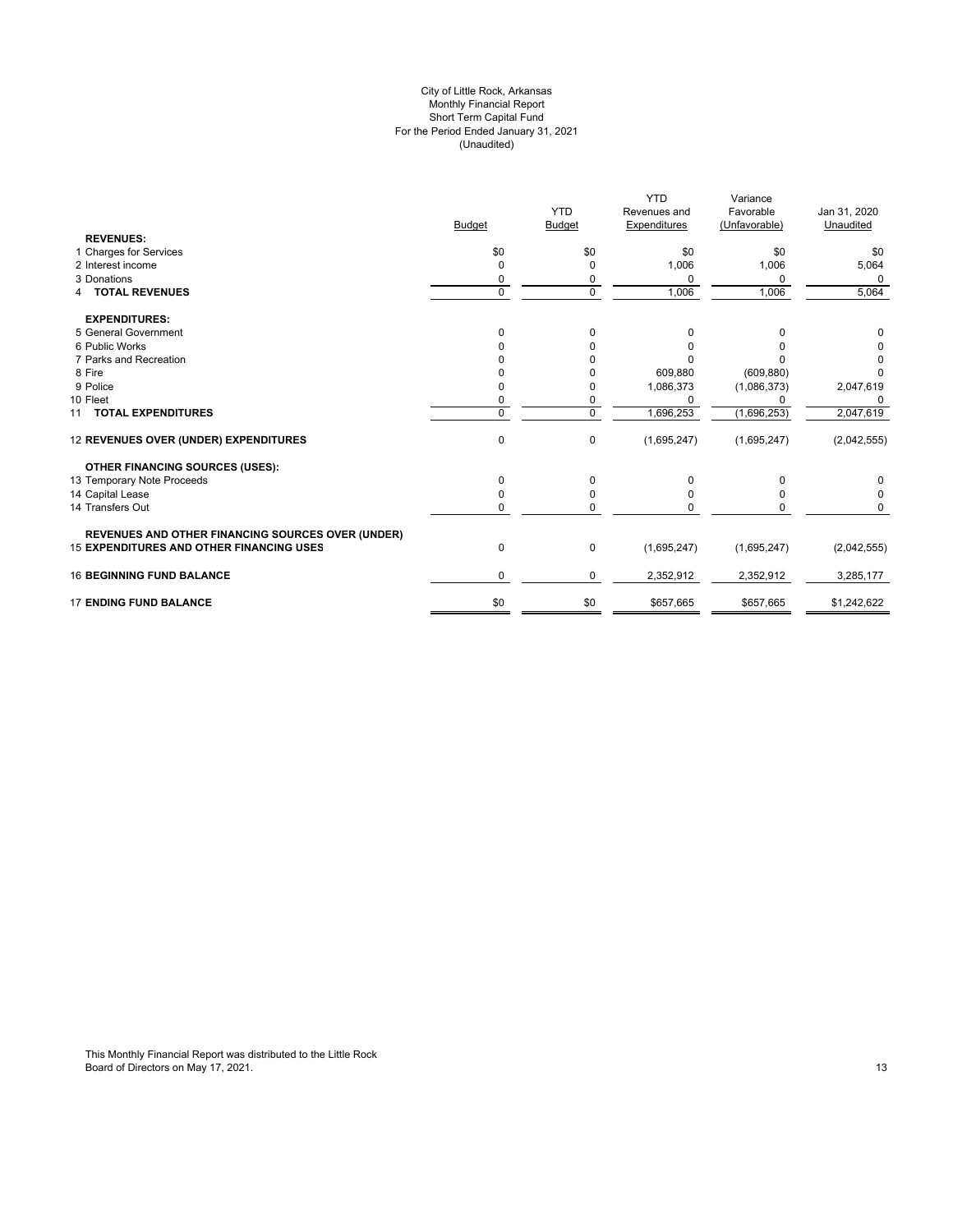#### For the Period Ended January 31, 2021 (Unaudited) City of Little Rock, Arkansas Monthly Financial Report Short Term Capital Fund

|                                                          |               |               | <b>YTD</b>   | Variance      |              |
|----------------------------------------------------------|---------------|---------------|--------------|---------------|--------------|
|                                                          |               | <b>YTD</b>    | Revenues and | Favorable     | Jan 31, 2020 |
|                                                          | <b>Budget</b> | <b>Budget</b> | Expenditures | (Unfavorable) | Unaudited    |
| <b>REVENUES:</b>                                         |               |               |              |               |              |
| 1 Charges for Services                                   | \$0           | \$0           | \$0          | \$0           | \$0          |
| 2 Interest income                                        | 0             | 0             | 1,006        | 1,006         | 5,064        |
| 3 Donations                                              | 0             | 0             | $\Omega$     | 0             | $\Omega$     |
| <b>4 TOTAL REVENUES</b>                                  | $\mathbf 0$   | $\mathbf 0$   | 1,006        | 1,006         | 5,064        |
| <b>EXPENDITURES:</b>                                     |               |               |              |               |              |
| 5 General Government                                     | $\Omega$      | $\mathbf 0$   | 0            | 0             | 0            |
| 6 Public Works                                           |               |               | 0            |               |              |
| 7 Parks and Recreation                                   |               |               |              |               |              |
| 8 Fire                                                   |               |               | 609,880      | (609, 880)    |              |
| 9 Police                                                 |               |               | 1,086,373    | (1,086,373)   | 2,047,619    |
| 10 Fleet                                                 |               | 0             | $\Omega$     |               |              |
| 11 TOTAL EXPENDITURES                                    | $\Omega$      | $\Omega$      | 1,696,253    | (1,696,253)   | 2,047,619    |
| 12 REVENUES OVER (UNDER) EXPENDITURES                    | 0             | 0             | (1,695,247)  | (1,695,247)   | (2,042,555)  |
| <b>OTHER FINANCING SOURCES (USES):</b>                   |               |               |              |               |              |
| 13 Temporary Note Proceeds                               | $\Omega$      | $\Omega$      | $\Omega$     | ი             |              |
| 14 Capital Lease                                         | 0             | 0             | O            | ი             | 0            |
| 14 Transfers Out                                         | 0             | $\mathbf 0$   | 0            |               | 0            |
| <b>REVENUES AND OTHER FINANCING SOURCES OVER (UNDER)</b> |               |               |              |               |              |
| <b>15 EXPENDITURES AND OTHER FINANCING USES</b>          | $\mathbf 0$   | 0             | (1,695,247)  | (1,695,247)   | (2,042,555)  |
| <b>16 BEGINNING FUND BALANCE</b>                         | 0             | 0             | 2,352,912    | 2,352,912     | 3,285,177    |
| <b>17 ENDING FUND BALANCE</b>                            | \$0           | \$0           | \$657,665    | \$657,665     | \$1,242,622  |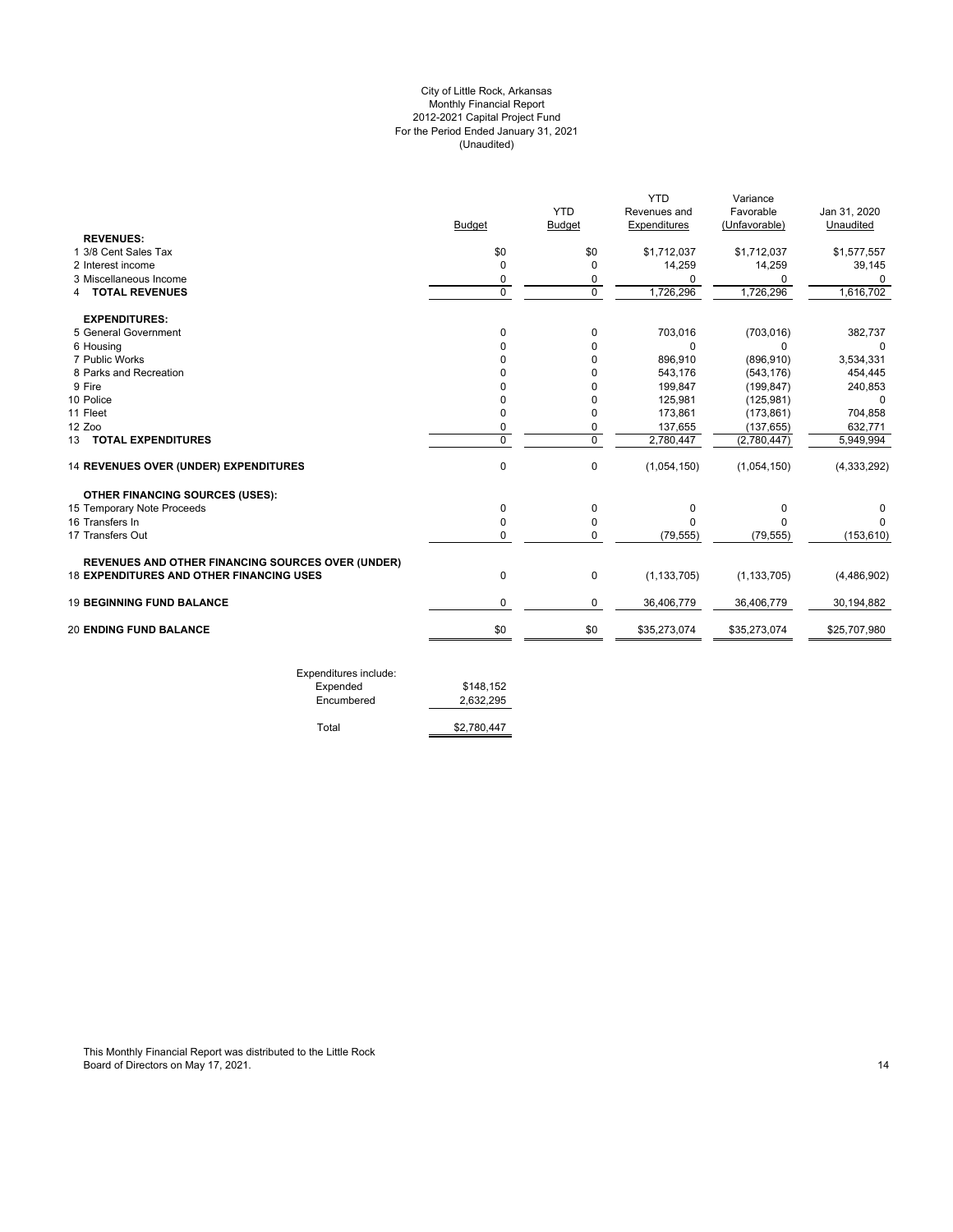# For the Period Ended January 31, 2021 (Unaudited) City of Little Rock, Arkansas Monthly Financial Report 2012-2021 Capital Project Fund

|                                                          |               |                | <b>YTD</b>    | Variance      |               |
|----------------------------------------------------------|---------------|----------------|---------------|---------------|---------------|
|                                                          |               | <b>YTD</b>     | Revenues and  | Favorable     | Jan 31, 2020  |
|                                                          | <b>Budget</b> | <b>Budget</b>  | Expenditures  | (Unfavorable) | Unaudited     |
| <b>REVENUES:</b>                                         |               |                |               |               |               |
| 1 3/8 Cent Sales Tax                                     | \$0           | \$0            | \$1,712,037   | \$1,712,037   | \$1,577,557   |
| 2 Interest income                                        | $\Omega$      | $\Omega$       | 14,259        | 14,259        | 39,145        |
| 3 Miscellaneous Income                                   | 0             | 0              | 0             | $\Omega$      | 0             |
| <b>4 TOTAL REVENUES</b>                                  | $\Omega$      | $\Omega$       | 1,726,296     | 1,726,296     | 1,616,702     |
| <b>EXPENDITURES:</b>                                     |               |                |               |               |               |
| 5 General Government                                     | 0             | 0              | 703,016       | (703, 016)    | 382,737       |
| 6 Housing                                                | <sup>0</sup>  | 0              | 0             | $\Omega$      | $\Omega$      |
| 7 Public Works                                           | U             | 0              | 896,910       | (896, 910)    | 3,534,331     |
| 8 Parks and Recreation                                   | U             | 0              | 543,176       | (543, 176)    | 454,445       |
| 9 Fire                                                   |               | U              | 199,847       | (199, 847)    | 240,853       |
| 10 Police                                                |               | 0              | 125,981       | (125, 981)    | 0             |
| 11 Fleet                                                 | 0             | 0              | 173,861       | (173, 861)    | 704,858       |
| 12 Zoo                                                   | 0             | 0              | 137,655       | (137, 655)    | 632,771       |
| 13 TOTAL EXPENDITURES                                    | $\mathbf 0$   | $\overline{0}$ | 2,780,447     | (2,780,447)   | 5,949,994     |
| 14 REVENUES OVER (UNDER) EXPENDITURES                    | $\mathbf 0$   | 0              | (1,054,150)   | (1,054,150)   | (4, 333, 292) |
| <b>OTHER FINANCING SOURCES (USES):</b>                   |               |                |               |               |               |
| 15 Temporary Note Proceeds                               | $\mathbf 0$   | $\mathbf 0$    | 0             | 0             | $\Omega$      |
| 16 Transfers In                                          | $\Omega$      | 0              | O             | C             |               |
| 17 Transfers Out                                         | 0             | 0              | (79, 555)     | (79, 555)     | (153, 610)    |
| <b>REVENUES AND OTHER FINANCING SOURCES OVER (UNDER)</b> |               |                |               |               |               |
| <b>18 EXPENDITURES AND OTHER FINANCING USES</b>          | $\mathbf 0$   | 0              | (1, 133, 705) | (1, 133, 705) | (4,486,902)   |
| <b>19 BEGINNING FUND BALANCE</b>                         | $\Omega$      | 0              | 36,406,779    | 36,406,779    | 30,194,882    |
|                                                          | \$0           | \$0            | \$35,273,074  | \$35,273,074  | \$25,707,980  |

| Expended   | \$148.152   |
|------------|-------------|
| Encumbered | 2.632.295   |
| Total      | \$2.780.447 |
|            |             |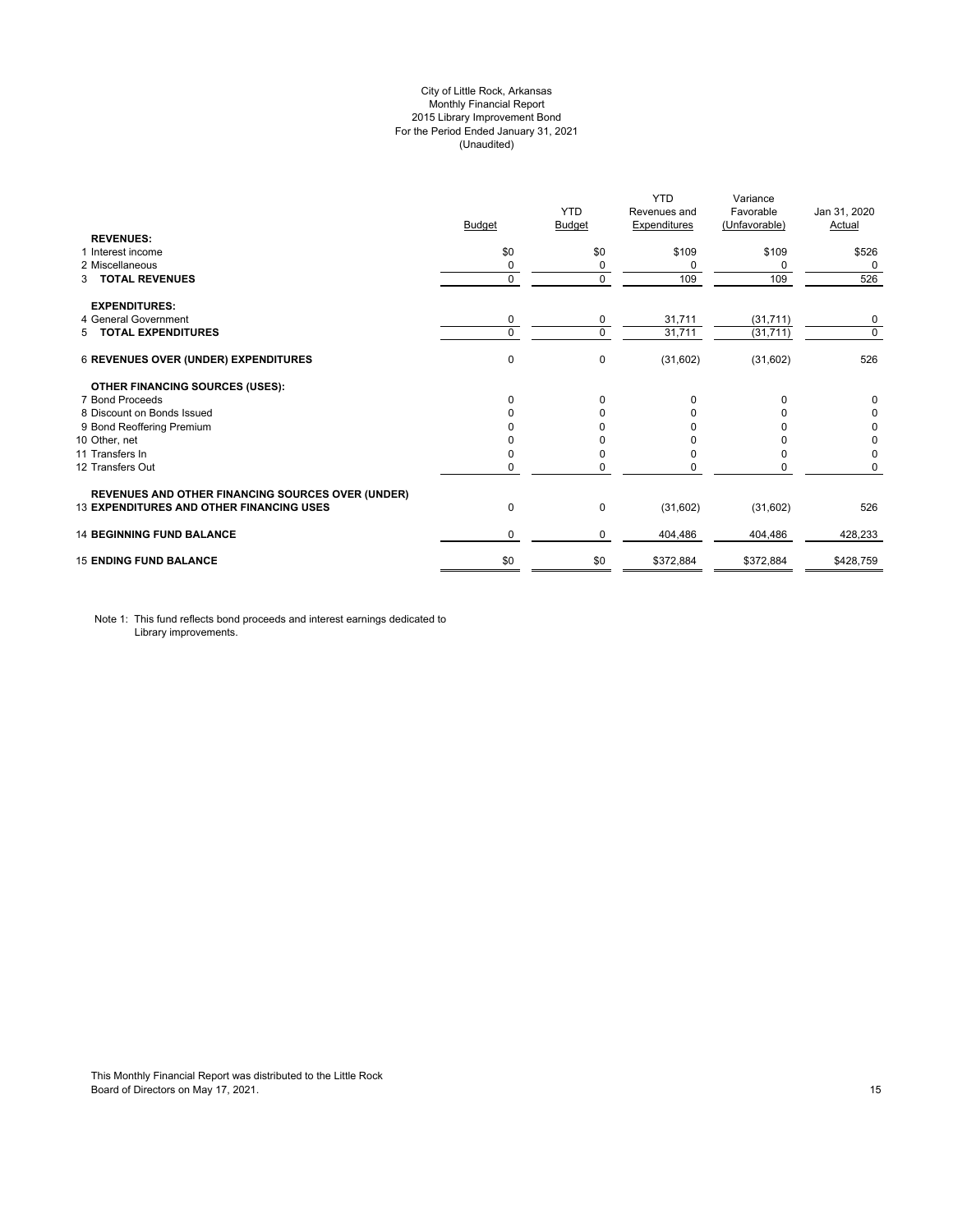# City of Little Rock, Arkansas Monthly Financial Report 2015 Library Improvement Bond For the Period Ended January 31, 2021 (Unaudited)

| <b>REVENUES:</b>                                         | <b>Budget</b> | <b>YTD</b><br>Budget | <b>YTD</b><br>Revenues and<br><b>Expenditures</b> | Variance<br>Favorable<br>(Unfavorable) | Jan 31, 2020<br>Actual |
|----------------------------------------------------------|---------------|----------------------|---------------------------------------------------|----------------------------------------|------------------------|
| 1 Interest income                                        | \$0           | \$0                  | \$109                                             | \$109                                  | \$526                  |
| 2 Miscellaneous                                          | 0             | 0                    | $\Omega$                                          | $\Omega$                               | 0                      |
| <b>TOTAL REVENUES</b><br>3                               | $\mathbf 0$   | $\Omega$             | 109                                               | 109                                    | 526                    |
| <b>EXPENDITURES:</b>                                     |               |                      |                                                   |                                        |                        |
| 4 General Government                                     | 0             | 0                    | 31,711                                            | (31, 711)                              | 0                      |
| 5 TOTAL EXPENDITURES                                     | $\mathbf 0$   | $\Omega$             | 31,711                                            | (31, 711)                              | $\mathbf 0$            |
| 6 REVENUES OVER (UNDER) EXPENDITURES                     | 0             | 0                    | (31,602)                                          | (31,602)                               | 526                    |
| <b>OTHER FINANCING SOURCES (USES):</b>                   |               |                      |                                                   |                                        |                        |
| 7 Bond Proceeds                                          | $\Omega$      | $\Omega$             | $\Omega$                                          | $\Omega$                               | 0                      |
| 8 Discount on Bonds Issued                               | $\Omega$      | <sup>0</sup>         | <sup>0</sup>                                      |                                        | 0                      |
| 9 Bond Reoffering Premium                                |               |                      |                                                   |                                        | 0                      |
| 10 Other, net                                            |               |                      |                                                   |                                        | 0                      |
| 11 Transfers In                                          | 0             |                      | <sup>0</sup>                                      | <sup>0</sup>                           | 0                      |
| 12 Transfers Out                                         | 0             |                      |                                                   | 0                                      | 0                      |
| <b>REVENUES AND OTHER FINANCING SOURCES OVER (UNDER)</b> |               |                      |                                                   |                                        |                        |
| <b>13 EXPENDITURES AND OTHER FINANCING USES</b>          | 0             | 0                    | (31,602)                                          | (31,602)                               | 526                    |
| <b>14 BEGINNING FUND BALANCE</b>                         | 0             | 0                    | 404,486                                           | 404,486                                | 428,233                |
| <b>15 ENDING FUND BALANCE</b>                            | \$0           | \$0                  | \$372,884                                         | \$372,884                              | \$428,759              |

Note 1: This fund reflects bond proceeds and interest earnings dedicated to Library improvements.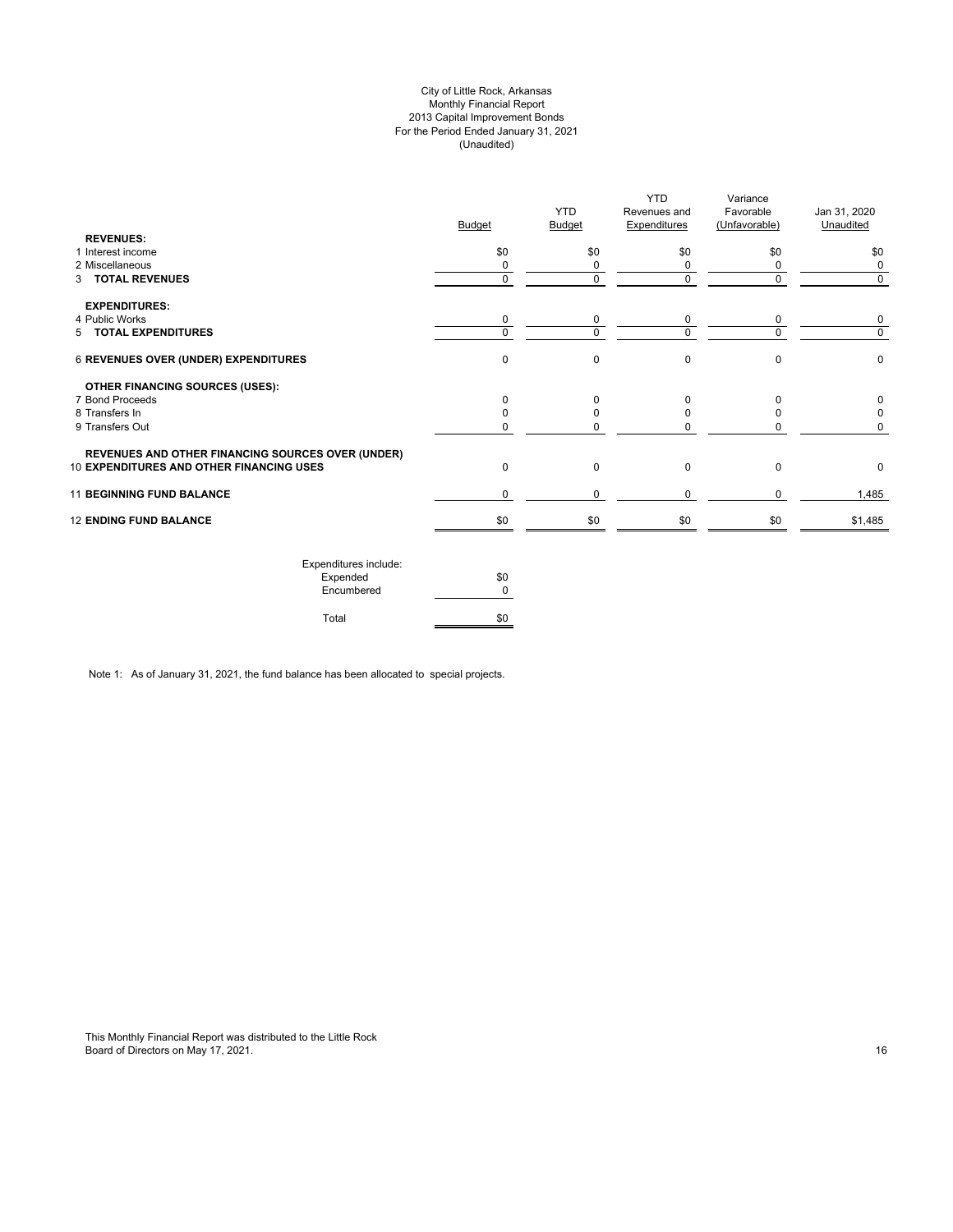# City of Little Rock, Arkansas Monthly Financial Report 2013 Capital Improvement Bonds For the Period Ended January 31, 2021 (Unaudited)

| <b>Budget</b> | <b>YTD</b><br><b>Budget</b> | Revenues and<br><b>Expenditures</b> | Favorable<br>(Unfavorable) | Jan 31, 2020<br>Unaudited |
|---------------|-----------------------------|-------------------------------------|----------------------------|---------------------------|
| \$0           | \$0                         | \$0                                 | \$0                        | \$0                       |
| 0             | 0                           | 0                                   |                            | 0                         |
| 0             | 0                           | $\mathbf 0$                         | $\Omega$                   | 0                         |
|               |                             |                                     |                            |                           |
| 0             | 0                           | 0                                   | 0                          | 0                         |
|               |                             |                                     |                            | $\Omega$                  |
| $\Omega$      | 0                           | $\mathbf 0$                         | $\Omega$                   | 0                         |
|               |                             |                                     |                            |                           |
| <sup>n</sup>  |                             | $\Omega$                            | n                          | 0                         |
|               |                             | <sup>0</sup>                        |                            |                           |
|               |                             | n                                   |                            |                           |
|               |                             |                                     |                            |                           |
| $\mathbf 0$   | 0                           | $\mathbf 0$                         | $\Omega$                   | 0                         |
| $\Omega$      | $\Omega$                    | $\mathbf 0$                         | $\Omega$                   | 1,485                     |
| \$0           | \$0                         | \$0                                 | \$0                        | \$1,485                   |
|               | $\Omega$                    | $\Omega$                            | $\Omega$                   | U                         |

| Expenditures include: |     |
|-----------------------|-----|
| Expended              | \$0 |
| Encumbered            |     |
| Total                 |     |

Note 1: As of January 31, 2021, the fund balance has been allocated to special projects.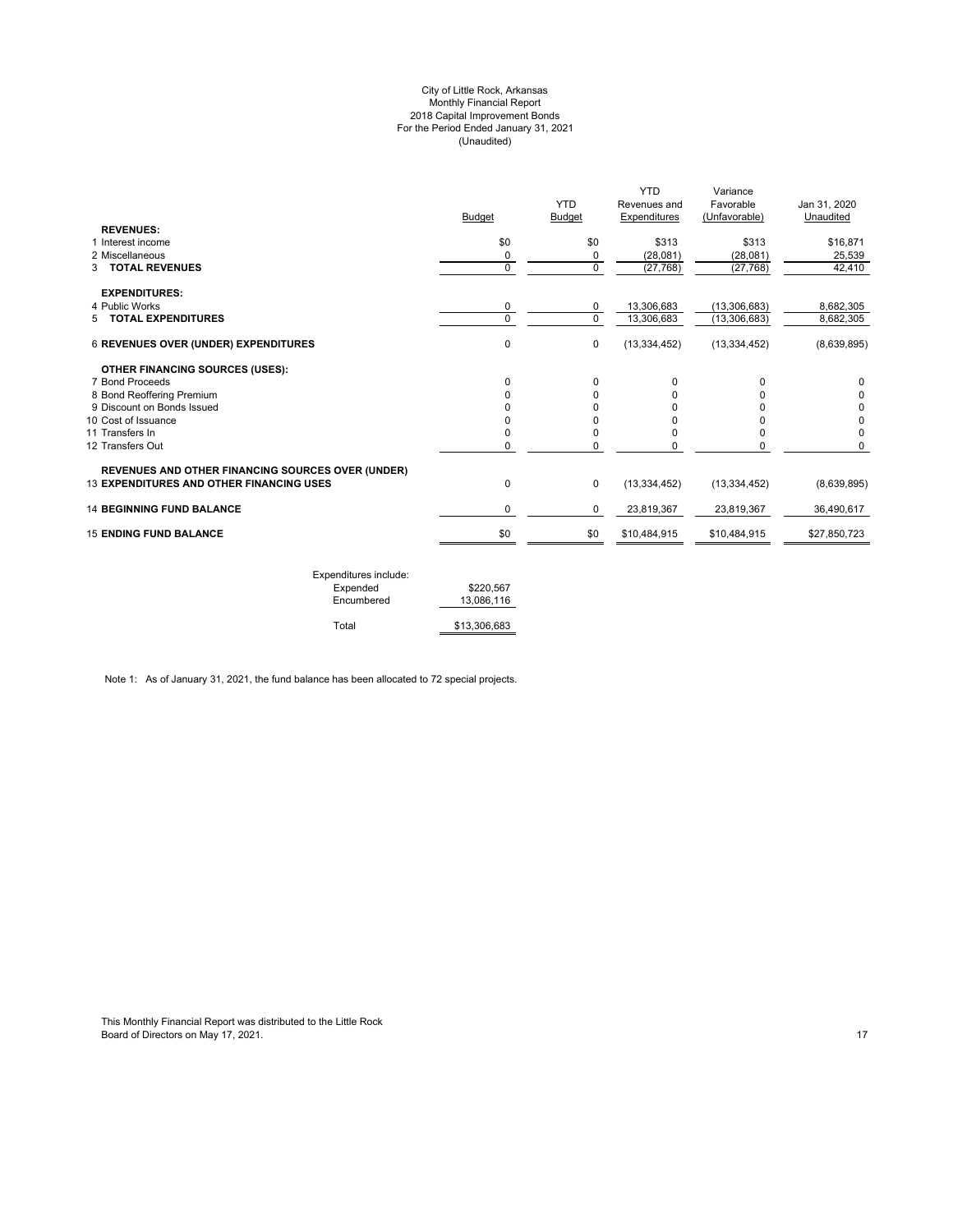#### City of Little Rock, Arkansas Monthly Financial Report 2018 Capital Improvement Bonds For the Period Ended January 31, 2021 (Unaudited)

| <b>Budget</b> | <b>YTD</b><br>Budget | <b>YTD</b><br>Revenues and<br>Expenditures | Variance<br>Favorable<br>(Unfavorable) | Jan 31, 2020<br>Unaudited      |
|---------------|----------------------|--------------------------------------------|----------------------------------------|--------------------------------|
|               |                      |                                            |                                        |                                |
|               |                      |                                            |                                        | \$16,871                       |
|               |                      |                                            |                                        | 25,539                         |
|               |                      |                                            |                                        | 42,410                         |
|               |                      |                                            |                                        |                                |
| 0             | 0                    | 13,306,683                                 | (13,306,683)                           | 8,682,305                      |
| $\Omega$      | $\Omega$             | 13,306,683                                 | (13, 306, 683)                         | 8,682,305                      |
| 0             | $\pmb{0}$            | (13, 334, 452)                             | (13, 334, 452)                         | (8,639,895)                    |
|               |                      |                                            |                                        |                                |
| 0             | $\Omega$             | 0                                          | 0                                      | 0                              |
| 0             | 0                    | 0                                          | U                                      |                                |
|               | 0                    | 0                                          | U                                      | 0                              |
| ŋ             | U                    | 0                                          | o                                      | 0                              |
| 0             | 0                    | 0                                          | 0                                      | 0                              |
| 0             | 0                    | 0                                          | 0                                      | 0                              |
|               |                      |                                            |                                        |                                |
| 0             | $\mathbf 0$          | (13, 334, 452)                             | (13, 334, 452)                         | (8,639,895)                    |
| 0             | 0                    | 23,819,367                                 | 23,819,367                             | 36.490.617                     |
| \$0           | \$0                  | \$10,484,915                               | \$10,484,915                           | \$27,850,723                   |
|               | \$0<br>0<br>0        | \$0<br>0<br>$\mathbf 0$                    | \$313<br>(28,081)<br>(27, 768)         | \$313<br>(28,081)<br>(27, 768) |

| Expenditures include: |              |
|-----------------------|--------------|
| Expended              | \$220.567    |
| Encumbered            | 13.086.116   |
| Total                 | \$13,306,683 |
|                       |              |

Note 1: As of January 31, 2021, the fund balance has been allocated to 72 special projects.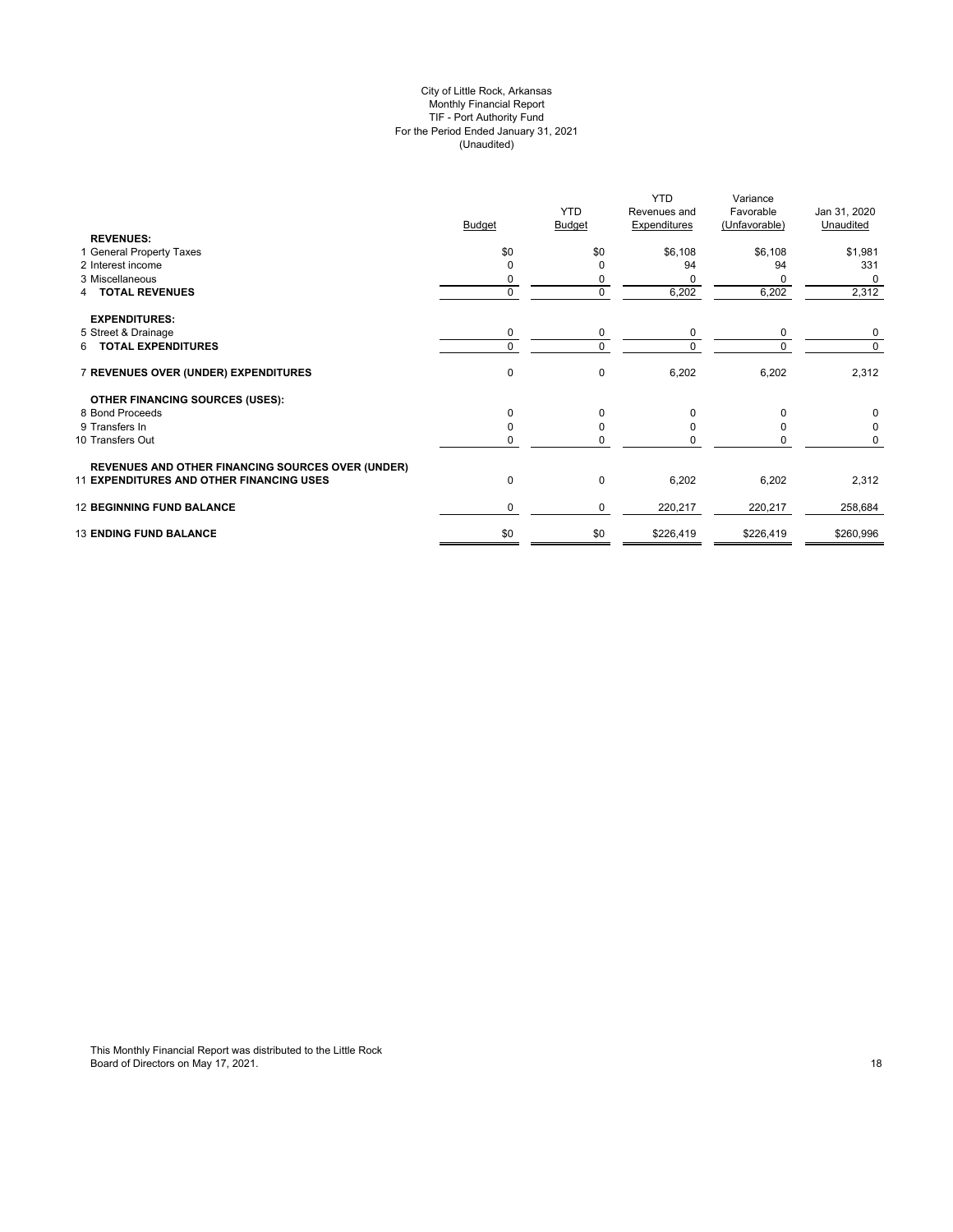# City of Little Rock, Arkansas Monthly Financial Report TIF - Port Authority Fund For the Period Ended January 31, 2021 (Unaudited)

| <b>REVENUES:</b><br>1 General Property Taxes<br>\$0<br>\$0<br>\$6,108<br>\$6,108<br>\$1,981<br>2 Interest income<br>94<br>331<br>94<br>O<br>$\Omega$<br>3 Miscellaneous<br>0<br>$\Omega$<br>0<br>6,202<br>6,202<br>2,312<br><b>4 TOTAL REVENUES</b><br>0<br><b>EXPENDITURES:</b><br>5 Street & Drainage<br>0<br>0<br>0<br>0<br>$\mathbf 0$<br>6 TOTAL EXPENDITURES<br>$\Omega$<br>$\Omega$<br>0<br>7 REVENUES OVER (UNDER) EXPENDITURES<br>$\mathbf 0$<br>6,202<br>6,202<br><b>OTHER FINANCING SOURCES (USES):</b><br>8 Bond Proceeds<br>$\mathbf 0$<br>0<br>$\Omega$<br>9 Transfers In<br>0<br>O<br>10 Transfers Out<br>0<br><b>REVENUES AND OTHER FINANCING SOURCES OVER (UNDER)</b><br><b>11 EXPENDITURES AND OTHER FINANCING USES</b><br>0<br>6,202<br>$\mathbf 0$<br>6,202<br><b>12 BEGINNING FUND BALANCE</b><br>0<br>220,217<br>220,217<br>0<br>\$0<br><b>13 ENDING FUND BALANCE</b><br>\$0<br>\$226,419<br>\$226,419 | <b>Budget</b> | <b>YTD</b><br><b>Budget</b> | <b>YTD</b><br>Revenues and<br><b>Expenditures</b> | Variance<br>Favorable<br>(Unfavorable) | Jan 31, 2020<br>Unaudited |
|------------------------------------------------------------------------------------------------------------------------------------------------------------------------------------------------------------------------------------------------------------------------------------------------------------------------------------------------------------------------------------------------------------------------------------------------------------------------------------------------------------------------------------------------------------------------------------------------------------------------------------------------------------------------------------------------------------------------------------------------------------------------------------------------------------------------------------------------------------------------------------------------------------------------------|---------------|-----------------------------|---------------------------------------------------|----------------------------------------|---------------------------|
|                                                                                                                                                                                                                                                                                                                                                                                                                                                                                                                                                                                                                                                                                                                                                                                                                                                                                                                              |               |                             |                                                   |                                        |                           |
|                                                                                                                                                                                                                                                                                                                                                                                                                                                                                                                                                                                                                                                                                                                                                                                                                                                                                                                              |               |                             |                                                   |                                        |                           |
|                                                                                                                                                                                                                                                                                                                                                                                                                                                                                                                                                                                                                                                                                                                                                                                                                                                                                                                              |               |                             |                                                   |                                        |                           |
|                                                                                                                                                                                                                                                                                                                                                                                                                                                                                                                                                                                                                                                                                                                                                                                                                                                                                                                              |               |                             |                                                   |                                        | 0                         |
|                                                                                                                                                                                                                                                                                                                                                                                                                                                                                                                                                                                                                                                                                                                                                                                                                                                                                                                              |               |                             |                                                   |                                        |                           |
|                                                                                                                                                                                                                                                                                                                                                                                                                                                                                                                                                                                                                                                                                                                                                                                                                                                                                                                              |               |                             |                                                   |                                        |                           |
|                                                                                                                                                                                                                                                                                                                                                                                                                                                                                                                                                                                                                                                                                                                                                                                                                                                                                                                              |               |                             |                                                   |                                        | 0                         |
|                                                                                                                                                                                                                                                                                                                                                                                                                                                                                                                                                                                                                                                                                                                                                                                                                                                                                                                              |               |                             |                                                   |                                        | $\Omega$                  |
|                                                                                                                                                                                                                                                                                                                                                                                                                                                                                                                                                                                                                                                                                                                                                                                                                                                                                                                              |               |                             |                                                   |                                        | 2,312                     |
|                                                                                                                                                                                                                                                                                                                                                                                                                                                                                                                                                                                                                                                                                                                                                                                                                                                                                                                              |               |                             |                                                   |                                        |                           |
|                                                                                                                                                                                                                                                                                                                                                                                                                                                                                                                                                                                                                                                                                                                                                                                                                                                                                                                              |               |                             |                                                   |                                        |                           |
|                                                                                                                                                                                                                                                                                                                                                                                                                                                                                                                                                                                                                                                                                                                                                                                                                                                                                                                              |               |                             |                                                   |                                        |                           |
|                                                                                                                                                                                                                                                                                                                                                                                                                                                                                                                                                                                                                                                                                                                                                                                                                                                                                                                              |               |                             |                                                   |                                        |                           |
|                                                                                                                                                                                                                                                                                                                                                                                                                                                                                                                                                                                                                                                                                                                                                                                                                                                                                                                              |               |                             |                                                   |                                        |                           |
|                                                                                                                                                                                                                                                                                                                                                                                                                                                                                                                                                                                                                                                                                                                                                                                                                                                                                                                              |               |                             |                                                   |                                        | 2,312                     |
|                                                                                                                                                                                                                                                                                                                                                                                                                                                                                                                                                                                                                                                                                                                                                                                                                                                                                                                              |               |                             |                                                   |                                        | 258,684                   |
|                                                                                                                                                                                                                                                                                                                                                                                                                                                                                                                                                                                                                                                                                                                                                                                                                                                                                                                              |               |                             |                                                   |                                        | \$260,996                 |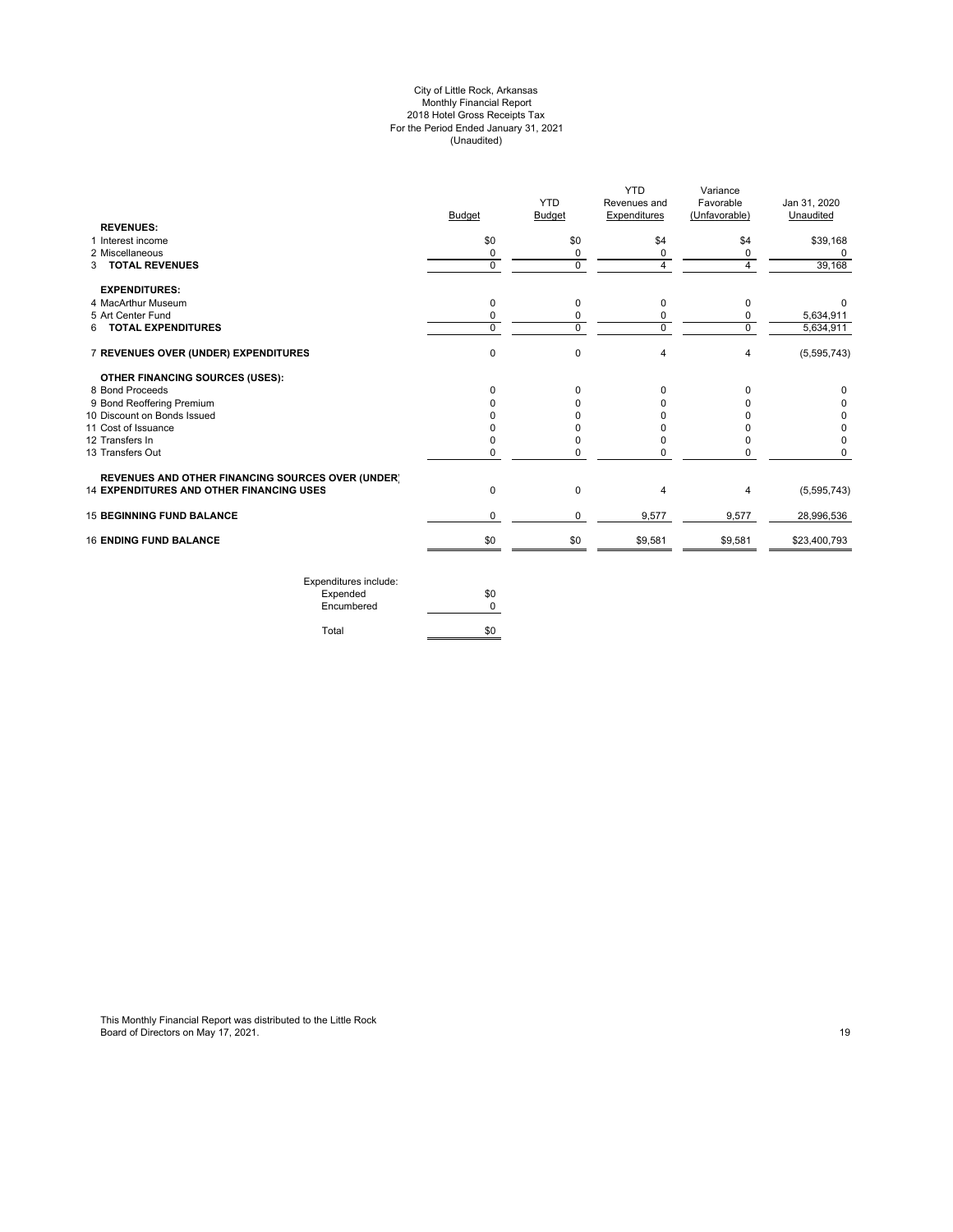#### City of Little Rock, Arkansas Monthly Financial Report 2018 Hotel Gross Receipts Tax For the Period Ended January 31, 2021 (Unaudited)

|                                                          | <b>Budget</b> | <b>YTD</b><br><b>Budget</b> | YTD<br>Revenues and<br>Expenditures | Variance<br>Favorable<br>(Unfavorable) | Jan 31, 2020<br>Unaudited |
|----------------------------------------------------------|---------------|-----------------------------|-------------------------------------|----------------------------------------|---------------------------|
| <b>REVENUES:</b>                                         |               |                             |                                     |                                        |                           |
| 1 Interest income                                        | \$0           | \$0                         | \$4                                 | \$4                                    | \$39,168                  |
| 2 Miscellaneous                                          | 0             | 0                           | 0                                   | 0                                      | 0                         |
| 3 TOTAL REVENUES                                         | $\Omega$      | $\Omega$                    | 4                                   | 4                                      | 39,168                    |
| <b>EXPENDITURES:</b>                                     |               |                             |                                     |                                        |                           |
| 4 MacArthur Museum                                       | 0             | 0                           | 0                                   | 0                                      | 0                         |
| 5 Art Center Fund                                        | $\Omega$      | 0                           | 0                                   | 0                                      | 5,634,911                 |
| 6 TOTAL EXPENDITURES                                     | $\Omega$      | $\mathbf 0$                 | $\mathbf 0$                         | $\Omega$                               | 5,634,911                 |
| 7 REVENUES OVER (UNDER) EXPENDITURES                     | $\Omega$      | $\mathbf 0$                 | 4                                   | $\overline{4}$                         | (5,595,743)               |
| <b>OTHER FINANCING SOURCES (USES):</b>                   |               |                             |                                     |                                        |                           |
| 8 Bond Proceeds                                          | $\Omega$      | 0                           | 0                                   | 0                                      | 0                         |
| 9 Bond Reoffering Premium                                |               | 0                           | U                                   |                                        | 0                         |
| 10 Discount on Bonds Issued                              |               | <sup>0</sup>                |                                     |                                        | 0                         |
| 11 Cost of Issuance                                      |               | 0                           |                                     |                                        | 0                         |
| 12 Transfers In                                          |               | $\Omega$                    |                                     |                                        | 0                         |
| 13 Transfers Out                                         | 0             | 0                           | 0                                   | O                                      | 0                         |
| <b>REVENUES AND OTHER FINANCING SOURCES OVER (UNDER)</b> |               |                             |                                     |                                        |                           |
| 14 EXPENDITURES AND OTHER FINANCING USES                 | $\Omega$      | $\mathbf 0$                 | 4                                   | 4                                      | (5,595,743)               |
| <b>15 BEGINNING FUND BALANCE</b>                         | $\mathbf 0$   | 0                           | 9,577                               | 9,577                                  | 28,996,536                |
| <b>16 ENDING FUND BALANCE</b>                            | \$0           | \$0                         | \$9,581                             | \$9,581                                | \$23,400,793              |

| \$0 |
|-----|
|     |
|     |
|     |
|     |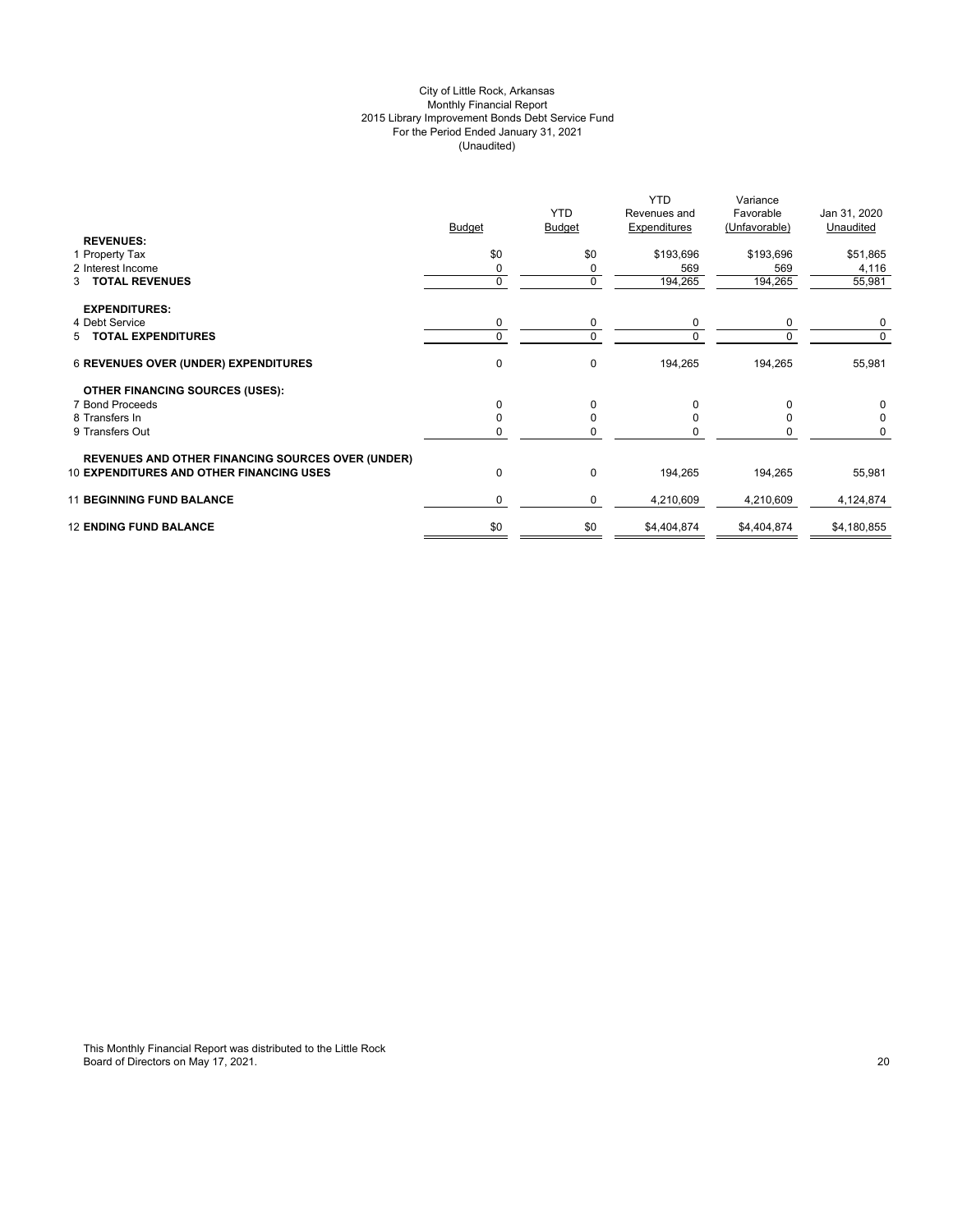# City of Little Rock, Arkansas Monthly Financial Report 2015 Library Improvement Bonds Debt Service Fund For the Period Ended January 31, 2021 (Unaudited)

| <b>REVENUES:</b>                                                                                            | <b>Budget</b> | <b>YTD</b><br><b>Budget</b> | <b>YTD</b><br>Revenues and<br>Expenditures | Variance<br>Favorable<br>(Unfavorable) | Jan 31, 2020<br>Unaudited |
|-------------------------------------------------------------------------------------------------------------|---------------|-----------------------------|--------------------------------------------|----------------------------------------|---------------------------|
| 1 Property Tax                                                                                              | \$0           | \$0                         | \$193,696                                  | \$193,696                              | \$51,865                  |
| 2 Interest Income                                                                                           |               | 0                           | 569                                        | 569                                    | 4,116                     |
| 3 TOTAL REVENUES                                                                                            | $\Omega$      | $\mathbf 0$                 | 194,265                                    | 194,265                                | 55,981                    |
| <b>EXPENDITURES:</b>                                                                                        |               |                             |                                            |                                        |                           |
| 4 Debt Service                                                                                              | 0             | 0                           | 0                                          | $\Omega$                               | 0                         |
| 5 TOTAL EXPENDITURES                                                                                        |               | $\Omega$                    | O                                          |                                        | $\Omega$                  |
| <b>6 REVENUES OVER (UNDER) EXPENDITURES</b>                                                                 | 0             | 0                           | 194,265                                    | 194,265                                | 55,981                    |
| <b>OTHER FINANCING SOURCES (USES):</b>                                                                      |               |                             |                                            |                                        |                           |
| 7 Bond Proceeds                                                                                             | $\Omega$      | $\Omega$                    | 0                                          | $\Omega$                               | $\Omega$                  |
| 8 Transfers In                                                                                              |               | 0                           | 0                                          | U                                      | $\Omega$                  |
| 9 Transfers Out                                                                                             |               | n                           |                                            |                                        | 0                         |
| <b>REVENUES AND OTHER FINANCING SOURCES OVER (UNDER)</b><br><b>10 EXPENDITURES AND OTHER FINANCING USES</b> | $\Omega$      | 0                           | 194,265                                    | 194,265                                | 55,981                    |
| <b>11 BEGINNING FUND BALANCE</b>                                                                            | 0             | 0                           | 4,210,609                                  | 4,210,609                              | 4,124,874                 |
| <b>12 ENDING FUND BALANCE</b>                                                                               | \$0           | \$0                         | \$4,404,874                                | \$4,404,874                            | \$4,180,855               |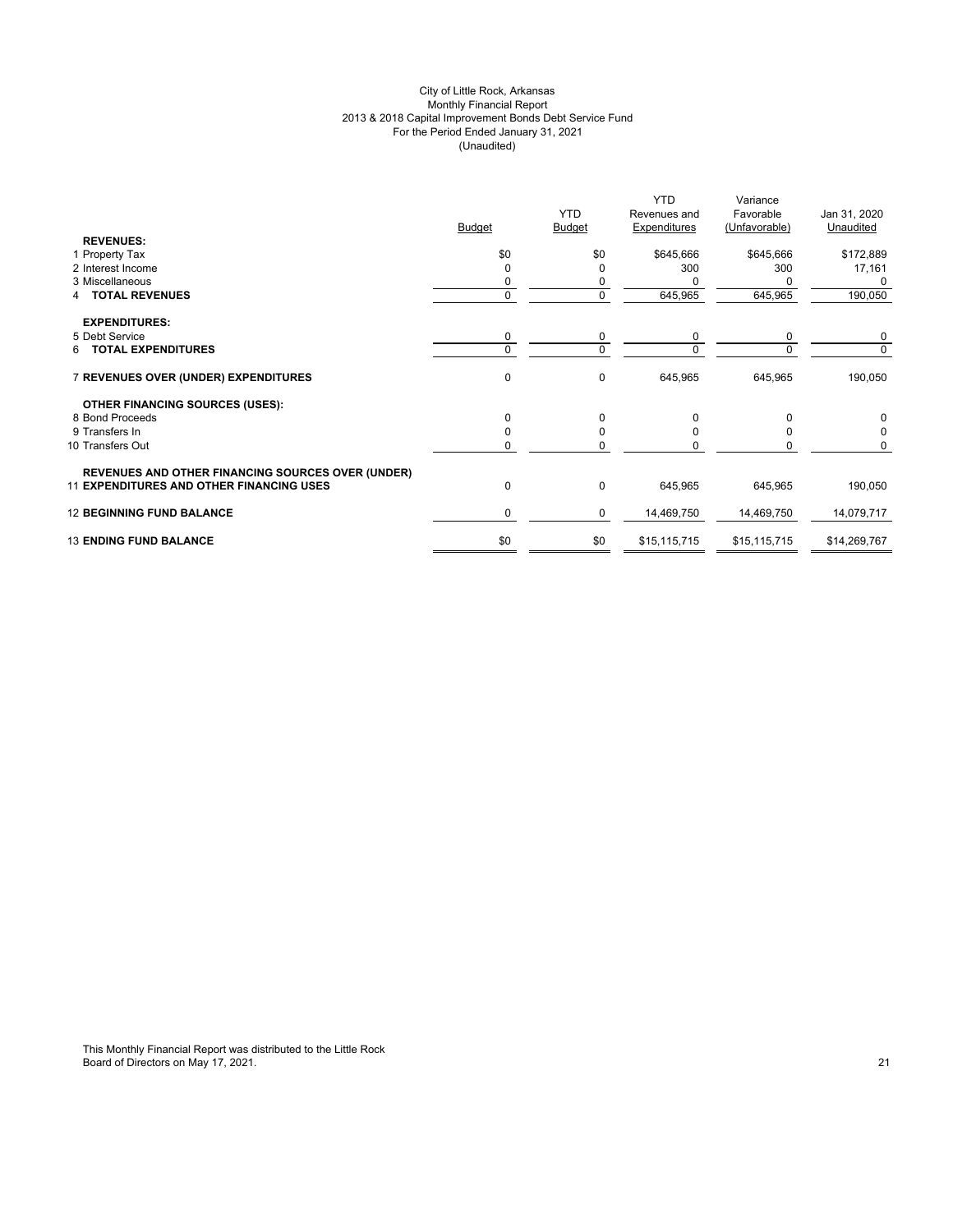# City of Little Rock, Arkansas Monthly Financial Report 2013 & 2018 Capital Improvement Bonds Debt Service Fund For the Period Ended January 31, 2021 (Unaudited)

|                                                          |               | <b>YTD</b>    | <b>YTD</b><br>Revenues and | Variance<br>Favorable | Jan 31, 2020 |
|----------------------------------------------------------|---------------|---------------|----------------------------|-----------------------|--------------|
|                                                          | <b>Budget</b> | <b>Budget</b> | Expenditures               | (Unfavorable)         | Unaudited    |
| <b>REVENUES:</b>                                         |               |               |                            |                       |              |
| 1 Property Tax                                           | \$0           | \$0           | \$645,666                  | \$645,666             | \$172,889    |
| 2 Interest Income                                        |               | 0             | 300                        | 300                   | 17,161       |
| 3 Miscellaneous                                          |               |               |                            |                       | 0            |
| <b>TOTAL REVENUES</b><br>4                               | 0             | 0             | 645,965                    | 645,965               | 190,050      |
| <b>EXPENDITURES:</b>                                     |               |               |                            |                       |              |
| 5 Debt Service                                           | 0             | 0             | 0                          | 0                     | 0            |
| <b>TOTAL EXPENDITURES</b><br>6.                          | $\Omega$      | $\Omega$      | $\Omega$                   | $\Omega$              | $\Omega$     |
| 7 REVENUES OVER (UNDER) EXPENDITURES                     | $\mathbf 0$   | 0             | 645,965                    | 645,965               | 190,050      |
| <b>OTHER FINANCING SOURCES (USES):</b>                   |               |               |                            |                       |              |
| 8 Bond Proceeds                                          | O             | 0             | O                          | 0                     | $\Omega$     |
| 9 Transfers In                                           |               | 0             |                            | n                     |              |
| 10 Transfers Out                                         |               | $\Omega$      |                            |                       | 0            |
| <b>REVENUES AND OTHER FINANCING SOURCES OVER (UNDER)</b> |               |               |                            |                       |              |
| <b>11 EXPENDITURES AND OTHER FINANCING USES</b>          | $\Omega$      | 0             | 645,965                    | 645,965               | 190,050      |
| <b>12 BEGINNING FUND BALANCE</b>                         | 0             | 0             | 14,469,750                 | 14,469,750            | 14,079,717   |
| <b>13 ENDING FUND BALANCE</b>                            | \$0           | \$0           | \$15,115,715               | \$15,115,715          | \$14,269,767 |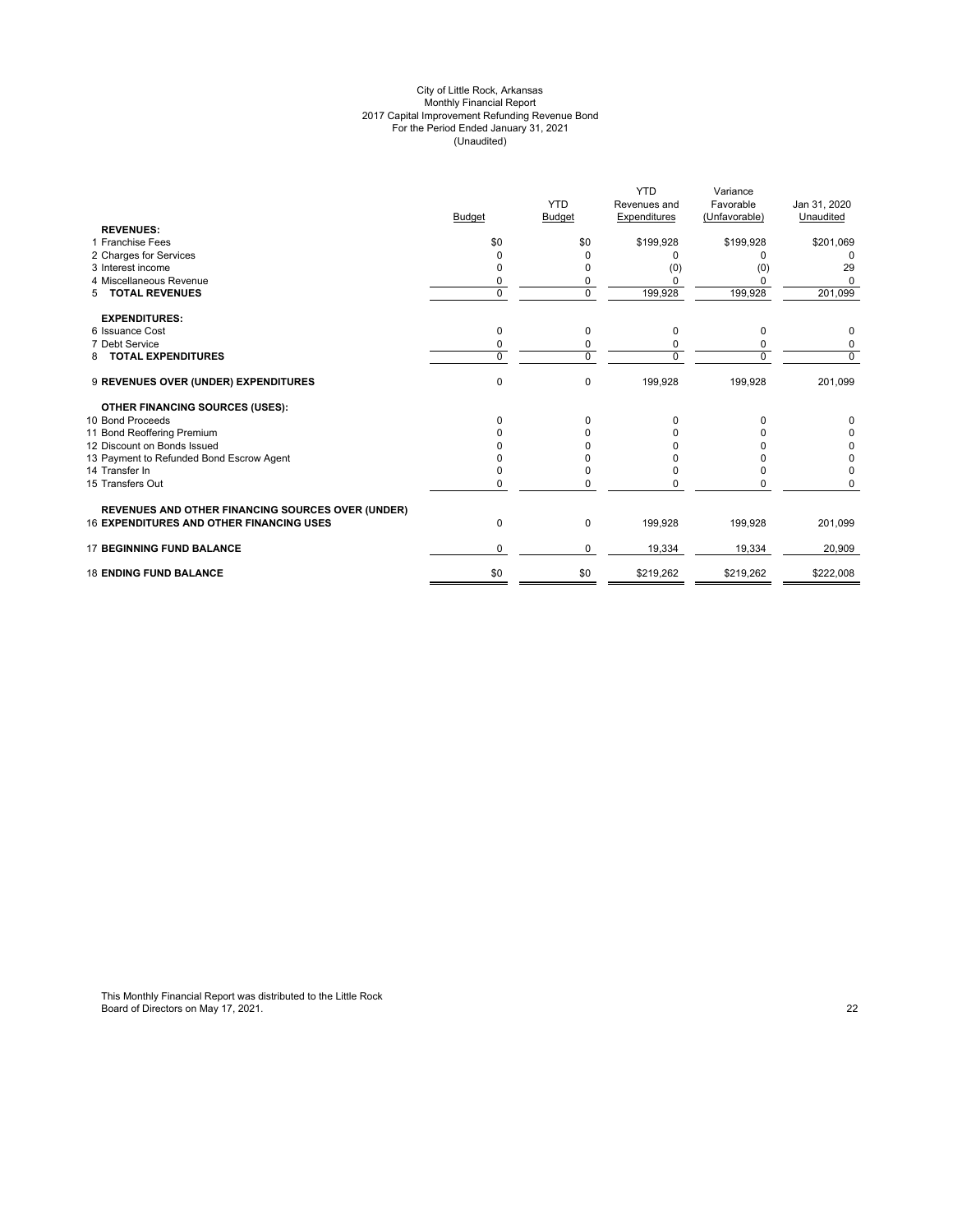#### City of Little Rock, Arkansas Monthly Financial Report 2017 Capital Improvement Refunding Revenue Bond For the Period Ended January 31, 2021 (Unaudited)

|                                                          |               |               | <b>YTD</b>   | Variance      |              |
|----------------------------------------------------------|---------------|---------------|--------------|---------------|--------------|
|                                                          |               | <b>YTD</b>    | Revenues and | Favorable     | Jan 31, 2020 |
|                                                          | <b>Budget</b> | <b>Budget</b> | Expenditures | (Unfavorable) | Unaudited    |
| <b>REVENUES:</b>                                         |               |               |              |               |              |
| 1 Franchise Fees                                         | \$0           | \$0           | \$199,928    | \$199,928     | \$201,069    |
| 2 Charges for Services                                   |               | 0             | n            | <sup>0</sup>  | <sup>0</sup> |
| 3 Interest income                                        |               | 0             | (0)          | (0)           | 29           |
| 4 Miscellaneous Revenue                                  | 0             | 0             |              | O             | U            |
| <b>TOTAL REVENUES</b><br>5                               | $\Omega$      | $\mathbf 0$   | 199,928      | 199,928       | 201,099      |
| <b>EXPENDITURES:</b>                                     |               |               |              |               |              |
| 6 Issuance Cost                                          | 0             | 0             | 0            | 0             | 0            |
| 7 Debt Service                                           | 0             | 0             |              | 0             | 0            |
| <b>TOTAL EXPENDITURES</b><br>8                           | $\Omega$      | $\mathbf 0$   | U            | $\Omega$      | 0            |
| 9 REVENUES OVER (UNDER) EXPENDITURES                     | 0             | $\mathbf 0$   | 199,928      | 199,928       | 201,099      |
| <b>OTHER FINANCING SOURCES (USES):</b>                   |               |               |              |               |              |
| 10 Bond Proceeds                                         | <sup>0</sup>  | 0             | 0            | 0             | 0            |
| 11 Bond Reoffering Premium                               |               |               |              |               | 0            |
| 12 Discount on Bonds Issued                              |               |               |              |               | 0            |
| 13 Payment to Refunded Bond Escrow Agent                 |               |               |              |               | 0            |
| 14 Transfer In                                           |               | 0             |              | O             | 0            |
| 15 Transfers Out                                         |               | ŋ             |              | n             | n            |
| <b>REVENUES AND OTHER FINANCING SOURCES OVER (UNDER)</b> |               |               |              |               |              |
| <b>16 EXPENDITURES AND OTHER FINANCING USES</b>          | 0             | 0             | 199,928      | 199,928       | 201,099      |
| <b>17 BEGINNING FUND BALANCE</b>                         | $\Omega$      | 0             | 19,334       | 19,334        | 20,909       |
| <b>18 ENDING FUND BALANCE</b>                            | \$0           | \$0           | \$219,262    | \$219,262     | \$222,008    |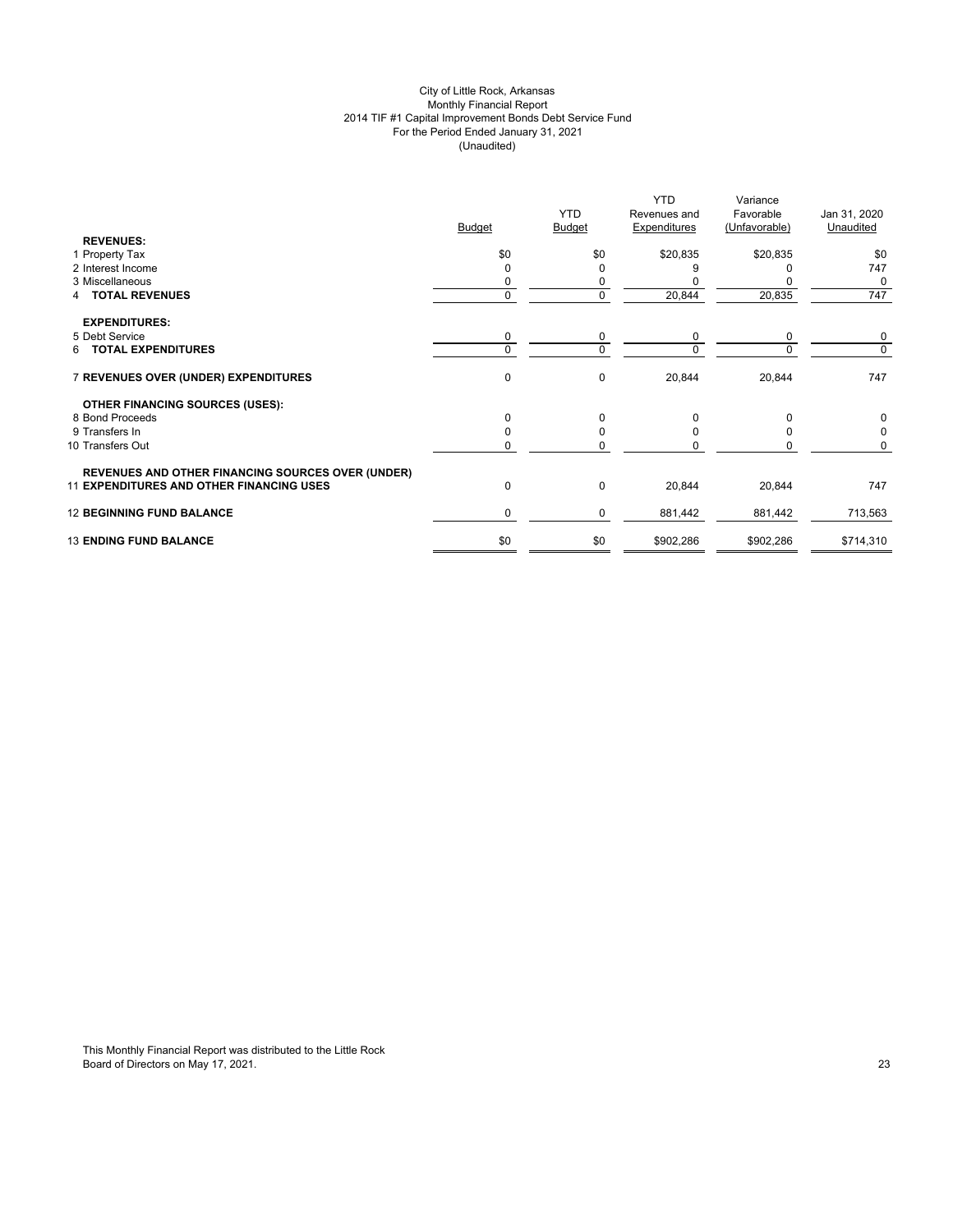# City of Little Rock, Arkansas Monthly Financial Report 2014 TIF #1 Capital Improvement Bonds Debt Service Fund For the Period Ended January 31, 2021 (Unaudited)

|                                                          | <b>Budget</b> | <b>YTD</b><br><b>Budget</b> | YTD.<br>Revenues and<br>Expenditures | Variance<br>Favorable<br>(Unfavorable) | Jan 31, 2020<br>Unaudited |
|----------------------------------------------------------|---------------|-----------------------------|--------------------------------------|----------------------------------------|---------------------------|
| <b>REVENUES:</b>                                         |               |                             |                                      |                                        |                           |
| 1 Property Tax                                           | \$0           | \$0                         | \$20,835                             | \$20,835                               | \$0                       |
| 2 Interest Income                                        |               | 0                           |                                      |                                        | 747                       |
| 3 Miscellaneous                                          |               |                             |                                      |                                        | 0                         |
| <b>TOTAL REVENUES</b><br>4                               | 0             | 0                           | 20,844                               | 20,835                                 | 747                       |
| <b>EXPENDITURES:</b>                                     |               |                             |                                      |                                        |                           |
| 5 Debt Service                                           | 0             | 0                           | 0                                    | 0                                      | 0                         |
| 6 TOTAL EXPENDITURES                                     | $\Omega$      | $\Omega$                    | $\Omega$                             | $\Omega$                               | $\Omega$                  |
| 7 REVENUES OVER (UNDER) EXPENDITURES                     | $\mathbf 0$   | $\pmb{0}$                   | 20,844                               | 20,844                                 | 747                       |
| <b>OTHER FINANCING SOURCES (USES):</b>                   |               |                             |                                      |                                        |                           |
| 8 Bond Proceeds                                          | O             | 0                           | O                                    | 0                                      | 0                         |
| 9 Transfers In                                           |               | $\Omega$                    |                                      | O                                      |                           |
| 10 Transfers Out                                         |               | $\Omega$                    |                                      |                                        | O                         |
| <b>REVENUES AND OTHER FINANCING SOURCES OVER (UNDER)</b> |               |                             |                                      |                                        |                           |
| <b>11 EXPENDITURES AND OTHER FINANCING USES</b>          | $\Omega$      | 0                           | 20,844                               | 20,844                                 | 747                       |
| <b>12 BEGINNING FUND BALANCE</b>                         | 0             | 0                           | 881,442                              | 881,442                                | 713,563                   |
| <b>13 ENDING FUND BALANCE</b>                            | \$0           | \$0                         | \$902,286                            | \$902,286                              | \$714,310                 |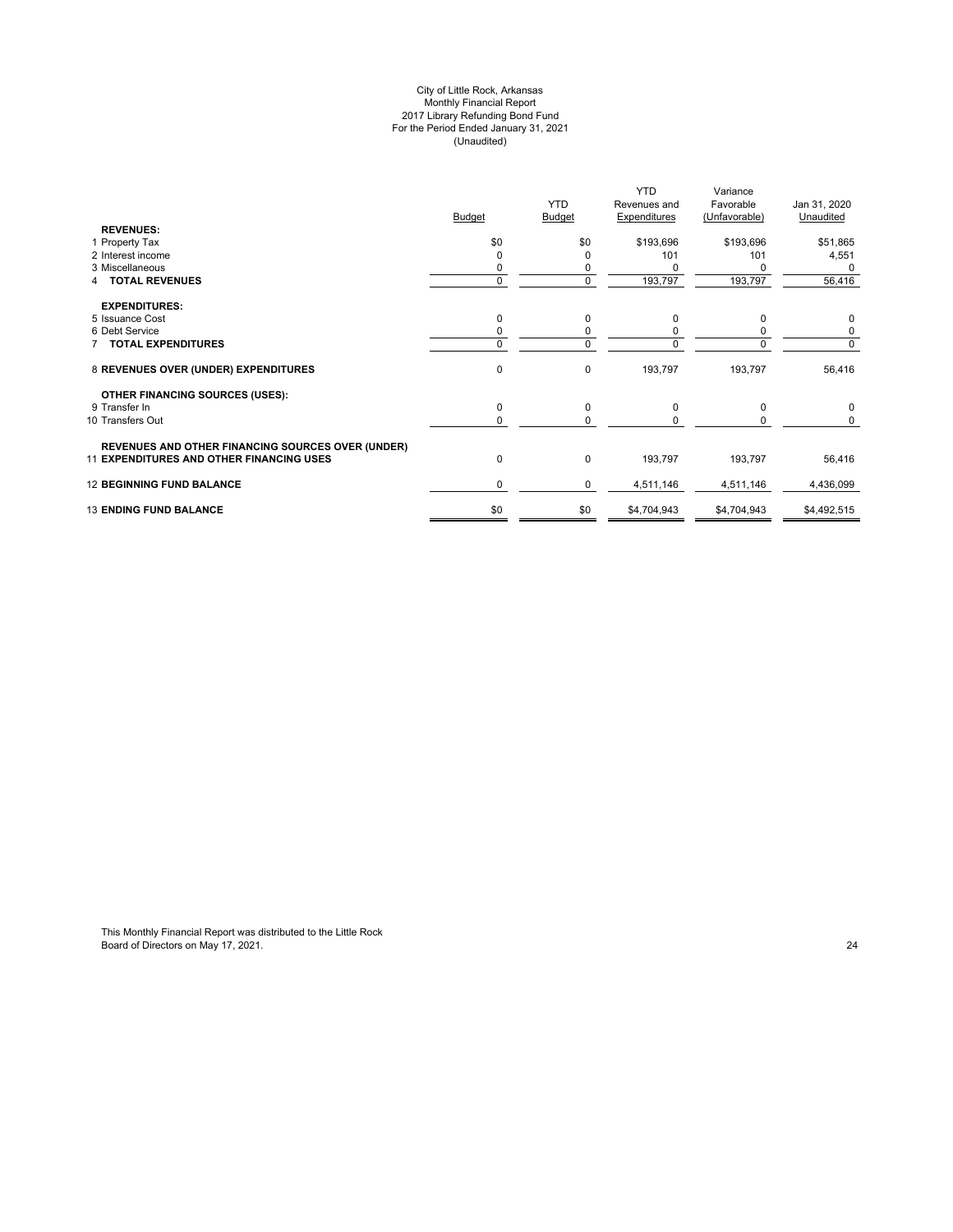#### City of Little Rock, Arkansas Monthly Financial Report 2017 Library Refunding Bond Fund For the Period Ended January 31, 2021 (Unaudited)

|                                                          |               | <b>YTD</b>    | <b>YTD</b><br>Revenues and | Variance<br>Favorable | Jan 31, 2020 |
|----------------------------------------------------------|---------------|---------------|----------------------------|-----------------------|--------------|
|                                                          | <b>Budget</b> | <b>Budget</b> | Expenditures               | (Unfavorable)         | Unaudited    |
| <b>REVENUES:</b>                                         |               |               |                            |                       |              |
| 1 Property Tax                                           | \$0           | \$0           | \$193,696                  | \$193,696             | \$51,865     |
| 2 Interest income                                        |               | 0             | 101                        | 101                   | 4,551        |
| 3 Miscellaneous                                          |               |               |                            |                       | 0            |
| <b>TOTAL REVENUES</b>                                    | $\Omega$      | $\mathbf 0$   | 193,797                    | 193,797               | 56,416       |
| <b>EXPENDITURES:</b>                                     |               |               |                            |                       |              |
| 5 Issuance Cost                                          |               | 0             | 0                          | 0                     | 0            |
| 6 Debt Service                                           |               | 0             |                            |                       | 0            |
| <b>TOTAL EXPENDITURES</b>                                | $\Omega$      | $\mathbf 0$   |                            | $\Omega$              | 0            |
| 8 REVENUES OVER (UNDER) EXPENDITURES                     | 0             | $\pmb{0}$     | 193,797                    | 193,797               | 56,416       |
| <b>OTHER FINANCING SOURCES (USES):</b>                   |               |               |                            |                       |              |
| 9 Transfer In                                            | 0             | $\pmb{0}$     | $\Omega$                   | 0                     | 0            |
| 10 Transfers Out                                         | 0             | 0             |                            | 0                     | 0            |
| <b>REVENUES AND OTHER FINANCING SOURCES OVER (UNDER)</b> |               |               |                            |                       |              |
| <b>11 EXPENDITURES AND OTHER FINANCING USES</b>          | 0             | $\pmb{0}$     | 193,797                    | 193,797               | 56,416       |
| <b>12 BEGINNING FUND BALANCE</b>                         | 0             | 0             | 4,511,146                  | 4,511,146             | 4,436,099    |
| <b>13 ENDING FUND BALANCE</b>                            | \$0           | \$0           | \$4,704,943                | \$4,704,943           | \$4,492,515  |
|                                                          |               |               |                            |                       |              |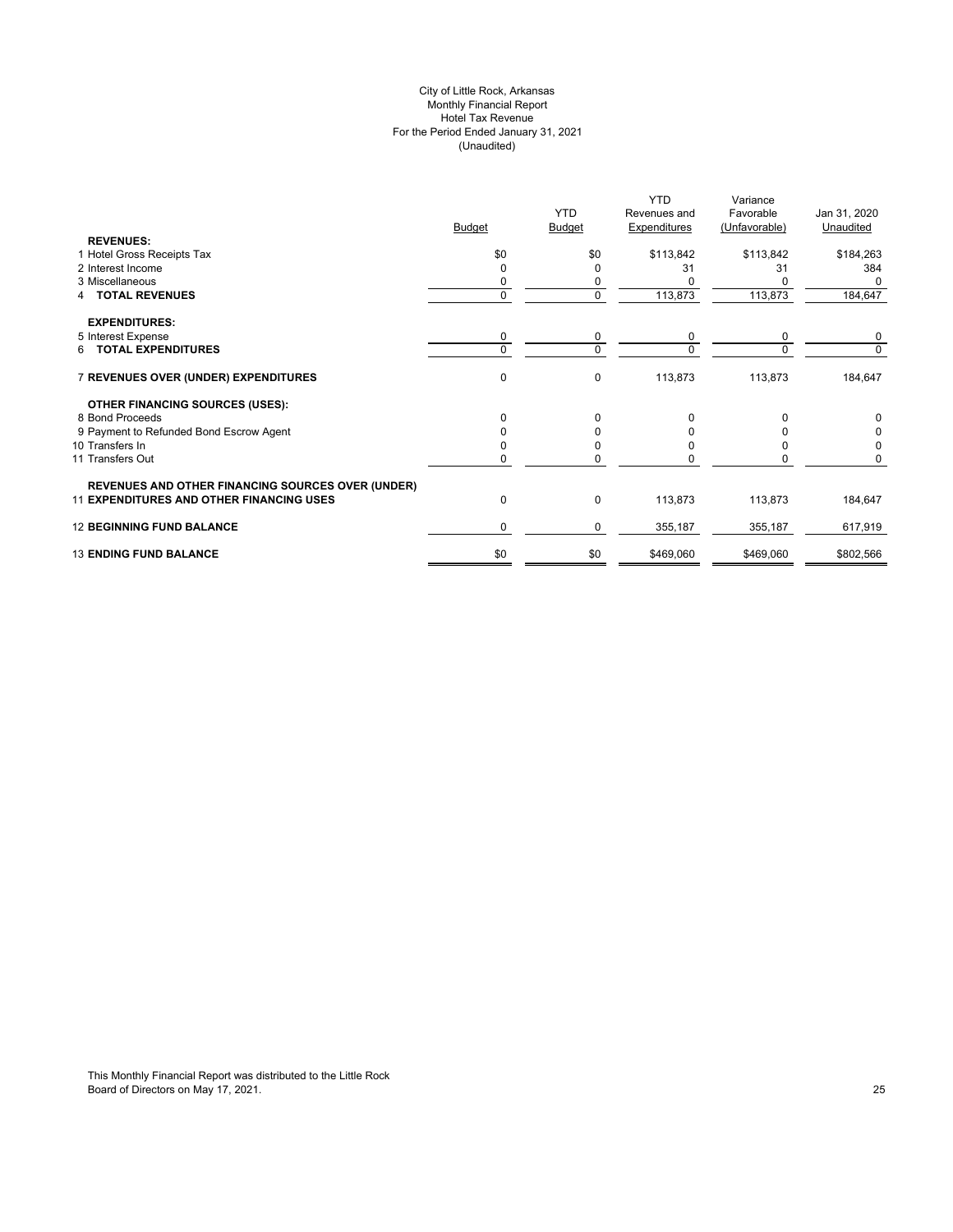# City of Little Rock, Arkansas Monthly Financial Report Hotel Tax Revenue For the Period Ended January 31, 2021 (Unaudited)

|                                                          |               |               | <b>YTD</b>   | Variance      |              |
|----------------------------------------------------------|---------------|---------------|--------------|---------------|--------------|
|                                                          |               | <b>YTD</b>    | Revenues and | Favorable     | Jan 31, 2020 |
|                                                          | <b>Budget</b> | <b>Budget</b> | Expenditures | (Unfavorable) | Unaudited    |
| <b>REVENUES:</b>                                         |               |               |              |               |              |
| 1 Hotel Gross Receipts Tax                               | \$0           | \$0           | \$113,842    | \$113,842     | \$184,263    |
| 2 Interest Income                                        | 0             |               | 31           | 31            | 384          |
| 3 Miscellaneous                                          | 0             |               |              |               |              |
| <b>TOTAL REVENUES</b>                                    | 0             | $\Omega$      | 113,873      | 113,873       | 184,647      |
| <b>EXPENDITURES:</b>                                     |               |               |              |               |              |
| 5 Interest Expense                                       | 0             | 0             | 0            | 0             | 0            |
| 6 TOTAL EXPENDITURES                                     | $\Omega$      | $\Omega$      | $\Omega$     | $\Omega$      | $\Omega$     |
| 7 REVENUES OVER (UNDER) EXPENDITURES                     | 0             | $\Omega$      | 113,873      | 113,873       | 184,647      |
| <b>OTHER FINANCING SOURCES (USES):</b>                   |               |               |              |               |              |
| 8 Bond Proceeds                                          | 0             | 0             | O            |               |              |
| 9 Payment to Refunded Bond Escrow Agent                  |               |               |              |               |              |
| 10 Transfers In                                          |               |               |              |               |              |
| 11 Transfers Out                                         |               |               |              |               |              |
| <b>REVENUES AND OTHER FINANCING SOURCES OVER (UNDER)</b> |               |               |              |               |              |
| <b>11 EXPENDITURES AND OTHER FINANCING USES</b>          | 0             | $\Omega$      | 113,873      | 113,873       | 184,647      |
| <b>12 BEGINNING FUND BALANCE</b>                         | 0             | 0             | 355,187      | 355,187       | 617,919      |
| <b>13 ENDING FUND BALANCE</b>                            | \$0           | \$0           | \$469,060    | \$469,060     | \$802,566    |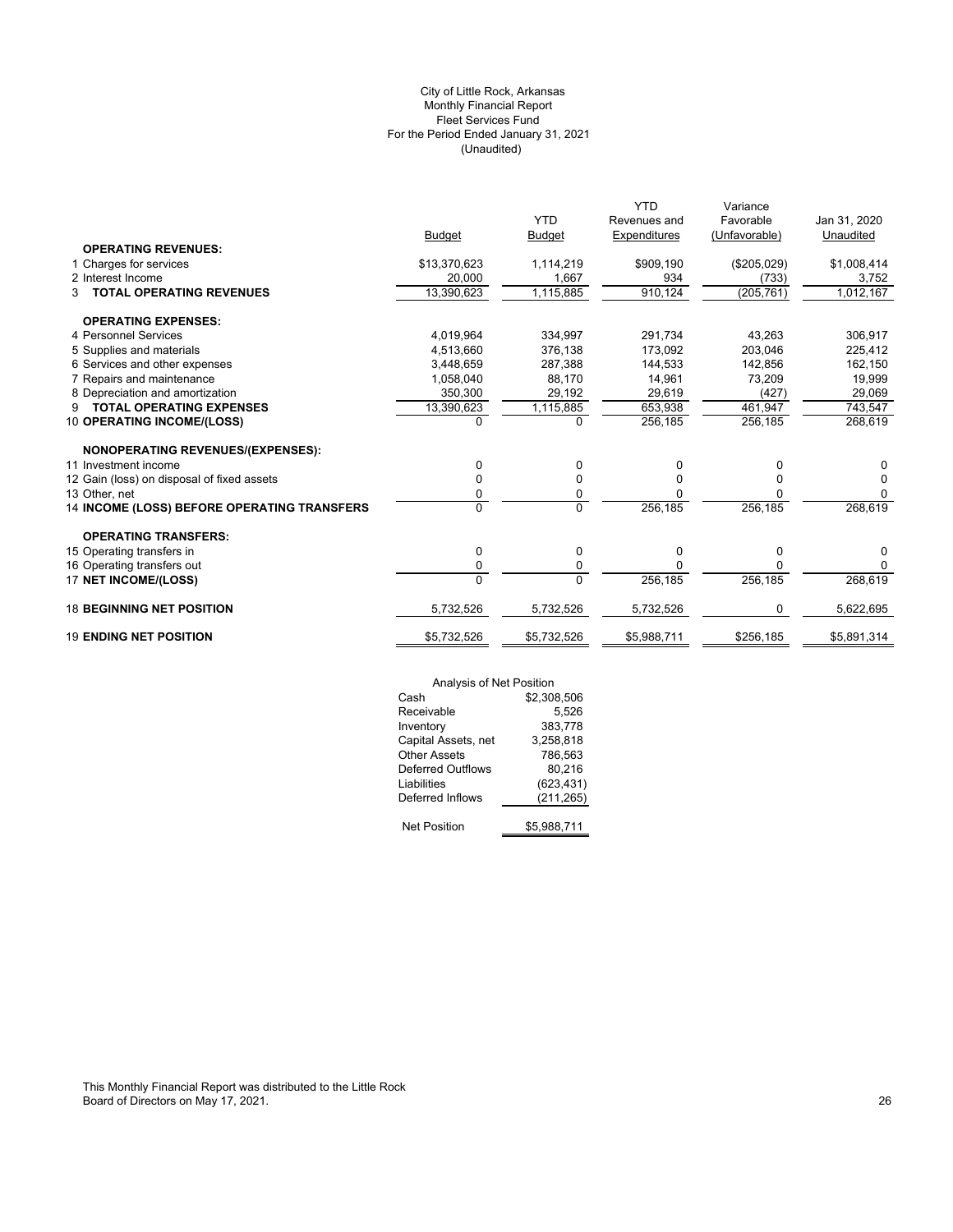# (Unaudited) City of Little Rock, Arkansas Monthly Financial Report Fleet Services Fund For the Period Ended January 31, 2021

|                                             |               |               | <b>YTD</b>   | Variance      |              |
|---------------------------------------------|---------------|---------------|--------------|---------------|--------------|
|                                             |               | <b>YTD</b>    | Revenues and | Favorable     | Jan 31, 2020 |
|                                             | <b>Budget</b> | <b>Budget</b> | Expenditures | (Unfavorable) | Unaudited    |
| <b>OPERATING REVENUES:</b>                  |               |               |              |               |              |
| 1 Charges for services                      | \$13,370,623  | 1,114,219     | \$909,190    | (\$205,029)   | \$1,008,414  |
| 2 Interest Income                           | 20,000        | 1,667         | 934          | (733)         | 3,752        |
| <b>TOTAL OPERATING REVENUES</b><br>3        | 13.390.623    | 1,115,885     | 910,124      | (205, 761)    | 1,012,167    |
| <b>OPERATING EXPENSES:</b>                  |               |               |              |               |              |
| 4 Personnel Services                        | 4.019.964     | 334.997       | 291.734      | 43.263        | 306,917      |
| 5 Supplies and materials                    | 4,513,660     | 376,138       | 173.092      | 203,046       | 225,412      |
| 6 Services and other expenses               | 3.448.659     | 287,388       | 144.533      | 142.856       | 162,150      |
| 7 Repairs and maintenance                   | 1,058,040     | 88,170        | 14,961       | 73,209        | 19,999       |
| 8 Depreciation and amortization             | 350,300       | 29,192        | 29,619       | (427)         | 29,069       |
| <b>TOTAL OPERATING EXPENSES</b><br>9        | 13,390,623    | 1,115,885     | 653,938      | 461.947       | 743,547      |
| 10 OPERATING INCOME/(LOSS)                  | $\Omega$      | $\Omega$      | 256,185      | 256,185       | 268,619      |
| <b>NONOPERATING REVENUES/(EXPENSES):</b>    |               |               |              |               |              |
| 11 Investment income                        | 0             | 0             | 0            | 0             | 0            |
| 12 Gain (loss) on disposal of fixed assets  | 0             | 0             |              |               | 0            |
| 13 Other, net                               | 0             | 0             |              | O             | $\Omega$     |
| 14 INCOME (LOSS) BEFORE OPERATING TRANSFERS | 0             | $\Omega$      | 256,185      | 256,185       | 268,619      |
| <b>OPERATING TRANSFERS:</b>                 |               |               |              |               |              |
| 15 Operating transfers in                   | 0             | 0             | 0            | $\Omega$      | 0            |
| 16 Operating transfers out                  | 0             | 0             | U            | O             | $\Omega$     |
| 17 NET INCOME/(LOSS)                        | $\Omega$      | $\Omega$      | 256,185      | 256,185       | 268,619      |
| <b>18 BEGINNING NET POSITION</b>            | 5,732,526     | 5,732,526     | 5,732,526    | 0             | 5,622,695    |
| <b>19 ENDING NET POSITION</b>               | \$5,732,526   | \$5,732,526   | \$5,988,711  | \$256,185     | \$5,891,314  |

|                          | Analysis of Net Position |  |  |
|--------------------------|--------------------------|--|--|
| Cash                     | \$2,308,506              |  |  |
| Receivable               | 5,526                    |  |  |
| Inventory                | 383,778                  |  |  |
| Capital Assets, net      | 3,258,818                |  |  |
| <b>Other Assets</b>      | 786,563                  |  |  |
| <b>Deferred Outflows</b> | 80,216                   |  |  |
| Liabilities              | (623, 431)               |  |  |
| Deferred Inflows         | (211, 265)               |  |  |
| <b>Net Position</b>      | \$5,988,711              |  |  |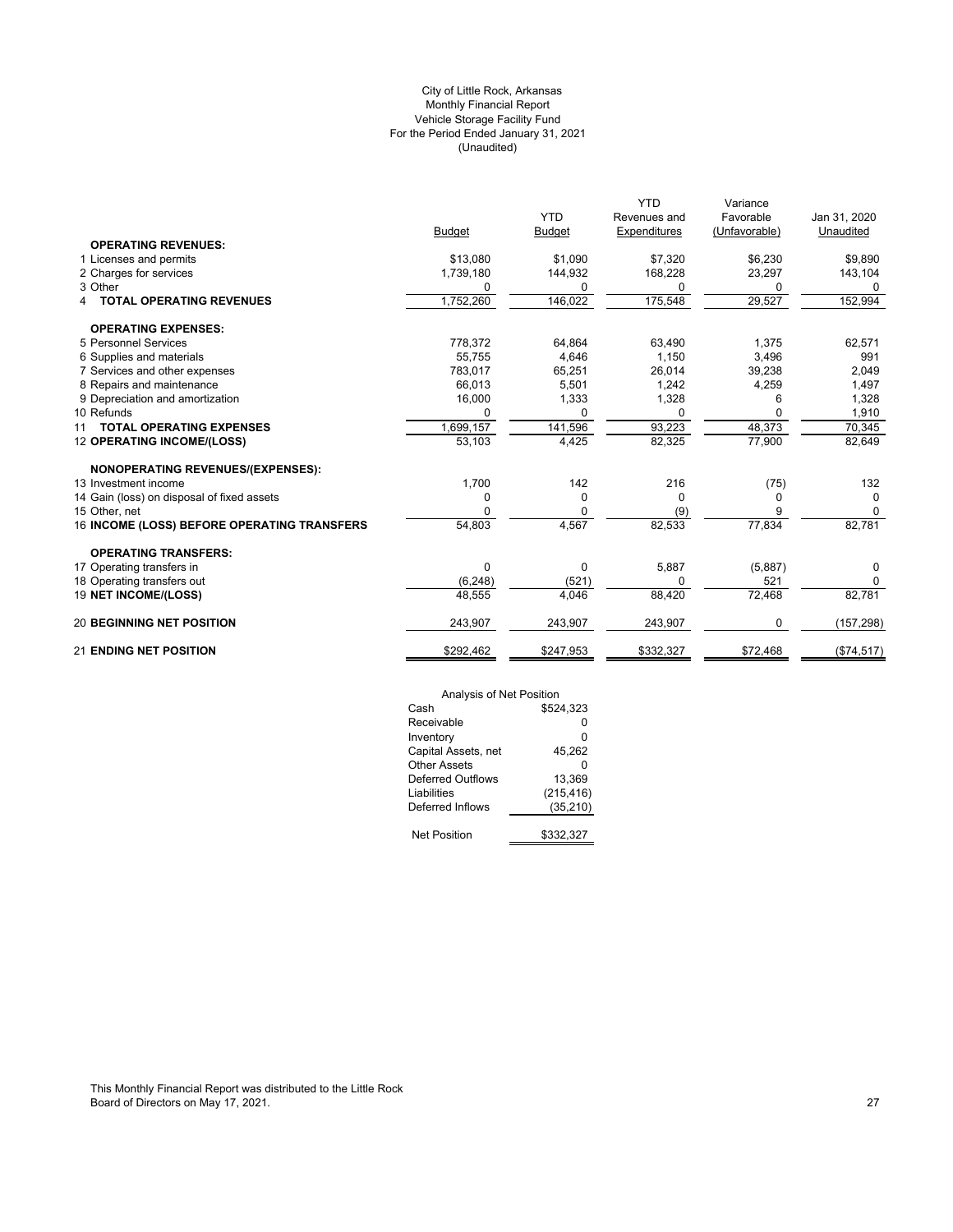# (Unaudited) City of Little Rock, Arkansas Monthly Financial Report Vehicle Storage Facility Fund For the Period Ended January 31, 2021

|                                             |               |               | YTD          | Variance      |              |
|---------------------------------------------|---------------|---------------|--------------|---------------|--------------|
|                                             |               | <b>YTD</b>    | Revenues and | Favorable     | Jan 31, 2020 |
|                                             | <b>Budget</b> | <b>Budget</b> | Expenditures | (Unfavorable) | Unaudited    |
| <b>OPERATING REVENUES:</b>                  |               |               |              |               |              |
| 1 Licenses and permits                      | \$13,080      | \$1,090       | \$7,320      | \$6,230       | \$9,890      |
| 2 Charges for services                      | 1,739,180     | 144,932       | 168,228      | 23,297        | 143,104      |
| 3 Other                                     | 0             | 0             | 0            | 0             | 0            |
| <b>TOTAL OPERATING REVENUES</b>             | 1,752,260     | 146,022       | 175,548      | 29,527        | 152,994      |
| <b>OPERATING EXPENSES:</b>                  |               |               |              |               |              |
| 5 Personnel Services                        | 778.372       | 64,864        | 63,490       | 1.375         | 62,571       |
| 6 Supplies and materials                    | 55,755        | 4,646         | 1,150        | 3,496         | 991          |
| 7 Services and other expenses               | 783,017       | 65,251        | 26,014       | 39,238        | 2,049        |
| 8 Repairs and maintenance                   | 66.013        | 5,501         | 1,242        | 4,259         | 1,497        |
| 9 Depreciation and amortization             | 16,000        | 1,333         | 1,328        | 6             | 1,328        |
| 10 Refunds                                  | 0             | 0             | 0            | 0             | 1,910        |
| <b>TOTAL OPERATING EXPENSES</b><br>11       | 1,699,157     | 141,596       | 93,223       | 48,373        | 70,345       |
| 12 OPERATING INCOME/(LOSS)                  | 53,103        | 4,425         | 82,325       | 77,900        | 82,649       |
| NONOPERATING REVENUES/(EXPENSES):           |               |               |              |               |              |
| 13 Investment income                        | 1,700         | 142           | 216          | (75)          | 132          |
| 14 Gain (loss) on disposal of fixed assets  | 0             | $\Omega$      | $\Omega$     | 0             | $\Omega$     |
| 15 Other, net                               | 0             | 0             | (9)          | 9             | 0            |
| 16 INCOME (LOSS) BEFORE OPERATING TRANSFERS | 54,803        | 4,567         | 82,533       | 77,834        | 82,781       |
| <b>OPERATING TRANSFERS:</b>                 |               |               |              |               |              |
| 17 Operating transfers in                   | $\Omega$      | 0             | 5,887        | (5,887)       | 0            |
| 18 Operating transfers out                  | (6, 248)      | (521)         | $\Omega$     | 521           | 0            |
| 19 NET INCOME/(LOSS)                        | 48,555        | 4.046         | 88,420       | 72,468        | 82,781       |
| <b>20 BEGINNING NET POSITION</b>            | 243,907       | 243,907       | 243,907      | <sup>0</sup>  | (157, 298)   |
| <b>21 ENDING NET POSITION</b>               | \$292,462     | \$247,953     | \$332,327    | \$72,468      | (\$74,517)   |

| Analysis of Net Position |            |
|--------------------------|------------|
| Cash                     | \$524.323  |
| Receivable               | ŋ          |
| Inventory                | 0          |
| Capital Assets, net      | 45.262     |
| Other Assets             | n          |
| Deferred Outflows        | 13.369     |
| Liabilities              | (215, 416) |
| Deferred Inflows         | (35, 210)  |
|                          |            |
| <b>Net Position</b>      | \$332.327  |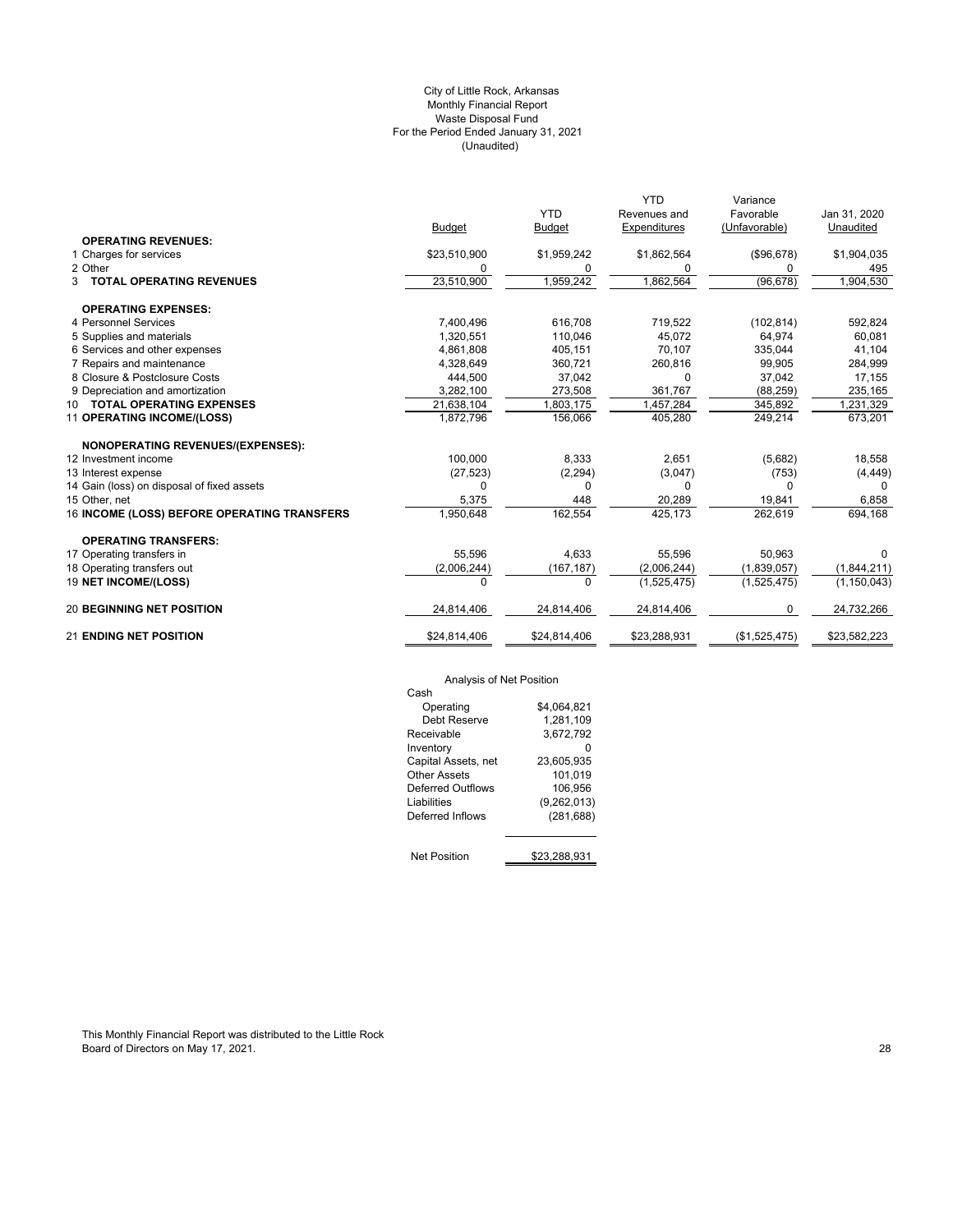#### (Unaudited) City of Little Rock, Arkansas Monthly Financial Report Waste Disposal Fund For the Period Ended January 31, 2021

|                                             |               |               | <b>YTD</b>          | Variance      |               |
|---------------------------------------------|---------------|---------------|---------------------|---------------|---------------|
|                                             |               | <b>YTD</b>    | Revenues and        | Favorable     | Jan 31, 2020  |
|                                             | <b>Budget</b> | <b>Budget</b> | <b>Expenditures</b> | (Unfavorable) | Unaudited     |
| <b>OPERATING REVENUES:</b>                  |               |               |                     |               |               |
| 1 Charges for services                      | \$23,510,900  | \$1,959,242   | \$1,862,564         | (\$96,678)    | \$1,904,035   |
| 2 Other                                     | 0             | 0             | 0                   | 0             | 495           |
| 3 TOTAL OPERATING REVENUES                  | 23,510,900    | 1,959,242     | 1,862,564           | (96, 678)     | 1,904,530     |
| <b>OPERATING EXPENSES:</b>                  |               |               |                     |               |               |
| 4 Personnel Services                        | 7,400,496     | 616,708       | 719,522             | (102, 814)    | 592,824       |
| 5 Supplies and materials                    | 1,320,551     | 110,046       | 45,072              | 64,974        | 60,081        |
| 6 Services and other expenses               | 4,861,808     | 405,151       | 70,107              | 335,044       | 41,104        |
| 7 Repairs and maintenance                   | 4,328,649     | 360,721       | 260,816             | 99.905        | 284,999       |
| 8 Closure & Postclosure Costs               | 444,500       | 37,042        | $\Omega$            | 37,042        | 17,155        |
| 9 Depreciation and amortization             | 3,282,100     | 273,508       | 361,767             | (88, 259)     | 235,165       |
| 10 TOTAL OPERATING EXPENSES                 | 21,638,104    | 1,803,175     | 1,457,284           | 345,892       | 1,231,329     |
| 11 OPERATING INCOME/(LOSS)                  | 1,872,796     | 156,066       | 405,280             | 249,214       | 673,201       |
| NONOPERATING REVENUES/(EXPENSES):           |               |               |                     |               |               |
| 12 Investment income                        | 100,000       | 8,333         | 2,651               | (5,682)       | 18,558        |
| 13 Interest expense                         | (27, 523)     | (2, 294)      | (3,047)             | (753)         | (4, 449)      |
| 14 Gain (loss) on disposal of fixed assets  | $\Omega$      | O             | 0                   | $\Omega$      |               |
| 15 Other, net                               | 5,375         | 448           | 20,289              | 19,841        | 6,858         |
| 16 INCOME (LOSS) BEFORE OPERATING TRANSFERS | 1,950,648     | 162,554       | 425,173             | 262,619       | 694,168       |
| <b>OPERATING TRANSFERS:</b>                 |               |               |                     |               |               |
| 17 Operating transfers in                   | 55.596        | 4,633         | 55,596              | 50,963        | 0             |
| 18 Operating transfers out                  | (2,006,244)   | (167, 187)    | (2,006,244)         | (1,839,057)   | (1,844,211)   |
| <b>19 NET INCOME/(LOSS)</b>                 | $\Omega$      | $\Omega$      | (1,525,475)         | (1,525,475)   | (1, 150, 043) |
| <b>20 BEGINNING NET POSITION</b>            | 24,814,406    | 24,814,406    | 24,814,406          | 0             | 24,732,266    |
| <b>21 ENDING NET POSITION</b>               | \$24,814,406  | \$24,814,406  | \$23,288,931        | (\$1,525,475) | \$23,582,223  |

# Analysis of Net Position

| Analysis of Net Position |              |
|--------------------------|--------------|
| Cash                     |              |
| Operating                | \$4.064.821  |
| Debt Reserve             | 1.281.109    |
| Receivable               | 3,672,792    |
| Inventory                |              |
| Capital Assets, net      | 23,605,935   |
| Other Assets             | 101,019      |
| Deferred Outflows        | 106.956      |
| Liabilities              | (9,262,013)  |
| Deferred Inflows         | (281, 688)   |
|                          |              |
| <b>Net Position</b>      | \$23.288.931 |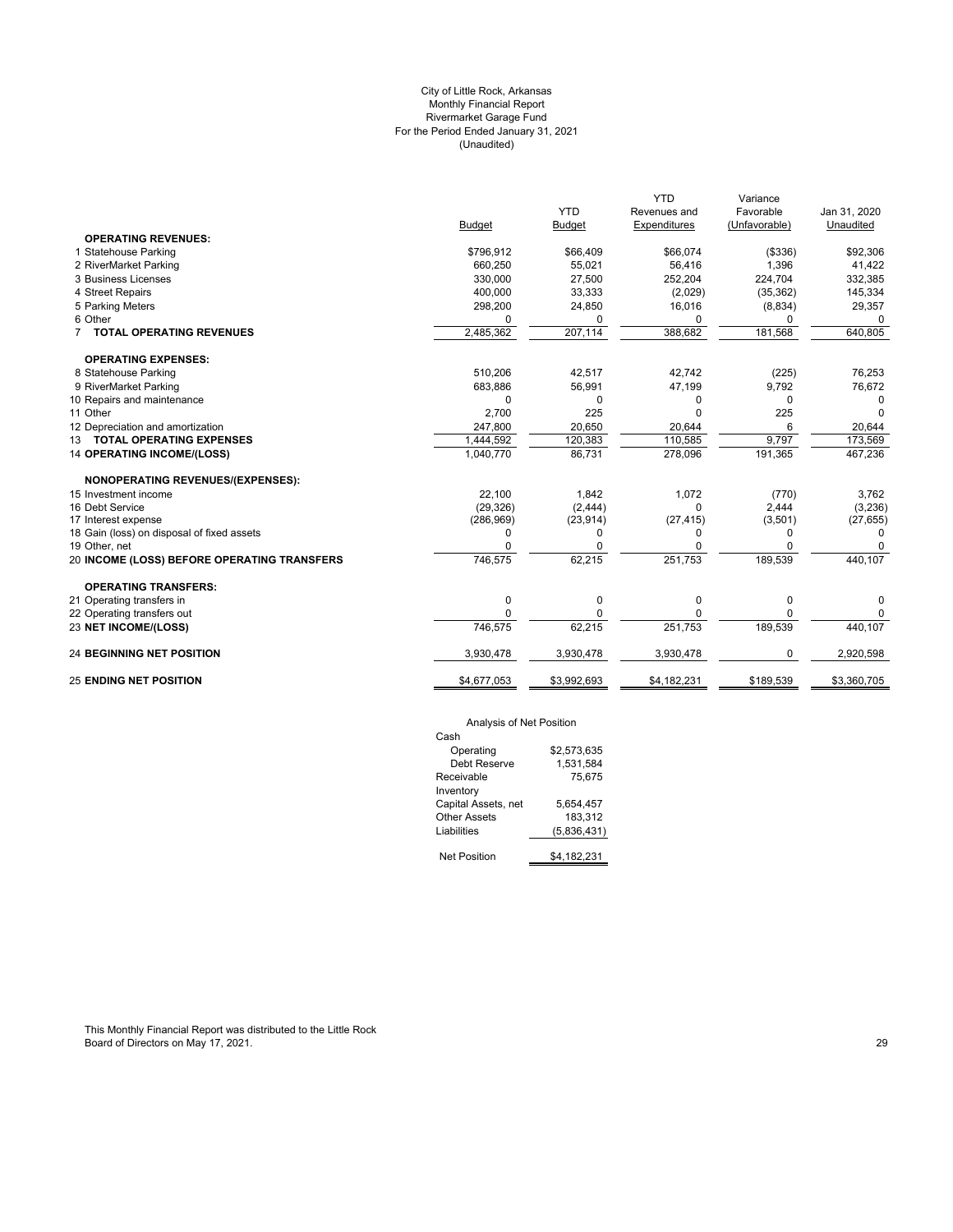# (Unaudited) City of Little Rock, Arkansas Monthly Financial Report Rivermarket Garage Fund For the Period Ended January 31, 2021

|                                             |             |               | <b>YTD</b>   | Variance      |              |
|---------------------------------------------|-------------|---------------|--------------|---------------|--------------|
|                                             |             | <b>YTD</b>    | Revenues and | Favorable     | Jan 31, 2020 |
|                                             | Budget      | <b>Budget</b> | Expenditures | (Unfavorable) | Unaudited    |
| <b>OPERATING REVENUES:</b>                  |             |               |              |               |              |
| 1 Statehouse Parking                        | \$796,912   | \$66,409      | \$66,074     | (\$336)       | \$92,306     |
| 2 RiverMarket Parking                       | 660,250     | 55,021        | 56,416       | 1,396         | 41,422       |
| 3 Business Licenses                         | 330.000     | 27,500        | 252,204      | 224,704       | 332,385      |
| 4 Street Repairs                            | 400,000     | 33,333        | (2,029)      | (35, 362)     | 145,334      |
| 5 Parking Meters                            | 298,200     | 24,850        | 16,016       | (8,834)       | 29,357       |
| 6 Other                                     | $\Omega$    | 0             | 0            | 0             | $\Omega$     |
| <b>TOTAL OPERATING REVENUES</b>             | 2,485,362   | 207,114       | 388,682      | 181,568       | 640,805      |
| <b>OPERATING EXPENSES:</b>                  |             |               |              |               |              |
| 8 Statehouse Parking                        | 510,206     | 42,517        | 42,742       | (225)         | 76,253       |
| 9 RiverMarket Parking                       | 683,886     | 56,991        | 47,199       | 9,792         | 76,672       |
| 10 Repairs and maintenance                  | $\Omega$    | $\Omega$      | 0            | $\Omega$      | 0            |
| 11 Other                                    | 2,700       | 225           | U            | 225           | <sup>n</sup> |
| 12 Depreciation and amortization            | 247,800     | 20.650        | 20.644       | 6             | 20.644       |
| 13 TOTAL OPERATING EXPENSES                 | 1,444,592   | 120,383       | 110,585      | 9,797         | 173,569      |
| <b>14 OPERATING INCOME/(LOSS)</b>           | 1,040,770   | 86,731        | 278,096      | 191,365       | 467,236      |
| <b>NONOPERATING REVENUES/(EXPENSES):</b>    |             |               |              |               |              |
| 15 Investment income                        | 22,100      | 1,842         | 1,072        | (770)         | 3,762        |
| 16 Debt Service                             | (29, 326)   | (2, 444)      | 0            | 2,444         | (3,236)      |
| 17 Interest expense                         | (286, 969)  | (23, 914)     | (27, 415)    | (3,501)       | (27, 655)    |
| 18 Gain (loss) on disposal of fixed assets  | 0           | 0             | 0            | 0             | 0            |
| 19 Other, net                               | $\Omega$    | 0             | O            | 0             |              |
| 20 INCOME (LOSS) BEFORE OPERATING TRANSFERS | 746,575     | 62,215        | 251,753      | 189,539       | 440,107      |
| <b>OPERATING TRANSFERS:</b>                 |             |               |              |               |              |
| 21 Operating transfers in                   | 0           | 0             | 0            | 0             | 0            |
| 22 Operating transfers out                  | $\Omega$    | 0             | 0            | 0             | 0            |
| 23 NET INCOME/(LOSS)                        | 746,575     | 62,215        | 251,753      | 189,539       | 440,107      |
| <b>24 BEGINNING NET POSITION</b>            | 3,930,478   | 3,930,478     | 3,930,478    | 0             | 2,920,598    |
| <b>25 ENDING NET POSITION</b>               | \$4,677,053 | \$3,992,693   | \$4,182,231  | \$189,539     | \$3,360,705  |
|                                             |             |               |              |               |              |

# Analysis of Net Position

| Cash                |             |
|---------------------|-------------|
| Operating           | \$2.573.635 |
| Debt Reserve        | 1,531,584   |
| Receivable          | 75.675      |
| Inventory           |             |
| Capital Assets, net | 5.654.457   |
| Other Assets        | 183.312     |
| Liabilities         | (5,836,431) |
| Net Position        | \$4,182,231 |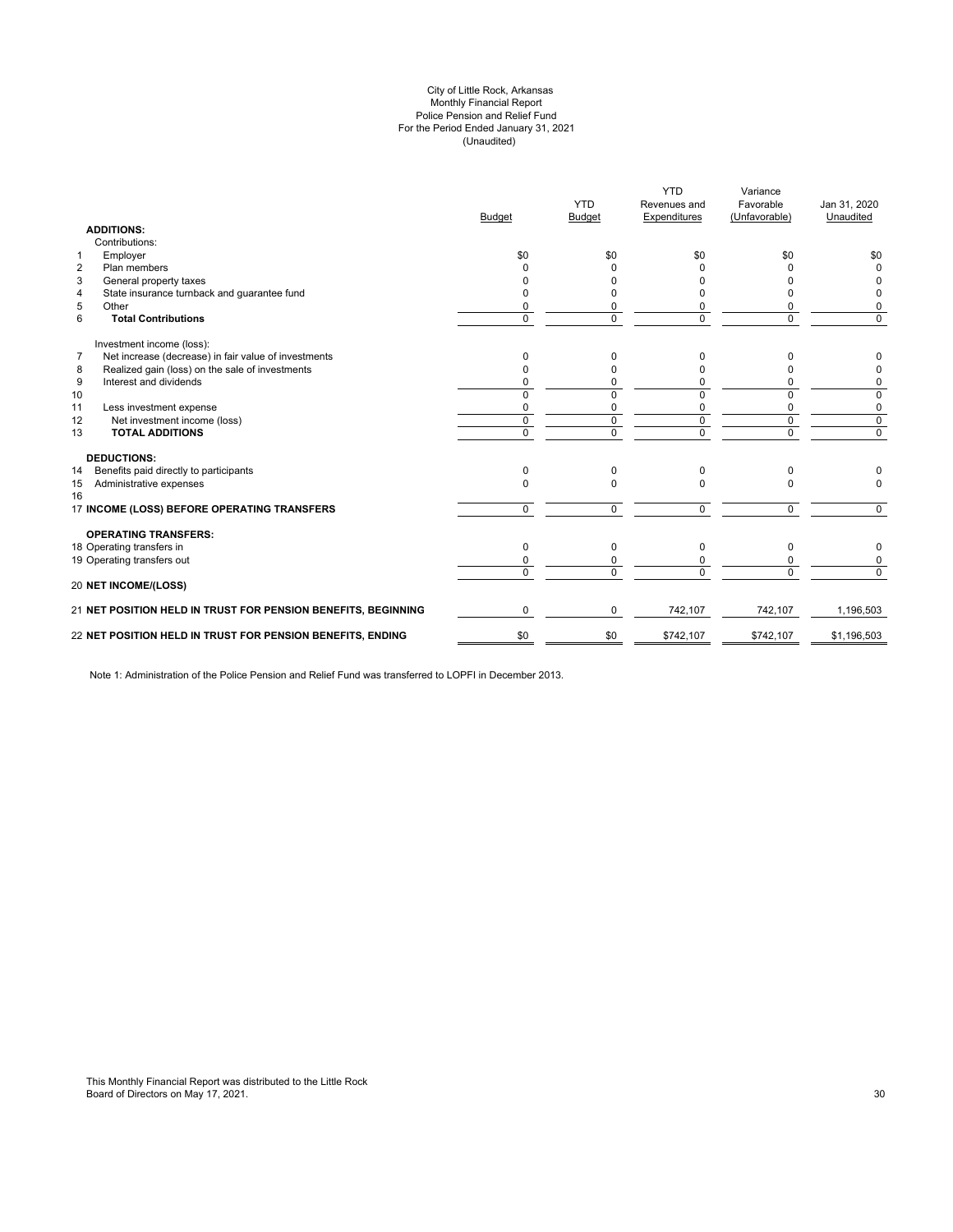#### (Unaudited) City of Little Rock, Arkansas Monthly Financial Report Police Pension and Relief Fund For the Period Ended January 31, 2021

| <b>ADDITIONS:</b>                                                      | <b>Budget</b>  | <b>YTD</b><br>Budget | <b>YTD</b><br>Revenues and<br>Expenditures | Variance<br>Favorable<br>(Unfavorable) | Jan 31, 2020<br>Unaudited |
|------------------------------------------------------------------------|----------------|----------------------|--------------------------------------------|----------------------------------------|---------------------------|
| Contributions:                                                         |                |                      |                                            |                                        |                           |
| Employer<br>$\mathbf{1}$                                               | \$0            | \$0                  | \$0                                        | \$0                                    | \$0                       |
| $\overline{2}$<br>Plan members                                         | <sup>0</sup>   | <sup>0</sup>         | n                                          | o                                      | $\Omega$                  |
| 3<br>General property taxes                                            | n              | <sup>0</sup>         |                                            |                                        | 0                         |
| State insurance turnback and guarantee fund<br>4                       | <sup>0</sup>   | 0                    |                                            | n                                      | 0                         |
| 5<br>Other                                                             | 0              | 0                    |                                            | 0                                      | 0                         |
| 6<br><b>Total Contributions</b>                                        | $\Omega$       | $\Omega$             | $\Omega$                                   | 0                                      | $\Omega$                  |
| Investment income (loss):                                              |                |                      |                                            |                                        |                           |
| $\overline{7}$<br>Net increase (decrease) in fair value of investments | $\Omega$       | 0                    | 0                                          | n                                      | 0                         |
| Realized gain (loss) on the sale of investments<br>8                   | n              | $\Omega$             |                                            |                                        | 0                         |
| Interest and dividends<br>9                                            | $\Omega$       | 0                    | 0                                          | 0                                      | 0                         |
| 10                                                                     | $\Omega$       | $\Omega$             | $\Omega$                                   | $\Omega$                               | 0                         |
| 11<br>Less investment expense                                          | $\Omega$       | 0                    | $\Omega$                                   | 0                                      | 0                         |
| 12<br>Net investment income (loss)                                     | $\Omega$       | $\Omega$             | $\Omega$                                   | 0                                      | $\mathbf 0$               |
| 13<br><b>TOTAL ADDITIONS</b>                                           | $\overline{0}$ | 0                    | $\mathbf 0$                                | 0                                      | $\overline{0}$            |
| <b>DEDUCTIONS:</b>                                                     |                |                      |                                            |                                        |                           |
| Benefits paid directly to participants<br>14                           | $\Omega$       | $\Omega$             | $\Omega$                                   | 0                                      |                           |
| Administrative expenses<br>15<br>16                                    | $\Omega$       | $\Omega$             | $\Omega$                                   | 0                                      | $\Omega$                  |
| 17 INCOME (LOSS) BEFORE OPERATING TRANSFERS                            | $\Omega$       | $\Omega$             | $\Omega$                                   | $\Omega$                               | $\Omega$                  |
| <b>OPERATING TRANSFERS:</b>                                            |                |                      |                                            |                                        |                           |
| 18 Operating transfers in                                              | $\Omega$       | $\Omega$             | $\Omega$                                   | 0                                      | 0                         |
| 19 Operating transfers out                                             | 0              | 0                    |                                            | 0                                      | 0                         |
| 20 NET INCOME/(LOSS)                                                   | $\Omega$       | $\Omega$             | $\Omega$                                   | $\Omega$                               | $\Omega$                  |
| 21 NET POSITION HELD IN TRUST FOR PENSION BENEFITS, BEGINNING          | $\mathbf 0$    | 0                    | 742,107                                    | 742,107                                | 1,196,503                 |
| 22 NET POSITION HELD IN TRUST FOR PENSION BENEFITS, ENDING             | \$0            | \$0                  | \$742,107                                  | \$742,107                              | \$1,196,503               |
|                                                                        |                |                      |                                            |                                        |                           |

Note 1: Administration of the Police Pension and Relief Fund was transferred to LOPFI in December 2013.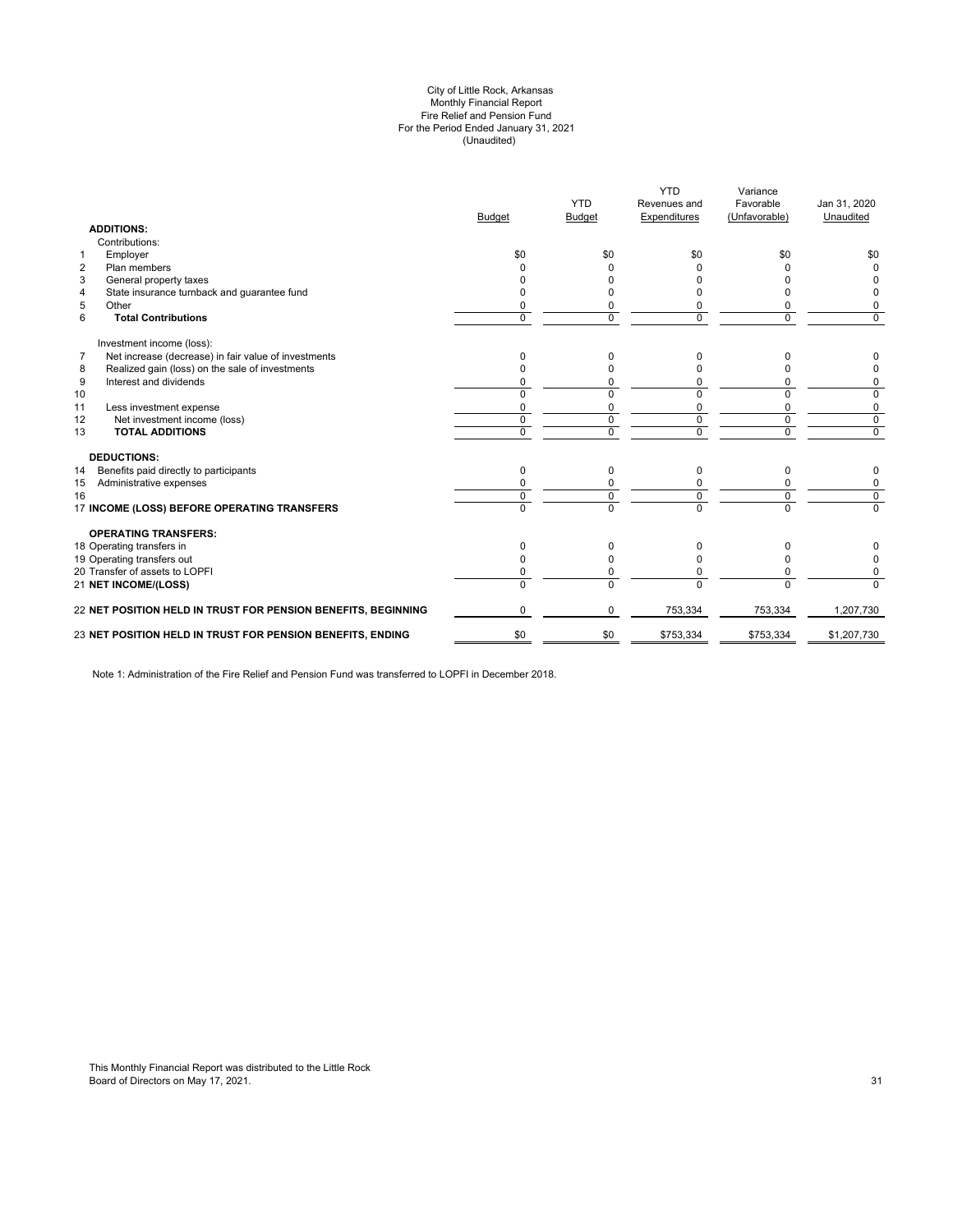#### (Unaudited) City of Little Rock, Arkansas Monthly Financial Report Fire Relief and Pension Fund For the Period Ended January 31, 2021

| <b>ADDITIONS:</b>                                                      | <b>Budget</b> | <b>YTD</b><br><b>Budget</b> | <b>YTD</b><br>Revenues and<br>Expenditures | Variance<br>Favorable<br>(Unfavorable) | Jan 31, 2020<br>Unaudited |
|------------------------------------------------------------------------|---------------|-----------------------------|--------------------------------------------|----------------------------------------|---------------------------|
| Contributions:                                                         |               |                             |                                            |                                        |                           |
| Employer<br>$\mathbf{1}$                                               | \$0           | \$0                         | \$0                                        | \$0                                    | \$0                       |
| $\overline{2}$<br>Plan members                                         |               |                             |                                            |                                        | $\Omega$                  |
| 3<br>General property taxes                                            |               |                             |                                            |                                        |                           |
| State insurance turnback and guarantee fund<br>4                       |               |                             |                                            | n                                      | 0                         |
| 5<br>Other                                                             |               | 0                           | 0                                          | 0                                      | 0                         |
| 6<br><b>Total Contributions</b>                                        | $\Omega$      | $\Omega$                    | $\Omega$                                   | $\Omega$                               | $\Omega$                  |
| Investment income (loss):                                              |               |                             |                                            |                                        |                           |
| Net increase (decrease) in fair value of investments<br>$\overline{7}$ | 0             | 0                           | <sup>0</sup>                               | U                                      | 0                         |
| Realized gain (loss) on the sale of investments<br>8                   |               | O                           |                                            | n                                      | 0                         |
| 9<br>Interest and dividends                                            | 0             | 0                           | $\Omega$                                   | 0                                      | 0                         |
| 10                                                                     |               | $\Omega$                    | $\Omega$                                   | $\Omega$                               | 0                         |
| 11<br>Less investment expense                                          | $\Omega$      | 0                           | 0                                          | $\mathbf 0$                            | 0                         |
| 12<br>Net investment income (loss)                                     | $\Omega$      | $\Omega$                    | $\Omega$                                   | $\mathbf 0$                            | $\mathbf 0$               |
| 13<br><b>TOTAL ADDITIONS</b>                                           | $\Omega$      | 0                           | $\mathbf 0$                                | $\mathbf 0$                            | $\overline{0}$            |
| <b>DEDUCTIONS:</b>                                                     |               |                             |                                            |                                        |                           |
| Benefits paid directly to participants<br>14                           | 0             | $\Omega$                    | $\Omega$                                   | 0                                      | 0                         |
| Administrative expenses<br>15                                          |               |                             | 0                                          | 0                                      | 0                         |
| 16                                                                     | $\Omega$      | $\mathbf 0$                 | $\Omega$                                   | $\mathbf 0$                            | $\mathbf 0$               |
| 17 INCOME (LOSS) BEFORE OPERATING TRANSFERS                            | $\Omega$      | $\overline{0}$              | $\Omega$                                   | $\overline{0}$                         | $\Omega$                  |
| <b>OPERATING TRANSFERS:</b>                                            |               |                             |                                            |                                        |                           |
| 18 Operating transfers in                                              | $\Omega$      | 0                           | 0                                          | 0                                      |                           |
| 19 Operating transfers out                                             | <sup>0</sup>  | O                           | <sup>0</sup>                               | 0                                      | 0                         |
| 20 Transfer of assets to LOPFI                                         |               | $\Omega$                    | $\Omega$                                   | $\Omega$                               | 0                         |
| 21 NET INCOME/(LOSS)                                                   | $\Omega$      | $\Omega$                    | $\Omega$                                   | $\Omega$                               | $\Omega$                  |
| <b>22 NET POSITION HELD IN TRUST FOR PENSION BENEFITS, BEGINNING</b>   | $\Omega$      | $\Omega$                    | 753,334                                    | 753,334                                | 1,207,730                 |
| 23 NET POSITION HELD IN TRUST FOR PENSION BENEFITS, ENDING             | \$0           | \$0                         | \$753,334                                  | \$753,334                              | \$1,207,730               |
|                                                                        |               |                             |                                            |                                        |                           |

Note 1: Administration of the Fire Relief and Pension Fund was transferred to LOPFI in December 2018.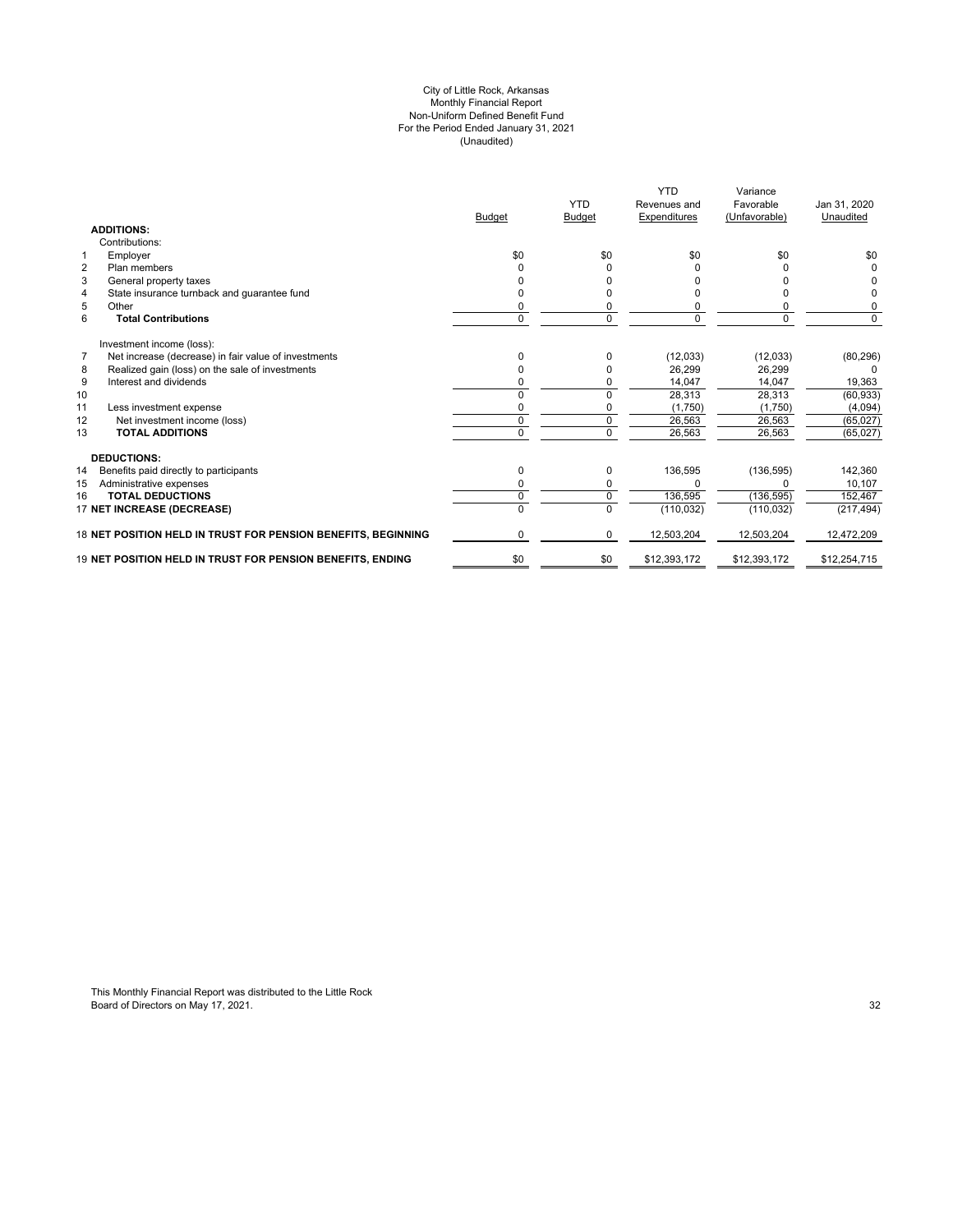#### (Unaudited) For the Period Ended January 31, 2021 City of Little Rock, Arkansas Monthly Financial Report Non-Uniform Defined Benefit Fund

|                                                            |                                                               | <b>Budget</b> | <b>YTD</b><br><b>Budget</b> | <b>YTD</b><br>Revenues and<br>Expenditures | Variance<br>Favorable<br>(Unfavorable) | Jan 31, 2020<br>Unaudited |
|------------------------------------------------------------|---------------------------------------------------------------|---------------|-----------------------------|--------------------------------------------|----------------------------------------|---------------------------|
| <b>ADDITIONS:</b>                                          |                                                               |               |                             |                                            |                                        |                           |
| Contributions:                                             |                                                               |               |                             |                                            |                                        |                           |
| Employer<br>1                                              |                                                               | \$0           | \$0                         | \$0                                        | \$0                                    | \$0                       |
| $\overline{2}$<br>Plan members                             |                                                               |               |                             |                                            |                                        |                           |
| 3<br>General property taxes                                |                                                               |               |                             |                                            |                                        |                           |
| State insurance turnback and quarantee fund<br>4           |                                                               |               |                             |                                            |                                        |                           |
| 5<br>Other                                                 |                                                               |               |                             |                                            |                                        | 0                         |
| 6<br><b>Total Contributions</b>                            |                                                               | 0             | 0                           | $\Omega$                                   | 0                                      | 0                         |
| Investment income (loss):                                  |                                                               |               |                             |                                            |                                        |                           |
| 7<br>Net increase (decrease) in fair value of investments  |                                                               | n             | $\Omega$                    | (12,033)                                   | (12,033)                               | (80, 296)                 |
| Realized gain (loss) on the sale of investments<br>8       |                                                               |               | 0                           | 26,299                                     | 26,299                                 | 0                         |
| 9<br>Interest and dividends                                |                                                               |               | 0                           | 14,047                                     | 14,047                                 | 19,363                    |
| 10                                                         |                                                               |               | 0                           | 28,313                                     | 28,313                                 | (60, 933)                 |
| 11<br>Less investment expense                              |                                                               | ŋ             | 0                           | (1,750)                                    | (1,750)                                | (4,094)                   |
| 12<br>Net investment income (loss)                         |                                                               | $\mathbf 0$   | $\mathbf 0$                 | 26,563                                     | 26,563                                 | (65, 027)                 |
| <b>TOTAL ADDITIONS</b><br>13                               |                                                               | $\Omega$      | $\Omega$                    | 26,563                                     | 26,563                                 | (65, 027)                 |
| <b>DEDUCTIONS:</b>                                         |                                                               |               |                             |                                            |                                        |                           |
| 14<br>Benefits paid directly to participants               |                                                               | 0             | 0                           | 136,595                                    | (136, 595)                             | 142,360                   |
| 15<br>Administrative expenses                              |                                                               | $\Omega$      | 0                           | $\Omega$                                   |                                        | 10,107                    |
| <b>TOTAL DEDUCTIONS</b><br>16                              |                                                               | 0             | $\mathbf 0$                 | 136,595                                    | (136, 595)                             | 152,467                   |
| 17 NET INCREASE (DECREASE)                                 |                                                               | $\Omega$      | $\Omega$                    | (110, 032)                                 | (110, 032)                             | (217, 494)                |
|                                                            | 18 NET POSITION HELD IN TRUST FOR PENSION BENEFITS, BEGINNING | $\Omega$      | 0                           | 12,503,204                                 | 12,503,204                             | 12,472,209                |
| 19 NET POSITION HELD IN TRUST FOR PENSION BENEFITS. ENDING |                                                               | \$0           | \$0                         | \$12,393,172                               | \$12,393,172                           | \$12,254,715              |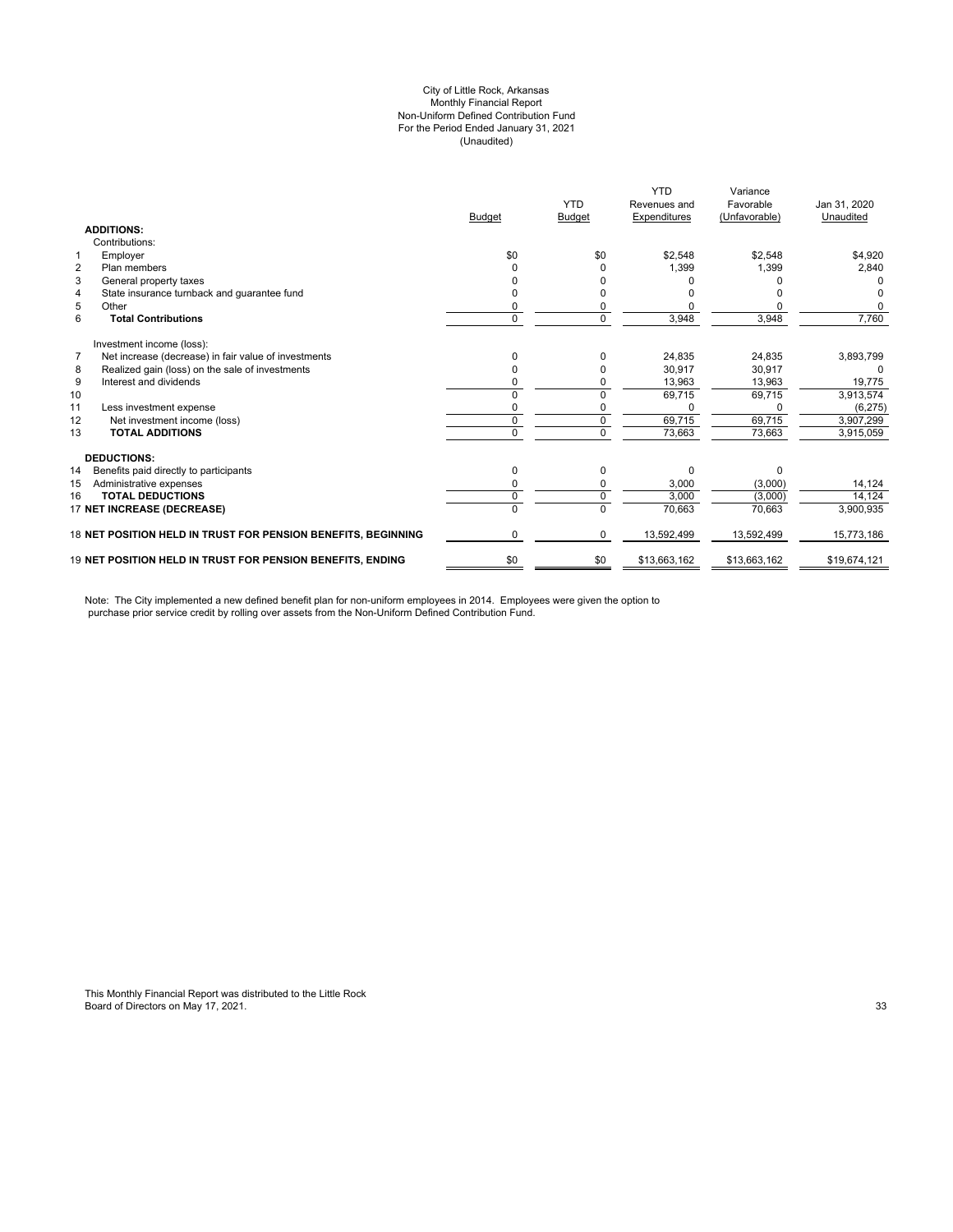#### City of Little Rock, Arkansas (Unaudited) For the Period Ended January 31, 2021 Non-Uniform Defined Contribution Fund Monthly Financial Report

|                                              |                                                                   |               | <b>YTD</b>    | <b>YTD</b><br>Revenues and | Variance<br>Favorable | Jan 31, 2020 |
|----------------------------------------------|-------------------------------------------------------------------|---------------|---------------|----------------------------|-----------------------|--------------|
|                                              |                                                                   | <b>Budget</b> | <b>Budget</b> | Expenditures               | (Unfavorable)         | Unaudited    |
| <b>ADDITIONS:</b>                            |                                                                   |               |               |                            |                       |              |
| Contributions:                               |                                                                   |               |               |                            |                       |              |
| Employer<br>1                                |                                                                   | \$0           | \$0           | \$2,548                    | \$2,548               | \$4,920      |
| $\overline{2}$<br>Plan members               |                                                                   |               |               | 1,399                      | 1,399                 | 2,840        |
| 3<br>General property taxes                  |                                                                   |               |               |                            |                       |              |
| 4                                            | State insurance turnback and guarantee fund                       |               |               |                            |                       |              |
| 5<br>Other                                   |                                                                   | 0             |               |                            |                       |              |
| 6<br><b>Total Contributions</b>              |                                                                   | $\Omega$      | $\Omega$      | 3,948                      | 3,948                 | 7,760        |
| Investment income (loss):                    |                                                                   |               |               |                            |                       |              |
| $\overline{7}$                               | Net increase (decrease) in fair value of investments              |               |               | 24,835                     | 24,835                | 3,893,799    |
| 8                                            | Realized gain (loss) on the sale of investments                   |               |               | 30,917                     | 30.917                | 0            |
| Interest and dividends<br>9                  |                                                                   |               |               | 13,963                     | 13,963                | 19,775       |
| 10                                           |                                                                   | 0             | $\Omega$      | 69,715                     | 69,715                | 3,913,574    |
| 11<br>Less investment expense                |                                                                   | 0             |               | $\Omega$                   |                       | (6, 275)     |
| 12<br>Net investment income (loss)           |                                                                   | 0             | $\mathbf 0$   | 69,715                     | 69,715                | 3.907.299    |
| <b>TOTAL ADDITIONS</b><br>13                 |                                                                   | $\Omega$      | $\Omega$      | 73,663                     | 73,663                | 3,915,059    |
| <b>DEDUCTIONS:</b>                           |                                                                   |               |               |                            |                       |              |
| 14<br>Benefits paid directly to participants |                                                                   | 0             | $\Omega$      | $\Omega$                   | <sup>n</sup>          |              |
| 15<br>Administrative expenses                |                                                                   | 0             | 0             | 3,000                      | (3,000)               | 14,124       |
| <b>TOTAL DEDUCTIONS</b><br>16                |                                                                   | 0             | $\Omega$      | 3.000                      | (3,000)               | 14.124       |
| 17 NET INCREASE (DECREASE)                   |                                                                   | $\Omega$      | $\Omega$      | 70,663                     | 70,663                | 3,900,935    |
|                                              | 18 NET POSITION HELD IN TRUST FOR PENSION BENEFITS, BEGINNING     | 0             | 0             | 13,592,499                 | 13,592,499            | 15,773,186   |
|                                              | <b>19 NET POSITION HELD IN TRUST FOR PENSION BENEFITS. ENDING</b> | \$0           | \$0           | \$13,663,162               | \$13,663,162          | \$19,674,121 |

Note: The City implemented a new defined benefit plan for non-uniform employees in 2014. Employees were given the option to purchase prior service credit by rolling over assets from the Non-Uniform Defined Contribution Fund.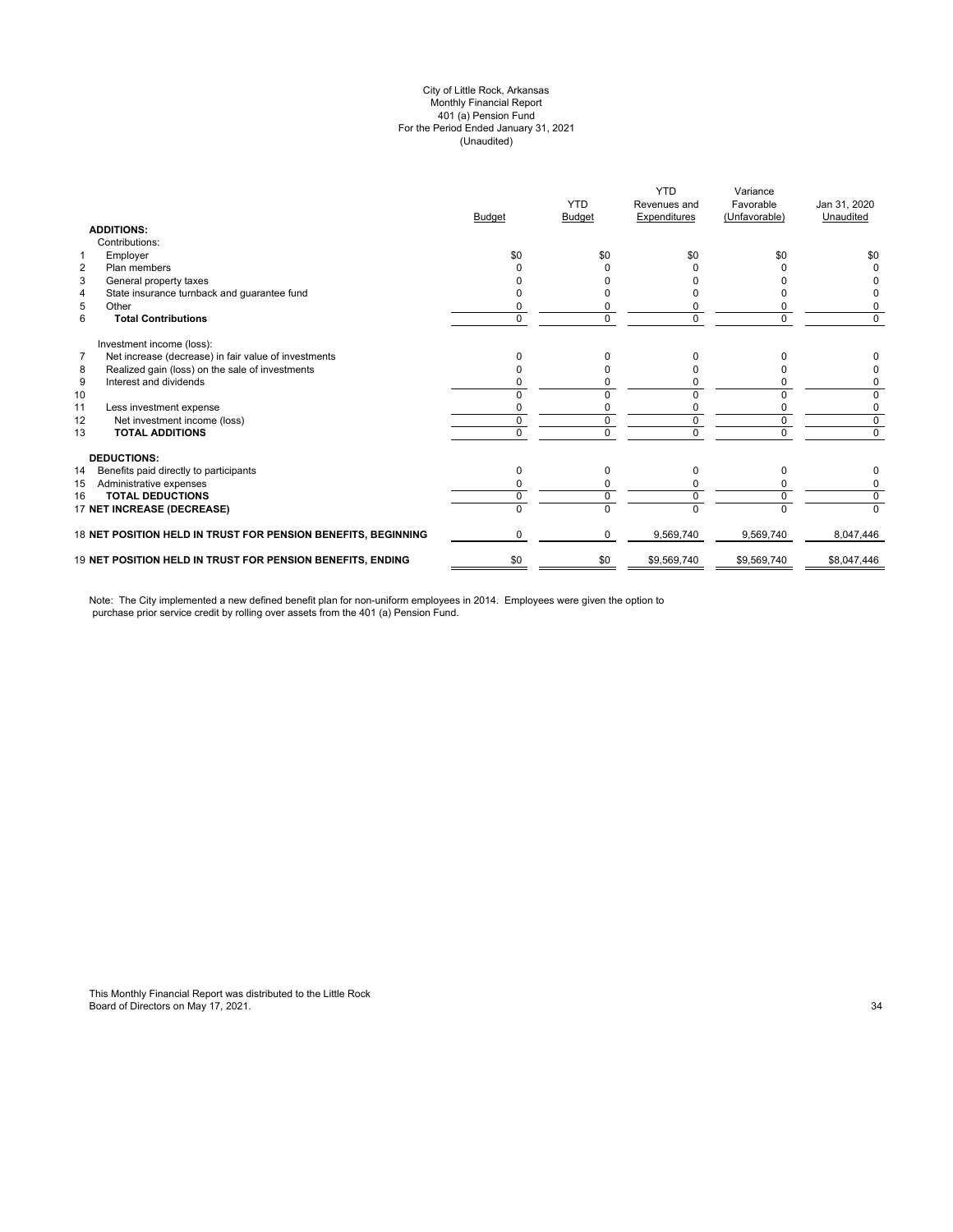#### (Unaudited) City of Little Rock, Arkansas Monthly Financial Report 401 (a) Pension Fund For the Period Ended January 31, 2021

|                                                               | <b>Budget</b> | <b>YTD</b><br><b>Budget</b> | <b>YTD</b><br>Revenues and<br>Expenditures | Variance<br>Favorable<br>(Unfavorable) | Jan 31, 2020<br>Unaudited |
|---------------------------------------------------------------|---------------|-----------------------------|--------------------------------------------|----------------------------------------|---------------------------|
| <b>ADDITIONS:</b>                                             |               |                             |                                            |                                        |                           |
| Contributions:                                                |               |                             |                                            |                                        |                           |
| Employer<br>1                                                 | \$0           | \$0                         | \$0                                        | \$0                                    | \$0                       |
| $\overline{2}$<br>Plan members                                |               |                             |                                            |                                        |                           |
| 3<br>General property taxes                                   |               |                             |                                            |                                        |                           |
| State insurance turnback and guarantee fund<br>4              |               |                             |                                            |                                        |                           |
| 5<br>Other                                                    |               |                             |                                            |                                        | 0                         |
| 6<br><b>Total Contributions</b>                               | 0             | 0                           |                                            | 0                                      | 0                         |
| Investment income (loss):                                     |               |                             |                                            |                                        |                           |
| Net increase (decrease) in fair value of investments<br>7     |               |                             |                                            |                                        |                           |
| Realized gain (loss) on the sale of investments<br>8          |               |                             |                                            |                                        |                           |
| 9<br>Interest and dividends                                   |               |                             |                                            |                                        | 0                         |
| 10                                                            |               |                             |                                            |                                        | 0                         |
| 11<br>Less investment expense                                 |               |                             |                                            |                                        | 0                         |
| 12<br>Net investment income (loss)                            | 0             | 0                           |                                            | 0                                      | 0                         |
| 13<br><b>TOTAL ADDITIONS</b>                                  | U             | U                           |                                            | <sup>n</sup>                           | $\Omega$                  |
| <b>DEDUCTIONS:</b>                                            |               |                             |                                            |                                        |                           |
| 14<br>Benefits paid directly to participants                  | 0             | 0                           | 0                                          | $\Omega$                               | 0                         |
| Administrative expenses<br>15                                 |               |                             |                                            |                                        | 0                         |
| <b>TOTAL DEDUCTIONS</b><br>16                                 | 0             | $\Omega$                    |                                            | $\Omega$                               | 0                         |
| 17 NET INCREASE (DECREASE)                                    | 0             | $\Omega$                    |                                            | $\Omega$                               | $\Omega$                  |
| 18 NET POSITION HELD IN TRUST FOR PENSION BENEFITS, BEGINNING | 0             | 0                           | 9,569,740                                  | 9,569,740                              | 8,047,446                 |
| 19 NET POSITION HELD IN TRUST FOR PENSION BENEFITS, ENDING    | \$0           | \$0                         | \$9,569,740                                | \$9,569,740                            | \$8,047,446               |

Note: The City implemented a new defined benefit plan for non-uniform employees in 2014. Employees were given the option to purchase prior service credit by rolling over assets from the 401 (a) Pension Fund.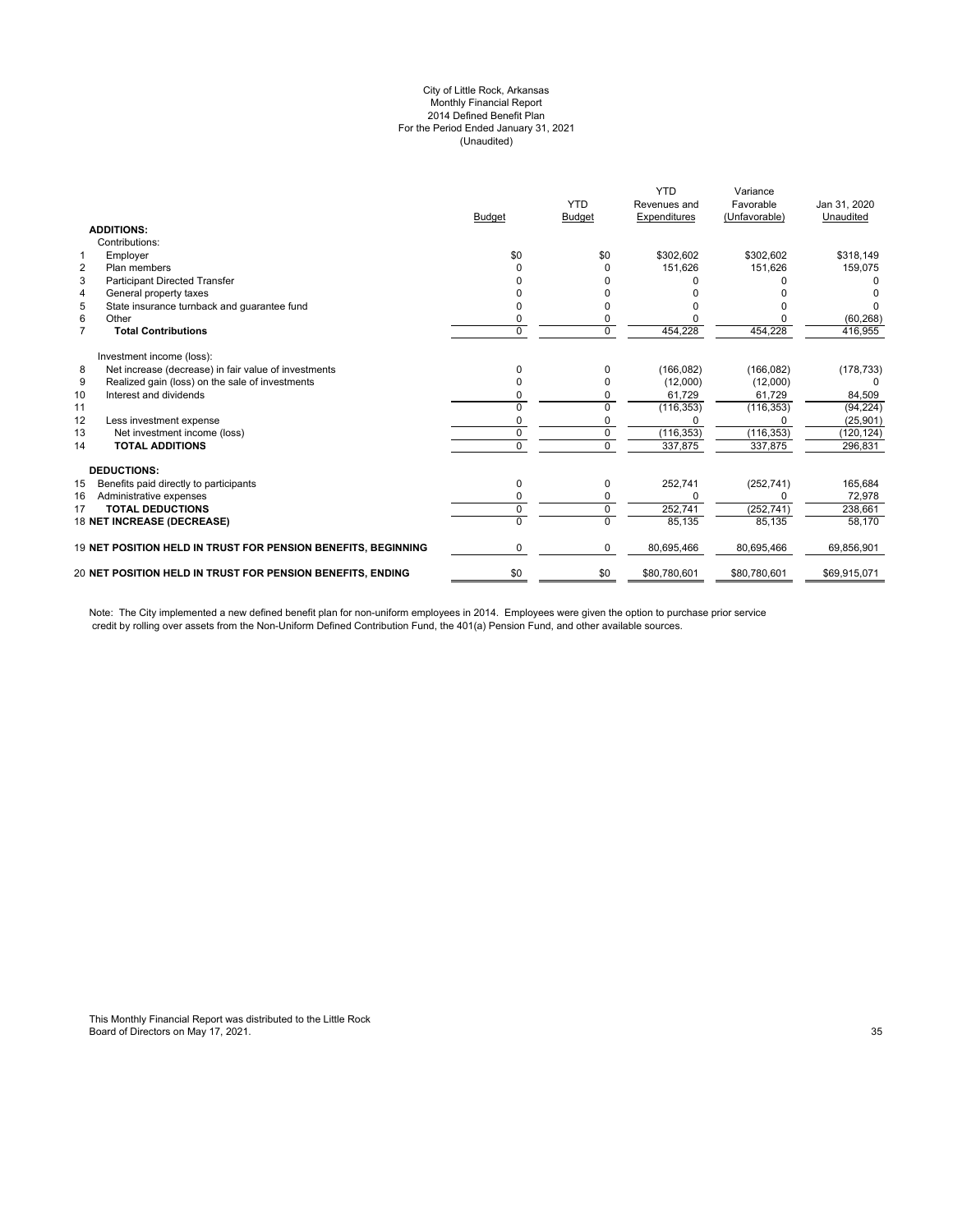#### City of Little Rock, Arkansas Monthly Financial Report 2014 Defined Benefit Plan For the Period Ended January 31, 2021 (Unaudited)

| <b>ADDITIONS:</b><br>Contributions:                                                                      | \$318,149<br>159,075   |
|----------------------------------------------------------------------------------------------------------|------------------------|
|                                                                                                          |                        |
|                                                                                                          |                        |
| \$0<br>\$302,602<br>\$302,602<br>Employer<br>\$0<br>$\mathbf{1}$                                         |                        |
| $\overline{2}$<br>151.626<br>151.626<br>Plan members<br>n<br>n                                           |                        |
| 3<br><b>Participant Directed Transfer</b>                                                                |                        |
| 4<br>General property taxes                                                                              |                        |
| 5<br>State insurance turnback and quarantee fund                                                         |                        |
| 6<br>Other<br>0                                                                                          | (60, 268)              |
| 454,228<br>$\overline{7}$<br>$\Omega$<br>454,228<br><b>Total Contributions</b><br>0                      | 416,955                |
| Investment income (loss):                                                                                |                        |
| Net increase (decrease) in fair value of investments<br>(166, 082)<br>8<br>(166, 082)<br>0<br>0          | (178, 733)             |
| 9<br>Realized gain (loss) on the sale of investments<br>(12,000)                                         | (12,000)<br>O          |
| 10<br>Interest and dividends<br>61,729                                                                   | 61.729<br>84,509       |
| (116, 353)<br>(116, 353)<br>11<br>U<br>$\Omega$                                                          | (94, 224)              |
| 12<br>Less investment expense                                                                            | (25, 901)              |
| (116, 353)<br>(116, 353)<br>13<br>Net investment income (loss)<br>$\Omega$<br>$\Omega$                   | (120, 124)             |
| $\Omega$<br>337,875<br>337,875<br><b>TOTAL ADDITIONS</b><br>0<br>14                                      | 296,831                |
| <b>DEDUCTIONS:</b>                                                                                       |                        |
| 252,741<br>Benefits paid directly to participants<br>(252, 741)<br>15<br>0<br>0                          | 165,684                |
| 16<br>Administrative expenses<br>0<br>0<br>U                                                             | 72,978<br><sup>0</sup> |
| 252,741<br>(252, 741)<br><b>TOTAL DEDUCTIONS</b><br>17<br>0<br>0                                         | 238.661                |
| $\Omega$<br>18 NET INCREASE (DECREASE)<br>U<br>85,135                                                    | 85,135<br>58,170       |
| 19 NET POSITION HELD IN TRUST FOR PENSION BENEFITS, BEGINNING<br>0<br>80,695,466<br>80,695,466<br>0      | 69,856,901             |
| \$0<br>20 NET POSITION HELD IN TRUST FOR PENSION BENEFITS, ENDING<br>\$0<br>\$80,780,601<br>\$80,780,601 | \$69,915,071           |

Note: The City implemented a new defined benefit plan for non-uniform employees in 2014. Employees were given the option to purchase prior service credit by rolling over assets from the Non-Uniform Defined Contribution Fund, the 401(a) Pension Fund, and other available sources.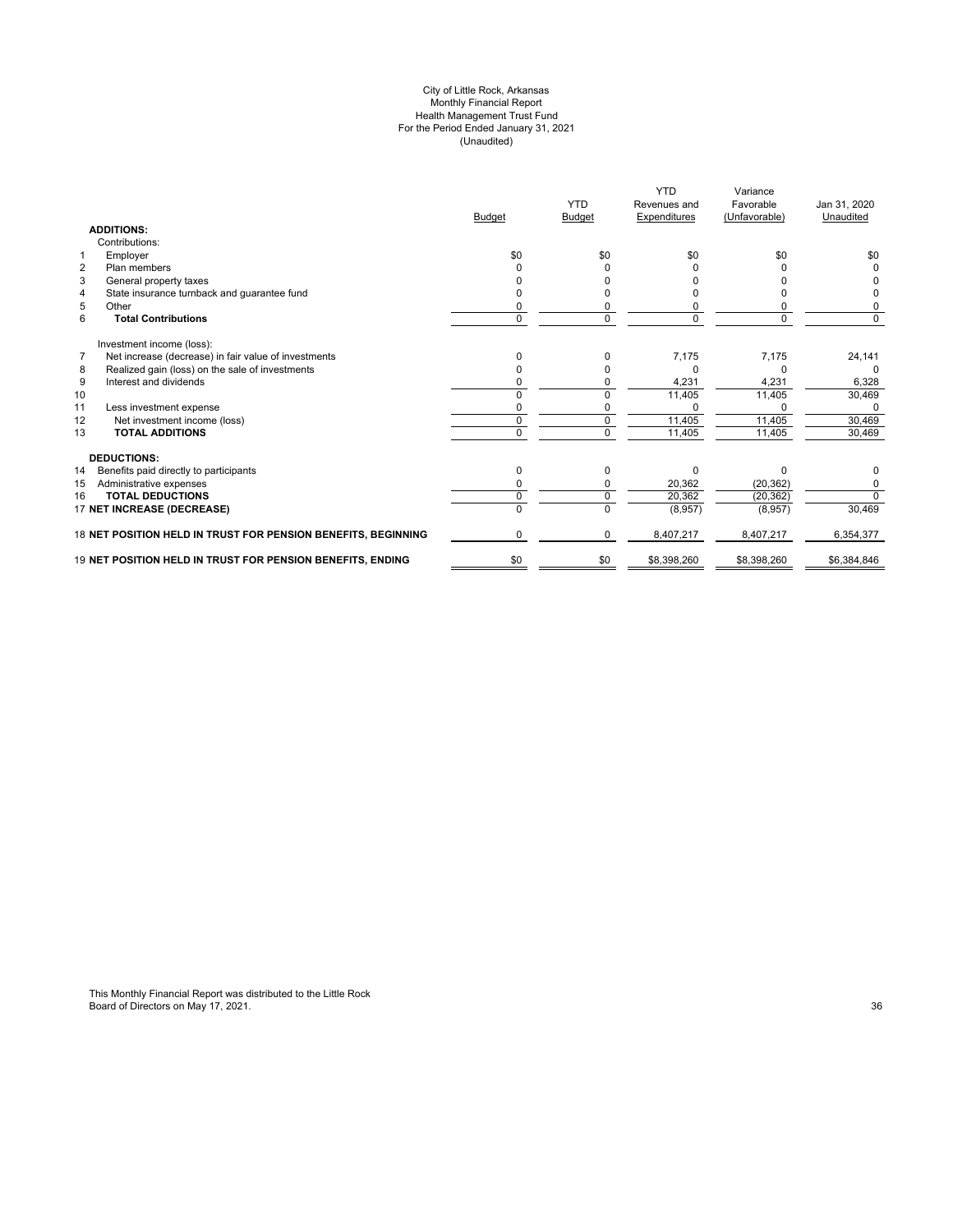#### City of Little Rock, Arkansas Monthly Financial Report Health Management Trust Fund For the Period Ended January 31, 2021 (Unaudited)

|                                                                        | <b>Budget</b> | <b>YTD</b><br><b>Budget</b> | <b>YTD</b><br>Revenues and<br>Expenditures | Variance<br>Favorable<br>(Unfavorable) | Jan 31, 2020<br>Unaudited |
|------------------------------------------------------------------------|---------------|-----------------------------|--------------------------------------------|----------------------------------------|---------------------------|
| <b>ADDITIONS:</b>                                                      |               |                             |                                            |                                        |                           |
| Contributions:                                                         |               |                             |                                            |                                        |                           |
| 1<br>Employer                                                          | \$0           | \$0                         | \$0                                        | \$0                                    | \$0                       |
| $\overline{2}$<br>Plan members                                         |               |                             |                                            |                                        |                           |
| 3<br>General property taxes                                            |               |                             |                                            |                                        |                           |
| State insurance turnback and guarantee fund<br>4                       |               |                             |                                            |                                        |                           |
| 5<br>Other                                                             | ი             | 0                           |                                            |                                        | 0                         |
| 6<br><b>Total Contributions</b>                                        | 0             | $\mathbf 0$                 | 0                                          | $\Omega$                               | $\Omega$                  |
| Investment income (loss):                                              |               |                             |                                            |                                        |                           |
| $\overline{7}$<br>Net increase (decrease) in fair value of investments | U             | $\Omega$                    | 7,175                                      | 7,175                                  | 24,141                    |
| Realized gain (loss) on the sale of investments<br>8                   | 0             | 0                           | O                                          | 0                                      | $\Omega$                  |
| 9<br>Interest and dividends                                            | n             | O                           | 4,231                                      | 4,231                                  | 6,328                     |
| 10                                                                     | U             | $\Omega$                    | 11,405                                     | 11,405                                 | 30,469                    |
| 11<br>Less investment expense                                          | n             | 0                           |                                            |                                        |                           |
| 12<br>Net investment income (loss)                                     | 0             | $\mathbf 0$                 | 11,405                                     | 11,405                                 | 30,469                    |
| 13<br><b>TOTAL ADDITIONS</b>                                           | 0             | $\Omega$                    | 11,405                                     | 11,405                                 | 30.469                    |
| <b>DEDUCTIONS:</b>                                                     |               |                             |                                            |                                        |                           |
| 14<br>Benefits paid directly to participants                           | 0             | 0                           | $\Omega$                                   | $\Omega$                               | 0                         |
| 15<br>Administrative expenses                                          | n             | 0                           | 20.362                                     | (20, 362)                              | 0                         |
| <b>TOTAL DEDUCTIONS</b><br>16                                          | U             | 0                           | 20,362                                     | (20, 362)                              | $\overline{0}$            |
| 17 NET INCREASE (DECREASE)                                             |               |                             | (8,957)                                    | (8,957)                                | 30,469                    |
| 18 NET POSITION HELD IN TRUST FOR PENSION BENEFITS, BEGINNING          | n             | 0                           | 8,407,217                                  | 8,407,217                              | 6,354,377                 |
| 19 NET POSITION HELD IN TRUST FOR PENSION BENEFITS, ENDING             | \$0           | \$0                         | \$8,398,260                                | \$8,398,260                            | \$6,384,846               |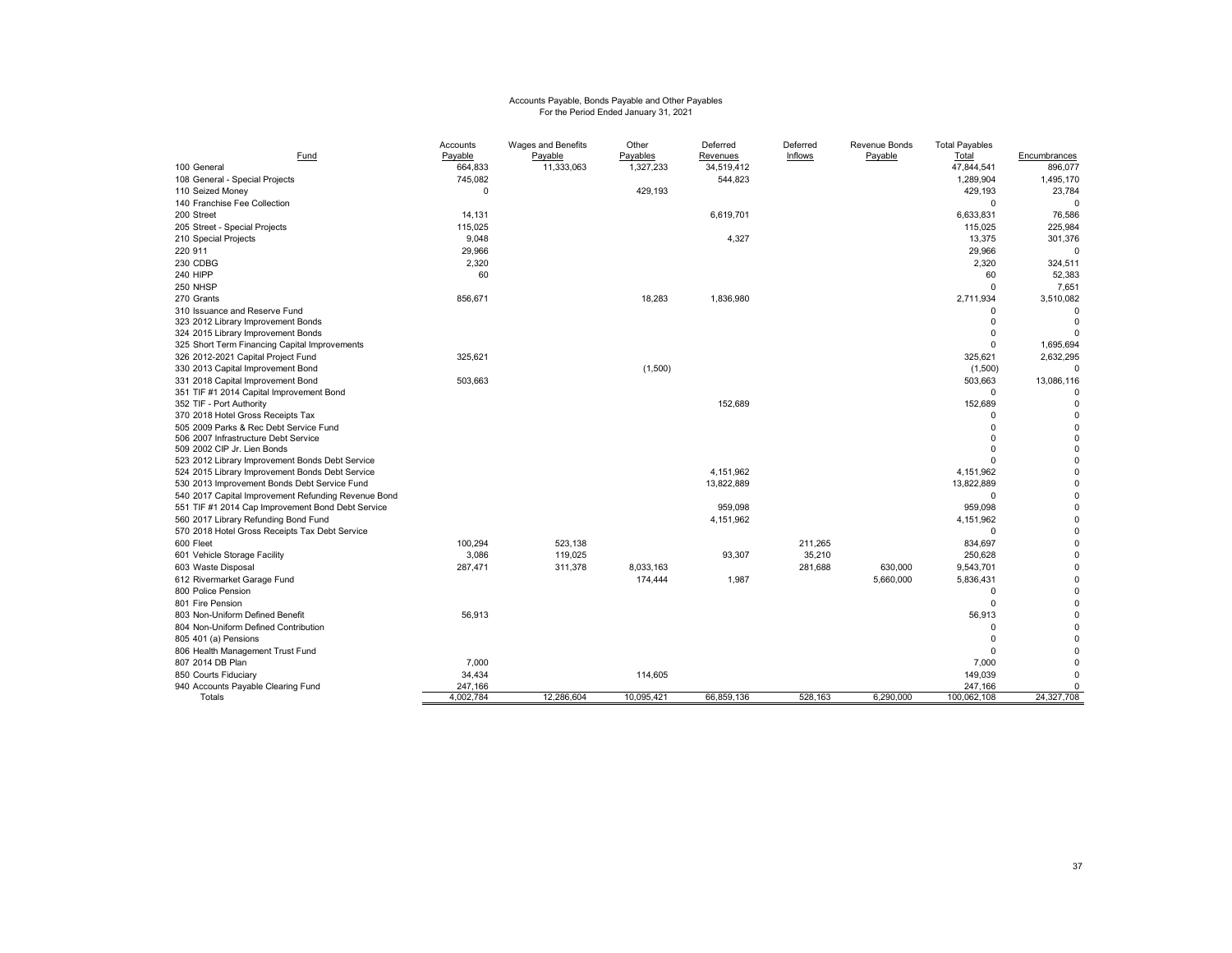# Accounts Payable, Bonds Payable and Other Payables For the Period Ended January 31, 2021

|                                                     | Accounts  | Wages and Benefits | Other      | Deferred   | Deferred | Revenue Bonds | <b>Total Payables</b> |              |
|-----------------------------------------------------|-----------|--------------------|------------|------------|----------|---------------|-----------------------|--------------|
| Fund                                                | Payable   | Payable            | Payables   | Revenues   | Inflows  | Payable       | Total                 | Encumbrances |
| 100 General                                         | 664,833   | 11,333,063         | 1,327,233  | 34,519,412 |          |               | 47,844,541            | 896,077      |
| 108 General - Special Projects                      | 745,082   |                    |            | 544,823    |          |               | 1,289,904             | 1,495,170    |
| 110 Seized Money                                    | $\Omega$  |                    | 429,193    |            |          |               | 429,193               | 23,784       |
| 140 Franchise Fee Collection                        |           |                    |            |            |          |               | 0                     | $\Omega$     |
| 200 Street                                          | 14,131    |                    |            | 6,619,701  |          |               | 6,633,831             | 76,586       |
| 205 Street - Special Projects                       | 115,025   |                    |            |            |          |               | 115,025               | 225,984      |
| 210 Special Projects                                | 9,048     |                    |            | 4,327      |          |               | 13,375                | 301,376      |
| 220 911                                             | 29,966    |                    |            |            |          |               | 29,966                | $\Omega$     |
| 230 CDBG                                            | 2,320     |                    |            |            |          |               | 2,320                 | 324,511      |
| 240 HIPP                                            | 60        |                    |            |            |          |               | 60                    | 52,383       |
| 250 NHSP                                            |           |                    |            |            |          |               | $\Omega$              | 7,651        |
| 270 Grants                                          | 856,671   |                    | 18,283     | 1,836,980  |          |               | 2,711,934             | 3,510,082    |
| 310 Issuance and Reserve Fund                       |           |                    |            |            |          |               | O                     | $\Omega$     |
| 323 2012 Library Improvement Bonds                  |           |                    |            |            |          |               | 0                     | $\mathbf 0$  |
| 324 2015 Library Improvement Bonds                  |           |                    |            |            |          |               | 0                     |              |
| 325 Short Term Financing Capital Improvements       |           |                    |            |            |          |               | $\Omega$              | 1,695,694    |
| 326 2012-2021 Capital Project Fund                  | 325,621   |                    |            |            |          |               | 325,621               | 2,632,295    |
| 330 2013 Capital Improvement Bond                   |           |                    | (1,500)    |            |          |               | (1,500)               | $\mathbf 0$  |
| 331 2018 Capital Improvement Bond                   | 503,663   |                    |            |            |          |               | 503,663               | 13,086,116   |
| 351 TIF #1 2014 Capital Improvement Bond            |           |                    |            |            |          |               | $\Omega$              | $\Omega$     |
| 352 TIF - Port Authority                            |           |                    |            | 152,689    |          |               | 152,689               | $\mathbf 0$  |
| 370 2018 Hotel Gross Receipts Tax                   |           |                    |            |            |          |               | O                     | $\mathbf 0$  |
| 505 2009 Parks & Rec Debt Service Fund              |           |                    |            |            |          |               | $\Omega$              | $\mathbf 0$  |
| 506 2007 Infrastructure Debt Service                |           |                    |            |            |          |               | $\Omega$              | $\pmb{0}$    |
| 509 2002 CIP Jr. Lien Bonds                         |           |                    |            |            |          |               | $\Omega$              | $\mathbf 0$  |
| 523 2012 Library Improvement Bonds Debt Service     |           |                    |            |            |          |               | O                     | $\mathbf 0$  |
| 524 2015 Library Improvement Bonds Debt Service     |           |                    |            | 4,151,962  |          |               | 4,151,962             | $\pmb{0}$    |
| 530 2013 Improvement Bonds Debt Service Fund        |           |                    |            | 13,822,889 |          |               | 13,822,889            | $\pmb{0}$    |
| 540 2017 Capital Improvement Refunding Revenue Bond |           |                    |            |            |          |               | 0                     | $\pmb{0}$    |
| 551 TIF #1 2014 Cap Improvement Bond Debt Service   |           |                    |            | 959,098    |          |               | 959,098               | $\pmb{0}$    |
| 560 2017 Library Refunding Bond Fund                |           |                    |            | 4,151,962  |          |               | 4,151,962             | $\pmb{0}$    |
| 570 2018 Hotel Gross Receipts Tax Debt Service      |           |                    |            |            |          |               | 0                     | $\mathbf 0$  |
| 600 Fleet                                           | 100.294   | 523.138            |            |            | 211.265  |               | 834,697               | $\mathbf 0$  |
| 601 Vehicle Storage Facility                        | 3,086     | 119,025            |            | 93,307     | 35,210   |               | 250,628               | $\mathbf 0$  |
| 603 Waste Disposal                                  | 287,471   | 311,378            | 8,033,163  |            | 281,688  | 630,000       | 9,543,701             | $\pmb{0}$    |
| 612 Rivermarket Garage Fund                         |           |                    | 174,444    | 1,987      |          | 5,660,000     | 5,836,431             | $\mathbf 0$  |
| 800 Police Pension                                  |           |                    |            |            |          |               | 0                     | $\mathbf 0$  |
| 801 Fire Pension                                    |           |                    |            |            |          |               | $\Omega$              | $\mathbf 0$  |
| 803 Non-Uniform Defined Benefit                     | 56,913    |                    |            |            |          |               | 56,913                | $\pmb{0}$    |
| 804 Non-Uniform Defined Contribution                |           |                    |            |            |          |               | $\Omega$              | $\mathbf 0$  |
| 805 401 (a) Pensions                                |           |                    |            |            |          |               | $\Omega$              | $\mathbf 0$  |
| 806 Health Management Trust Fund                    |           |                    |            |            |          |               | $\Omega$              | $\Omega$     |
| 807 2014 DB Plan                                    | 7,000     |                    |            |            |          |               | 7,000                 | $\mathbf 0$  |
| 850 Courts Fiduciary                                | 34,434    |                    | 114,605    |            |          |               | 149,039               | $\Omega$     |
| 940 Accounts Payable Clearing Fund                  | 247,166   |                    |            |            |          |               | 247,166               | $\mathbf 0$  |
| Totals                                              | 4,002,784 | 12,286,604         | 10,095,421 | 66,859,136 | 528,163  | 6,290,000     | 100,062,108           | 24,327,708   |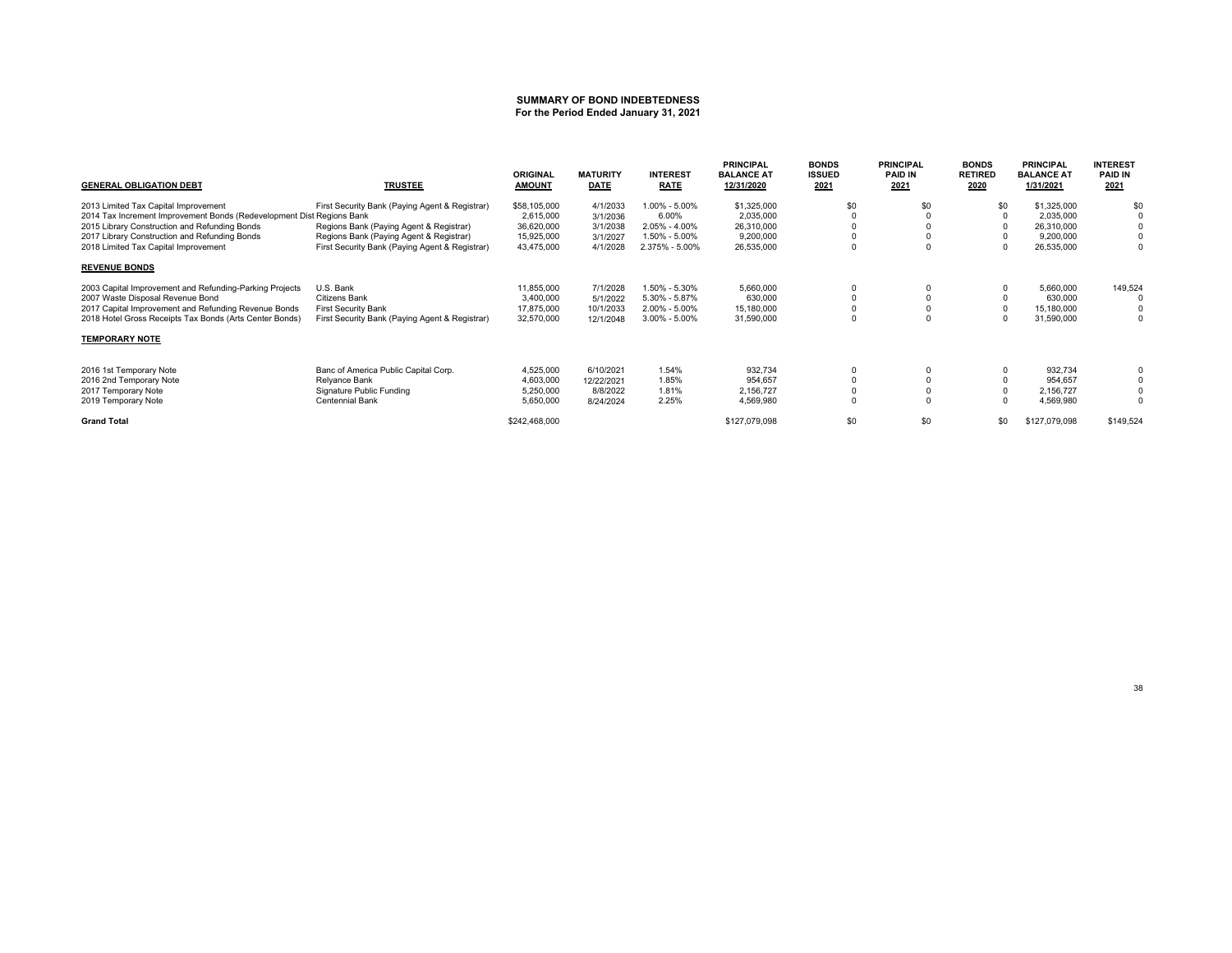# **SUMMARY OF BOND INDEBTEDNESS For the Period Ended January 31, 2021**

| <b>GENERAL OBLIGATION DEBT</b>                                        | <b>TRUSTEE</b>                                 | <b>ORIGINAL</b><br><b>AMOUNT</b> | <b>MATURITY</b><br><b>DATE</b> | <b>INTEREST</b><br><b>RATE</b> | <b>PRINCIPAL</b><br><b>BALANCE AT</b><br>12/31/2020 | <b>BONDS</b><br><b>ISSUED</b><br>2021 | <b>PRINCIPAL</b><br><b>PAID IN</b><br>2021 | <b>BONDS</b><br><b>RETIRED</b><br>2020 | <b>PRINCIPAL</b><br><b>BALANCE AT</b><br>1/31/2021 | <b>INTEREST</b><br><b>PAID IN</b><br>2021 |
|-----------------------------------------------------------------------|------------------------------------------------|----------------------------------|--------------------------------|--------------------------------|-----------------------------------------------------|---------------------------------------|--------------------------------------------|----------------------------------------|----------------------------------------------------|-------------------------------------------|
| 2013 Limited Tax Capital Improvement                                  | First Security Bank (Paying Agent & Registrar) | \$58,105,000                     | 4/1/2033                       | 1.00% - 5.00%                  | \$1,325,000                                         | \$0                                   | \$0                                        | \$0                                    | \$1,325,000                                        | \$0                                       |
| 2014 Tax Increment Improvement Bonds (Redevelopment Dist Regions Bank |                                                | 2,615,000                        | 3/1/2036                       | 6.00%                          | 2,035,000                                           |                                       |                                            |                                        | 2,035,000                                          |                                           |
| 2015 Library Construction and Refunding Bonds                         | Regions Bank (Paying Agent & Registrar)        | 36,620,000                       | 3/1/2038                       | $2.05\% - 4.00\%$              | 26,310,000                                          |                                       |                                            |                                        | 26,310,000                                         |                                           |
| 2017 Library Construction and Refunding Bonds                         | Regions Bank (Paying Agent & Registrar)        | 15,925,000                       | 3/1/2027                       | 1.50% - 5.00%                  | 9,200,000                                           |                                       |                                            |                                        | 9,200,000                                          |                                           |
| 2018 Limited Tax Capital Improvement                                  | First Security Bank (Paying Agent & Registrar) | 43,475,000                       | 4/1/2028                       | 2.375% - 5.00%                 | 26,535,000                                          | $\Omega$                              |                                            |                                        | 26,535,000                                         | $\mathbf{0}$                              |
| <b>REVENUE BONDS</b>                                                  |                                                |                                  |                                |                                |                                                     |                                       |                                            |                                        |                                                    |                                           |
| 2003 Capital Improvement and Refunding-Parking Projects               | U.S. Bank                                      | 11,855,000                       | 7/1/2028                       | 1.50% - 5.30%                  | 5,660,000                                           |                                       |                                            |                                        | 5,660,000                                          | 149,524                                   |
| 2007 Waste Disposal Revenue Bond                                      | Citizens Bank                                  | 3,400,000                        | 5/1/2022                       | 5.30% - 5.87%                  | 630,000                                             | $\Omega$                              |                                            |                                        | 630,000                                            |                                           |
| 2017 Capital Improvement and Refunding Revenue Bonds                  | <b>First Security Bank</b>                     | 17,875,000                       | 10/1/2033                      | 2.00% - 5.00%                  | 15,180,000                                          | 0                                     |                                            |                                        | 15,180,000                                         |                                           |
| 2018 Hotel Gross Receipts Tax Bonds (Arts Center Bonds)               | First Security Bank (Paying Agent & Registrar) | 32,570,000                       | 12/1/2048                      | $3.00\% - 5.00\%$              | 31,590,000                                          | $\Omega$                              |                                            |                                        | 31,590,000                                         | $\Omega$                                  |
| <b>TEMPORARY NOTE</b>                                                 |                                                |                                  |                                |                                |                                                     |                                       |                                            |                                        |                                                    |                                           |
| 2016 1st Temporary Note                                               | Banc of America Public Capital Corp.           | 4,525,000                        | 6/10/2021                      | 1.54%                          | 932.734                                             | 0                                     |                                            |                                        | 932.734                                            |                                           |
| 2016 2nd Temporary Note                                               | Relyance Bank                                  | 4,603,000                        | 12/22/2021                     | 1.85%                          | 954,657                                             | $\mathbf 0$                           |                                            |                                        | 954,657                                            |                                           |
| 2017 Temporary Note                                                   | Signature Public Funding                       | 5,250,000                        | 8/8/2022                       | 1.81%                          | 2,156,727                                           | 0                                     |                                            |                                        | 2,156,727                                          |                                           |
| 2019 Temporary Note                                                   | Centennial Bank                                | 5,650,000                        | 8/24/2024                      | 2.25%                          | 4,569,980                                           | 0                                     |                                            |                                        | 4,569,980                                          | $\Omega$                                  |
| <b>Grand Total</b>                                                    |                                                | \$242,468,000                    |                                |                                | \$127,079,098                                       | \$0                                   | \$0                                        | \$0                                    | \$127,079,098                                      | \$149,524                                 |